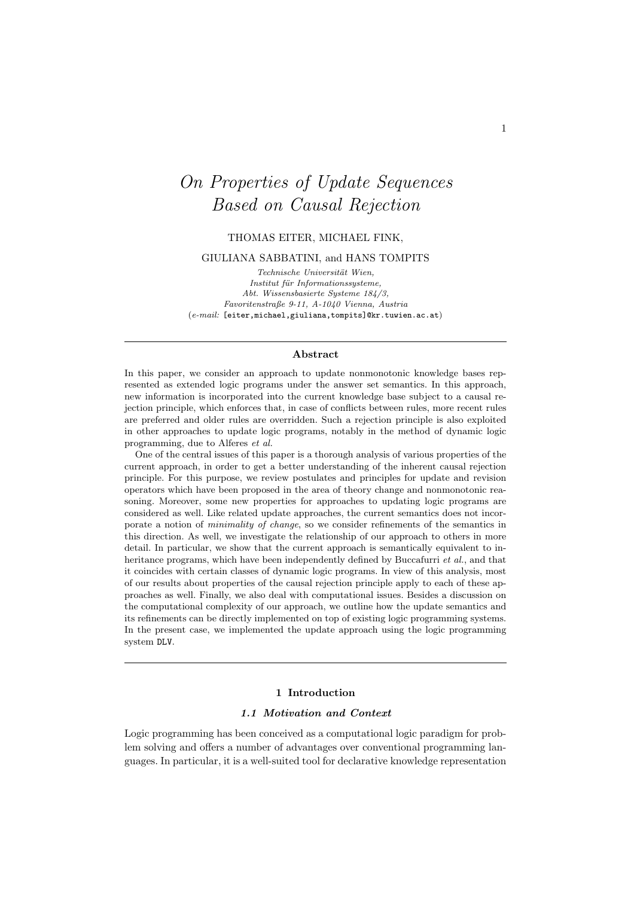# On Properties of Update Sequences Based on Causal Rejection

### THOMAS EITER, MICHAEL FINK,

#### GIULIANA SABBATINI, and HANS TOMPITS

Technische Universität Wien, Institut für Informationssysteme, Abt. Wissensbasierte Systeme 184/3, Favoritenstraße 9-11, A-1040 Vienna, Austria  $(e-mail: [either, \texttt{michael}, \texttt{giuliana}, \texttt{complex}]$ @kr.tuwien.ac.at)

### Abstract

In this paper, we consider an approach to update nonmonotonic knowledge bases represented as extended logic programs under the answer set semantics. In this approach, new information is incorporated into the current knowledge base subject to a causal rejection principle, which enforces that, in case of conflicts between rules, more recent rules are preferred and older rules are overridden. Such a rejection principle is also exploited in other approaches to update logic programs, notably in the method of dynamic logic programming, due to Alferes et al.

One of the central issues of this paper is a thorough analysis of various properties of the current approach, in order to get a better understanding of the inherent causal rejection principle. For this purpose, we review postulates and principles for update and revision operators which have been proposed in the area of theory change and nonmonotonic reasoning. Moreover, some new properties for approaches to updating logic programs are considered as well. Like related update approaches, the current semantics does not incorporate a notion of minimality of change, so we consider refinements of the semantics in this direction. As well, we investigate the relationship of our approach to others in more detail. In particular, we show that the current approach is semantically equivalent to inheritance programs, which have been independently defined by Buccafurri et al., and that it coincides with certain classes of dynamic logic programs. In view of this analysis, most of our results about properties of the causal rejection principle apply to each of these approaches as well. Finally, we also deal with computational issues. Besides a discussion on the computational complexity of our approach, we outline how the update semantics and its refinements can be directly implemented on top of existing logic programming systems. In the present case, we implemented the update approach using the logic programming system DLV.

#### 1 Introduction

#### 1.1 Motivation and Context

Logic programming has been conceived as a computational logic paradigm for problem solving and offers a number of advantages over conventional programming languages. In particular, it is a well-suited tool for declarative knowledge representation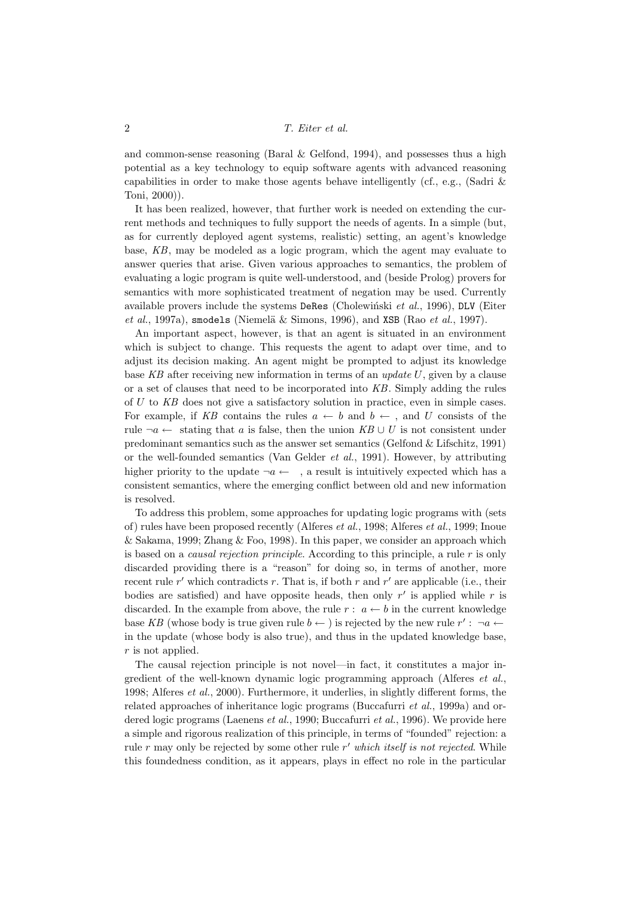and common-sense reasoning (Baral  $&$  Gelfond, 1994), and possesses thus a high potential as a key technology to equip software agents with advanced reasoning capabilities in order to make those agents behave intelligently (cf., e.g., (Sadri & Toni, 2000)).

It has been realized, however, that further work is needed on extending the current methods and techniques to fully support the needs of agents. In a simple (but, as for currently deployed agent systems, realistic) setting, an agent's knowledge base, KB, may be modeled as a logic program, which the agent may evaluate to answer queries that arise. Given various approaches to semantics, the problem of evaluating a logic program is quite well-understood, and (beside Prolog) provers for semantics with more sophisticated treatment of negation may be used. Currently available provers include the systems DeRes (Cholewinski  $et al., 1996$ ), DLV (Eiter et al., 1997a), smodels (Niemelä & Simons, 1996), and XSB (Rao et al., 1997).

An important aspect, however, is that an agent is situated in an environment which is subject to change. This requests the agent to adapt over time, and to adjust its decision making. An agent might be prompted to adjust its knowledge base KB after receiving new information in terms of an  $update U$ , given by a clause or a set of clauses that need to be incorporated into KB. Simply adding the rules of U to KB does not give a satisfactory solution in practice, even in simple cases. For example, if KB contains the rules  $a \leftarrow b$  and  $b \leftarrow$ , and U consists of the rule  $\neg a \leftarrow$  stating that a is false, then the union KB ∪ U is not consistent under predominant semantics such as the answer set semantics (Gelfond & Lifschitz, 1991) or the well-founded semantics (Van Gelder *et al.*, 1991). However, by attributing higher priority to the update  $\neg a \leftarrow \Box$ , a result is intuitively expected which has a consistent semantics, where the emerging conflict between old and new information is resolved.

To address this problem, some approaches for updating logic programs with (sets of) rules have been proposed recently (Alferes et al., 1998; Alferes et al., 1999; Inoue & Sakama, 1999; Zhang & Foo, 1998). In this paper, we consider an approach which is based on a *causal rejection principle*. According to this principle, a rule  $r$  is only discarded providing there is a "reason" for doing so, in terms of another, more recent rule  $r'$  which contradicts r. That is, if both r and  $r'$  are applicable (i.e., their bodies are satisfied) and have opposite heads, then only  $r'$  is applied while r is discarded. In the example from above, the rule  $r : a \leftarrow b$  in the current knowledge base KB (whose body is true given rule  $b \leftarrow$  ) is rejected by the new rule  $r' : \neg a \leftarrow$ in the update (whose body is also true), and thus in the updated knowledge base, r is not applied.

The causal rejection principle is not novel—in fact, it constitutes a major ingredient of the well-known dynamic logic programming approach (Alferes et al., 1998; Alferes et al., 2000). Furthermore, it underlies, in slightly different forms, the related approaches of inheritance logic programs (Buccafurri et al., 1999a) and ordered logic programs (Laenens *et al.*, 1990; Buccafurri *et al.*, 1996). We provide here a simple and rigorous realization of this principle, in terms of "founded" rejection: a rule  $r$  may only be rejected by some other rule  $r'$  which itself is not rejected. While this foundedness condition, as it appears, plays in effect no role in the particular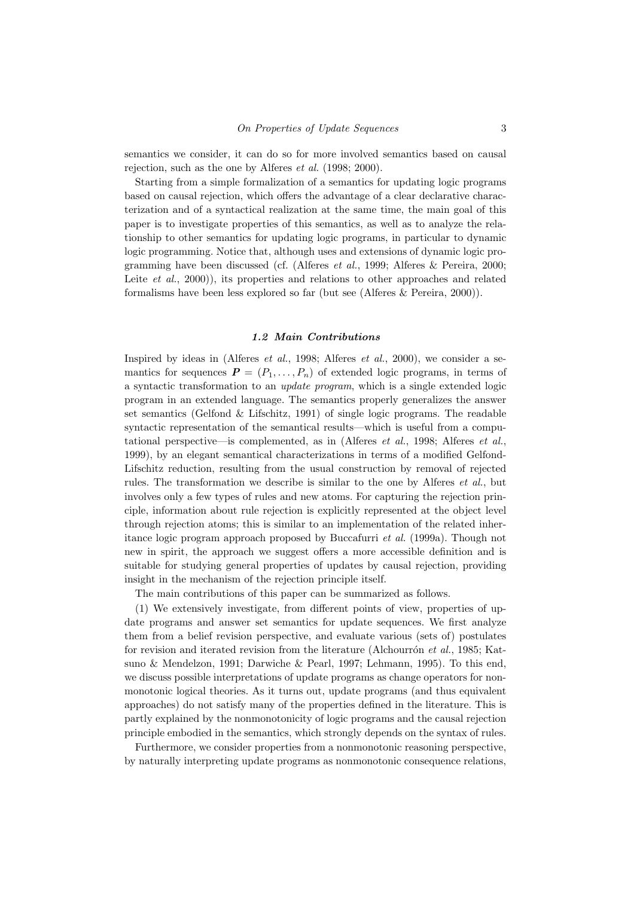semantics we consider, it can do so for more involved semantics based on causal rejection, such as the one by Alferes et al. (1998; 2000).

Starting from a simple formalization of a semantics for updating logic programs based on causal rejection, which offers the advantage of a clear declarative characterization and of a syntactical realization at the same time, the main goal of this paper is to investigate properties of this semantics, as well as to analyze the relationship to other semantics for updating logic programs, in particular to dynamic logic programming. Notice that, although uses and extensions of dynamic logic programming have been discussed (cf. (Alferes et al., 1999; Alferes & Pereira, 2000; Leite *et al.*, 2000), its properties and relations to other approaches and related formalisms have been less explored so far (but see (Alferes & Pereira, 2000)).

#### 1.2 Main Contributions

Inspired by ideas in (Alferes *et al.*, 1998; Alferes *et al.*, 2000), we consider a semantics for sequences  $P = (P_1, \ldots, P_n)$  of extended logic programs, in terms of a syntactic transformation to an update program, which is a single extended logic program in an extended language. The semantics properly generalizes the answer set semantics (Gelfond & Lifschitz, 1991) of single logic programs. The readable syntactic representation of the semantical results—which is useful from a computational perspective—is complemented, as in (Alferes et al., 1998; Alferes et al., 1999), by an elegant semantical characterizations in terms of a modified Gelfond-Lifschitz reduction, resulting from the usual construction by removal of rejected rules. The transformation we describe is similar to the one by Alferes et al., but involves only a few types of rules and new atoms. For capturing the rejection principle, information about rule rejection is explicitly represented at the object level through rejection atoms; this is similar to an implementation of the related inheritance logic program approach proposed by Buccafurri et al. (1999a). Though not new in spirit, the approach we suggest offers a more accessible definition and is suitable for studying general properties of updates by causal rejection, providing insight in the mechanism of the rejection principle itself.

The main contributions of this paper can be summarized as follows.

(1) We extensively investigate, from different points of view, properties of update programs and answer set semantics for update sequences. We first analyze them from a belief revision perspective, and evaluate various (sets of) postulates for revision and iterated revision from the literature (Alchourrón et al., 1985; Katsuno & Mendelzon, 1991; Darwiche & Pearl, 1997; Lehmann, 1995). To this end, we discuss possible interpretations of update programs as change operators for nonmonotonic logical theories. As it turns out, update programs (and thus equivalent approaches) do not satisfy many of the properties defined in the literature. This is partly explained by the nonmonotonicity of logic programs and the causal rejection principle embodied in the semantics, which strongly depends on the syntax of rules.

Furthermore, we consider properties from a nonmonotonic reasoning perspective, by naturally interpreting update programs as nonmonotonic consequence relations,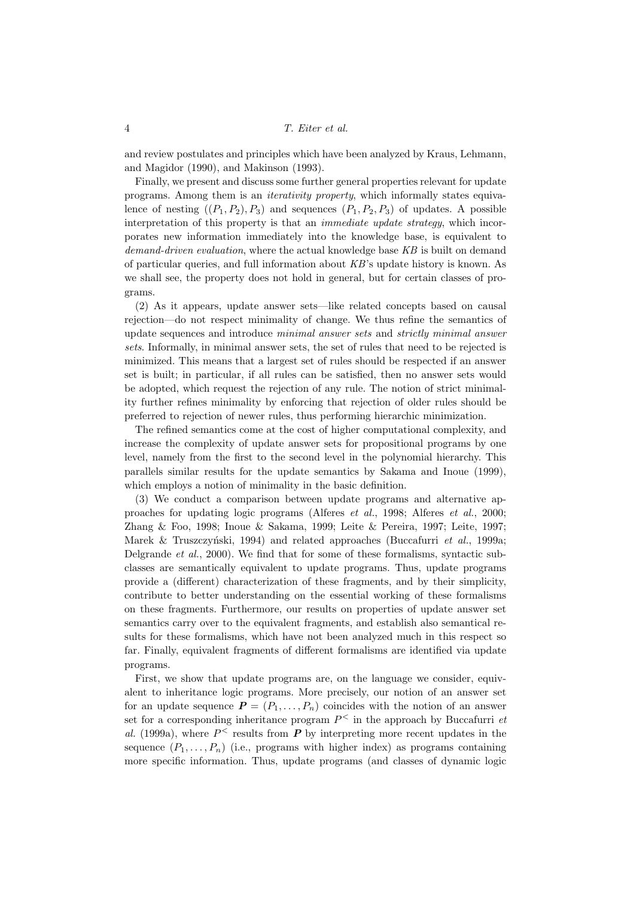and review postulates and principles which have been analyzed by Kraus, Lehmann, and Magidor (1990), and Makinson (1993).

Finally, we present and discuss some further general properties relevant for update programs. Among them is an iterativity property, which informally states equivalence of nesting  $((P_1, P_2), P_3)$  and sequences  $(P_1, P_2, P_3)$  of updates. A possible interpretation of this property is that an *immediate update strategy*, which incorporates new information immediately into the knowledge base, is equivalent to demand-driven evaluation, where the actual knowledge base KB is built on demand of particular queries, and full information about KB's update history is known. As we shall see, the property does not hold in general, but for certain classes of programs.

(2) As it appears, update answer sets—like related concepts based on causal rejection—do not respect minimality of change. We thus refine the semantics of update sequences and introduce minimal answer sets and strictly minimal answer sets. Informally, in minimal answer sets, the set of rules that need to be rejected is minimized. This means that a largest set of rules should be respected if an answer set is built; in particular, if all rules can be satisfied, then no answer sets would be adopted, which request the rejection of any rule. The notion of strict minimality further refines minimality by enforcing that rejection of older rules should be preferred to rejection of newer rules, thus performing hierarchic minimization.

The refined semantics come at the cost of higher computational complexity, and increase the complexity of update answer sets for propositional programs by one level, namely from the first to the second level in the polynomial hierarchy. This parallels similar results for the update semantics by Sakama and Inoue (1999), which employs a notion of minimality in the basic definition.

(3) We conduct a comparison between update programs and alternative approaches for updating logic programs (Alferes et al., 1998; Alferes et al., 2000; Zhang & Foo, 1998; Inoue & Sakama, 1999; Leite & Pereira, 1997; Leite, 1997; Marek & Truszczyński, 1994) and related approaches (Buccafurri et al., 1999a; Delgrande et al., 2000). We find that for some of these formalisms, syntactic subclasses are semantically equivalent to update programs. Thus, update programs provide a (different) characterization of these fragments, and by their simplicity, contribute to better understanding on the essential working of these formalisms on these fragments. Furthermore, our results on properties of update answer set semantics carry over to the equivalent fragments, and establish also semantical results for these formalisms, which have not been analyzed much in this respect so far. Finally, equivalent fragments of different formalisms are identified via update programs.

First, we show that update programs are, on the language we consider, equivalent to inheritance logic programs. More precisely, our notion of an answer set for an update sequence  $P = (P_1, \ldots, P_n)$  coincides with the notion of an answer set for a corresponding inheritance program  $P^{\lt}$  in the approach by Buccafurri et al. (1999a), where  $P^{\lt}$  results from **P** by interpreting more recent updates in the sequence  $(P_1, \ldots, P_n)$  (i.e., programs with higher index) as programs containing more specific information. Thus, update programs (and classes of dynamic logic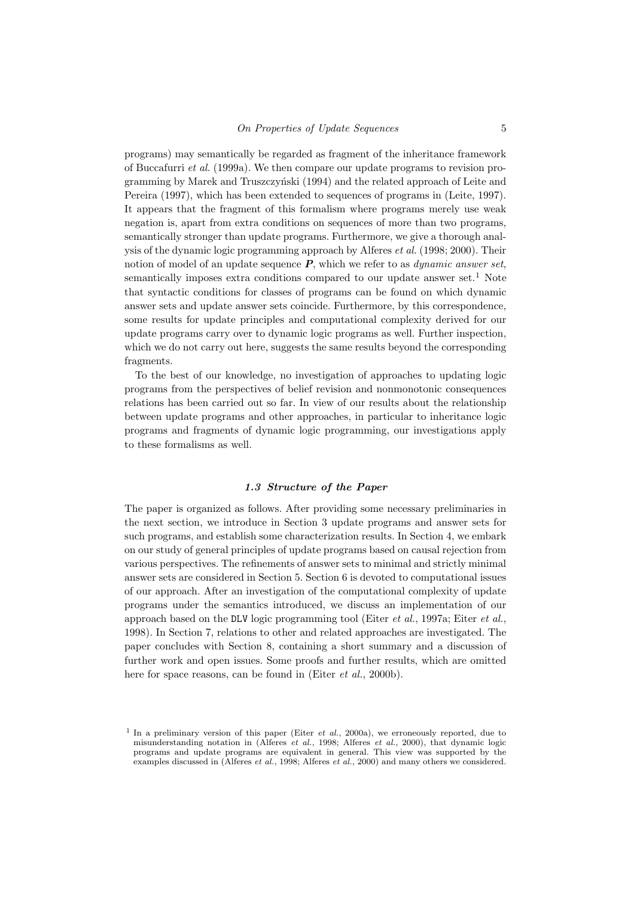programs) may semantically be regarded as fragment of the inheritance framework of Buccafurri et al. (1999a). We then compare our update programs to revision programming by Marek and Truszczynski (1994) and the related approach of Leite and Pereira (1997), which has been extended to sequences of programs in (Leite, 1997). It appears that the fragment of this formalism where programs merely use weak negation is, apart from extra conditions on sequences of more than two programs, semantically stronger than update programs. Furthermore, we give a thorough analysis of the dynamic logic programming approach by Alferes et al. (1998; 2000). Their notion of model of an update sequence  $P$ , which we refer to as *dynamic answer set*, semantically imposes extra conditions compared to our update answer set.<sup>1</sup> Note that syntactic conditions for classes of programs can be found on which dynamic answer sets and update answer sets coincide. Furthermore, by this correspondence, some results for update principles and computational complexity derived for our update programs carry over to dynamic logic programs as well. Further inspection, which we do not carry out here, suggests the same results beyond the corresponding fragments.

To the best of our knowledge, no investigation of approaches to updating logic programs from the perspectives of belief revision and nonmonotonic consequences relations has been carried out so far. In view of our results about the relationship between update programs and other approaches, in particular to inheritance logic programs and fragments of dynamic logic programming, our investigations apply to these formalisms as well.

## 1.3 Structure of the Paper

The paper is organized as follows. After providing some necessary preliminaries in the next section, we introduce in Section 3 update programs and answer sets for such programs, and establish some characterization results. In Section 4, we embark on our study of general principles of update programs based on causal rejection from various perspectives. The refinements of answer sets to minimal and strictly minimal answer sets are considered in Section 5. Section 6 is devoted to computational issues of our approach. After an investigation of the computational complexity of update programs under the semantics introduced, we discuss an implementation of our approach based on the DLV logic programming tool (Eiter et al., 1997a; Eiter et al., 1998). In Section 7, relations to other and related approaches are investigated. The paper concludes with Section 8, containing a short summary and a discussion of further work and open issues. Some proofs and further results, which are omitted here for space reasons, can be found in (Eiter *et al.*, 2000b).

<sup>&</sup>lt;sup>1</sup> In a preliminary version of this paper (Eiter *et al.*, 2000a), we erroneously reported, due to misunderstanding notation in (Alferes *et al.*, 1998; Alferes *et al.*, 2000), that dynamic logic programs and update programs are equivalent in general. This view was supported by the examples discussed in (Alferes et al., 1998; Alferes et al., 2000) and many others we considered.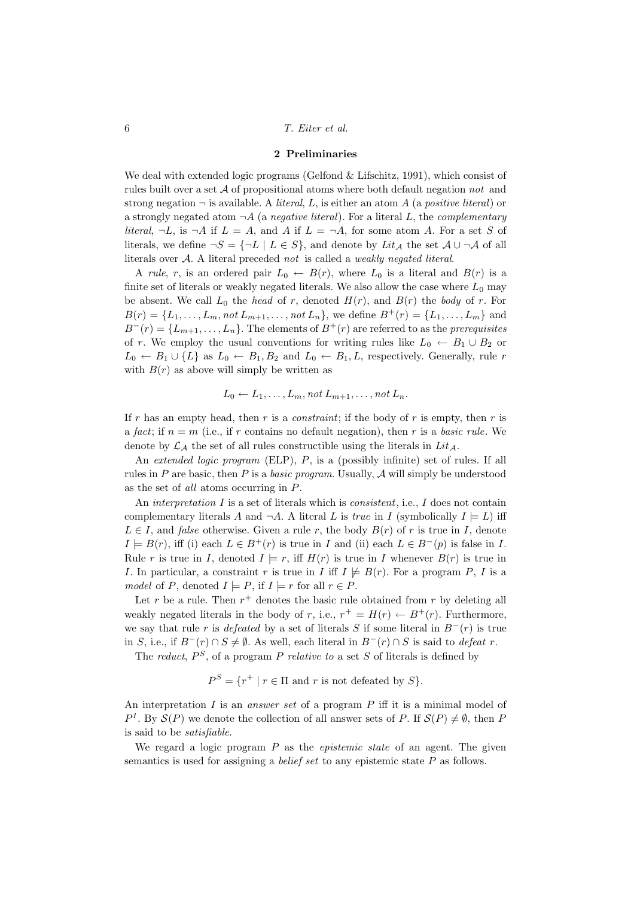### 2 Preliminaries

We deal with extended logic programs (Gelfond & Lifschitz, 1991), which consist of rules built over a set  $A$  of propositional atoms where both default negation not and strong negation  $\neg$  is available. A *literal*, L, is either an atom A (a *positive literal*) or a strongly negated atom  $\neg A$  (a *negative literal*). For a literal L, the *complementary* literal,  $\neg L$ , is  $\neg A$  if  $L = A$ , and A if  $L = \neg A$ , for some atom A. For a set S of literals, we define  $\neg S = \{\neg L \mid L \in S\}$ , and denote by  $Lit_{\mathcal{A}}$  the set  $\mathcal{A} \cup \neg \mathcal{A}$  of all literals over A. A literal preceded not is called a weakly negated literal.

A rule, r, is an ordered pair  $L_0 \leftarrow B(r)$ , where  $L_0$  is a literal and  $B(r)$  is a finite set of literals or weakly negated literals. We also allow the case where  ${\cal L}_0$  may be absent. We call  $L_0$  the head of r, denoted  $H(r)$ , and  $B(r)$  the body of r. For  $B(r) = \{L_1, \ldots, L_m, not L_{m+1}, \ldots, not L_n\}$ , we define  $B^+(r) = \{L_1, \ldots, L_m\}$  and  $B^{-}(r) = \{L_{m+1}, \ldots, L_n\}$ . The elements of  $B^{+}(r)$  are referred to as the prerequisites of r. We employ the usual conventions for writing rules like  $L_0 \leftarrow B_1 \cup B_2$  or  $L_0 \leftarrow B_1 \cup \{L\}$  as  $L_0 \leftarrow B_1, B_2$  and  $L_0 \leftarrow B_1, L$ , respectively. Generally, rule r with  $B(r)$  as above will simply be written as

$$
L_0 \leftarrow L_1, \ldots, L_m, \text{not } L_{m+1}, \ldots, \text{not } L_n.
$$

If r has an empty head, then r is a *constraint*; if the body of r is empty, then r is a fact; if  $n = m$  (i.e., if r contains no default negation), then r is a basic rule. We denote by  $\mathcal{L}_A$  the set of all rules constructible using the literals in Lit<sub>A</sub>.

An extended logic program (ELP), P, is a (possibly infinite) set of rules. If all rules in P are basic, then P is a *basic program*. Usually,  $\mathcal A$  will simply be understood as the set of all atoms occurring in P.

An *interpretation I* is a set of literals which is *consistent*, i.e., I does not contain complementary literals A and  $\neg A$ . A literal L is true in I (symbolically  $I \models L$ ) iff  $L \in I$ , and *false* otherwise. Given a rule r, the body  $B(r)$  of r is true in I, denote  $I \models B(r)$ , iff (i) each  $L \in B^{+}(r)$  is true in I and (ii) each  $L \in B^{-}(p)$  is false in I. Rule r is true in I, denoted  $I \models r$ , iff  $H(r)$  is true in I whenever  $B(r)$  is true in I. In particular, a constraint r is true in I iff  $I \not\models B(r)$ . For a program P, I is a model of P, denoted  $I \models P$ , if  $I \models r$  for all  $r \in P$ .

Let r be a rule. Then  $r^+$  denotes the basic rule obtained from r by deleting all weakly negated literals in the body of r, i.e.,  $r^+ = H(r) \leftarrow B^+(r)$ . Furthermore, we say that rule r is *defeated* by a set of literals S if some literal in  $B^{-}(r)$  is true in S, i.e., if  $B^{-}(r) \cap S \neq \emptyset$ . As well, each literal in  $B^{-}(r) \cap S$  is said to *defeat* r.

The reduct,  $P^S$ , of a program P relative to a set S of literals is defined by

 $P^{S} = \{r^{+} | r \in \Pi \text{ and } r \text{ is not defeated by } S\}.$ 

An interpretation  $I$  is an answer set of a program  $P$  iff it is a minimal model of  $P<sup>I</sup>$ . By  $\mathcal{S}(P)$  we denote the collection of all answer sets of P. If  $\mathcal{S}(P) \neq \emptyset$ , then P is said to be satisfiable.

We regard a logic program  $P$  as the *epistemic state* of an agent. The given semantics is used for assigning a *belief set* to any epistemic state  $P$  as follows.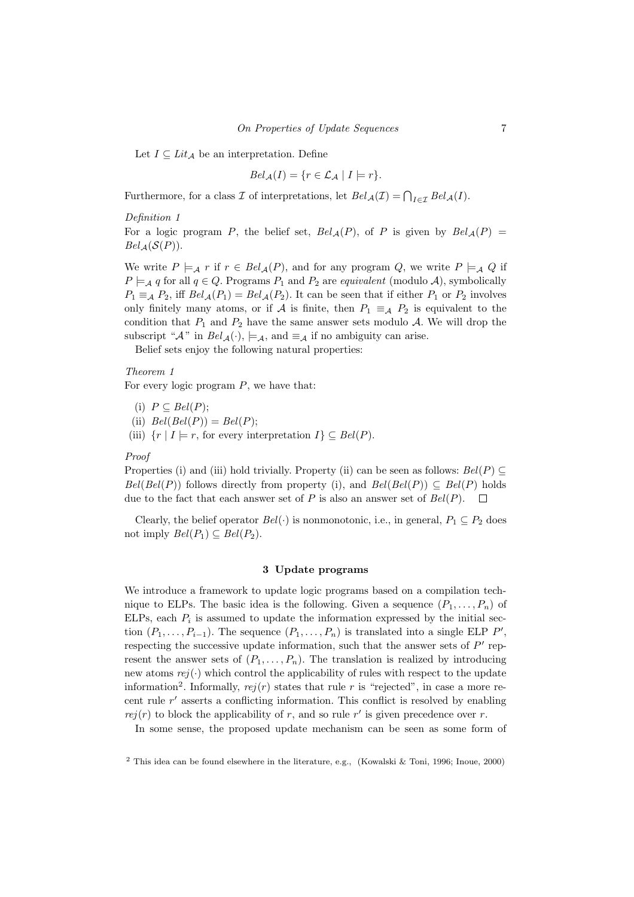Let  $I \subseteq Lit_{\mathcal{A}}$  be an interpretation. Define

$$
Bel_{\mathcal{A}}(I) = \{ r \in \mathcal{L}_{\mathcal{A}} \mid I \models r \}.
$$

Furthermore, for a class  $\mathcal I$  of interpretations, let  $Bel_{\mathcal A}(\mathcal I) = \bigcap_{I \in \mathcal I} Bel_{\mathcal A}(I)$ .

Definition 1

For a logic program P, the belief set,  $Bel_A(P)$ , of P is given by  $Bel_A(P)$  =  $Bel_{\mathcal{A}}(\mathcal{S}(P)).$ 

We write  $P \models_{\mathcal{A}} r$  if  $r \in Bel_{\mathcal{A}}(P)$ , and for any program  $Q$ , we write  $P \models_{\mathcal{A}} Q$  if  $P \models_{\mathcal{A}} q$  for all  $q \in Q$ . Programs  $P_1$  and  $P_2$  are equivalent (modulo A), symbolically  $P_1 \equiv_A P_2$ , iff  $Bel_A(P_1) = Bel_A(P_2)$ . It can be seen that if either  $P_1$  or  $P_2$  involves only finitely many atoms, or if A is finite, then  $P_1 \equiv_A P_2$  is equivalent to the condition that  $P_1$  and  $P_2$  have the same answer sets modulo A. We will drop the subscript " $\mathcal{A}$ " in  $Bel_{\mathcal{A}}(\cdot), \models_{\mathcal{A}}$ , and  $\equiv_{\mathcal{A}}$  if no ambiguity can arise.

Belief sets enjoy the following natural properties:

Theorem 1

For every logic program  $P$ , we have that:

- (i)  $P \subseteq Bel(P);$
- (ii)  $Bel(Bel(P)) = Bel(P);$
- (iii)  $\{r \mid I \models r$ , for every interpretation  $I\} \subseteq Bel(P)$ .

### Proof

Properties (i) and (iii) hold trivially. Property (ii) can be seen as follows:  $Bel(P) \subseteq$  $Bel(Bel(P))$  follows directly from property (i), and  $Bel(Bel(P)) \subseteq Bel(P)$  holds due to the fact that each answer set of  $P$  is also an answer set of  $Bel(P)$ .  $\Box$ 

Clearly, the belief operator  $Bel(\cdot)$  is nonmonotonic, i.e., in general,  $P_1 \subset P_2$  does not imply  $Bel(P_1) \subseteq Bel(P_2)$ .

### 3 Update programs

We introduce a framework to update logic programs based on a compilation technique to ELPs. The basic idea is the following. Given a sequence  $(P_1, \ldots, P_n)$  of ELPs, each  $P_i$  is assumed to update the information expressed by the initial section  $(P_1, \ldots, P_{i-1})$ . The sequence  $(P_1, \ldots, P_n)$  is translated into a single ELP P', respecting the successive update information, such that the answer sets of  $P'$  represent the answer sets of  $(P_1, \ldots, P_n)$ . The translation is realized by introducing new atoms  $rej(\cdot)$  which control the applicability of rules with respect to the update information<sup>2</sup>. Informally,  $rej(r)$  states that rule r is "rejected", in case a more recent rule  $r'$  asserts a conflicting information. This conflict is resolved by enabling  $rej(r)$  to block the applicability of r, and so rule r' is given precedence over r.

In some sense, the proposed update mechanism can be seen as some form of

<sup>2</sup> This idea can be found elsewhere in the literature, e.g., (Kowalski & Toni, 1996; Inoue, 2000)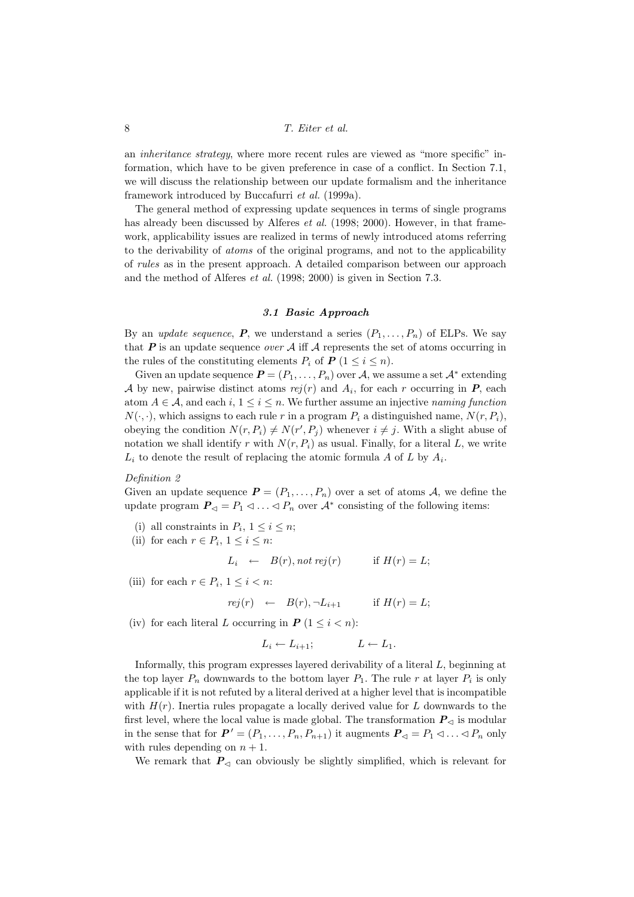an inheritance strategy, where more recent rules are viewed as "more specific" information, which have to be given preference in case of a conflict. In Section 7.1, we will discuss the relationship between our update formalism and the inheritance framework introduced by Buccafurri et al. (1999a).

The general method of expressing update sequences in terms of single programs has already been discussed by Alferes et al. (1998; 2000). However, in that framework, applicability issues are realized in terms of newly introduced atoms referring to the derivability of atoms of the original programs, and not to the applicability of rules as in the present approach. A detailed comparison between our approach and the method of Alferes et al. (1998; 2000) is given in Section 7.3.

### 3.1 Basic Approach

By an update sequence, **P**, we understand a series  $(P_1, \ldots, P_n)$  of ELPs. We say that  $P$  is an update sequence *over*  $\mathcal A$  iff  $\mathcal A$  represents the set of atoms occurring in the rules of the constituting elements  $P_i$  of  $P(1 \leq i \leq n)$ .

Given an update sequence  $\boldsymbol{P} = (P_1, \ldots, P_n)$  over  $\mathcal{A}$ , we assume a set  $\mathcal{A}^*$  extending A by new, pairwise distinct atoms  $rej(r)$  and  $A_i$ , for each r occurring in P, each atom  $A \in \mathcal{A}$ , and each  $i, 1 \leq i \leq n$ . We further assume an injective naming function  $N(\cdot, \cdot)$ , which assigns to each rule r in a program  $P_i$  a distinguished name,  $N(r, P_i)$ , obeying the condition  $N(r, P_i) \neq N(r', P_j)$  whenever  $i \neq j$ . With a slight abuse of notation we shall identify r with  $N(r, P_i)$  as usual. Finally, for a literal L, we write  $L_i$  to denote the result of replacing the atomic formula A of L by  $A_i$ .

#### Definition 2

Given an update sequence  $P = (P_1, \ldots, P_n)$  over a set of atoms A, we define the update program  $P_{\lhd} = P_1 \lhd \ldots \lhd P_n$  over  $\mathcal{A}^*$  consisting of the following items:

- (i) all constraints in  $P_i$ ,  $1 \leq i \leq n$ ;
- (ii) for each  $r \in P_i$ ,  $1 \leq i \leq n$ :

$$
L_i \leftarrow B(r), not\, rej(r) \qquad \text{if } H(r) = L;
$$

(iii) for each  $r \in P_i$ ,  $1 \leq i < n$ :

$$
rej(r)
$$
  $\leftarrow$   $B(r), \neg L_{i+1}$  if  $H(r) = L;$ 

(iv) for each literal L occurring in  $P(1 \leq i < n)$ :

$$
L_i \leftarrow L_{i+1}; \qquad L \leftarrow L_1.
$$

Informally, this program expresses layered derivability of a literal L, beginning at the top layer  $P_n$  downwards to the bottom layer  $P_1$ . The rule r at layer  $P_i$  is only applicable if it is not refuted by a literal derived at a higher level that is incompatible with  $H(r)$ . Inertia rules propagate a locally derived value for L downwards to the first level, where the local value is made global. The transformation  $P_{\leq 1}$  is modular in the sense that for  $P' = (P_1, \ldots, P_n, P_{n+1})$  it augments  $P_{\lhd} = P_1 \lhd \ldots \lhd P_n$  only with rules depending on  $n + 1$ .

We remark that  $P_{\leq}$  can obviously be slightly simplified, which is relevant for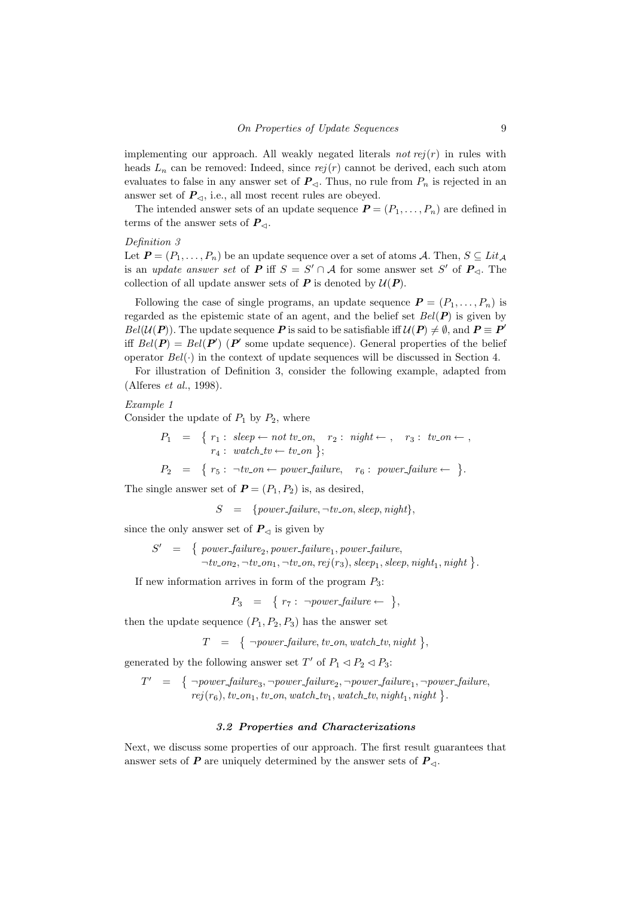implementing our approach. All weakly negated literals not rej(r) in rules with heads  $L_n$  can be removed: Indeed, since rej(r) cannot be derived, each such atom evaluates to false in any answer set of  $P_{\leq l}$ . Thus, no rule from  $P_n$  is rejected in an answer set of  $P_{\leq 1}$ , i.e., all most recent rules are obeyed.

The intended answer sets of an update sequence  $P = (P_1, \ldots, P_n)$  are defined in terms of the answer sets of  $P_{\lhd}$ .

### Definition 3

Let  $P = (P_1, \ldots, P_n)$  be an update sequence over a set of atoms A. Then,  $S \subseteq Lit_A$ is an update answer set of P iff  $S = S' \cap A$  for some answer set S' of  $P_{\lhd}$ . The collection of all update answer sets of  $P$  is denoted by  $\mathcal{U}(P)$ .

Following the case of single programs, an update sequence  $P = (P_1, \ldots, P_n)$  is regarded as the epistemic state of an agent, and the belief set  $Bel(P)$  is given by Bel( $\mathcal{U}(P)$ ). The update sequence P is said to be satisfiable iff  $\mathcal{U}(P) \neq \emptyset$ , and  $P \equiv P'$ iff  $Bel(P) = Bel(P')$  (P' some update sequence). General properties of the belief operator Bel(·) in the context of update sequences will be discussed in Section 4.

For illustration of Definition 3, consider the following example, adapted from (Alferes et al., 1998).

#### Example 1

Consider the update of  $P_1$  by  $P_2$ , where

$$
P_1 = \{ r_1 : sleep \leftarrow not \, tv\_on, \quad r_2 : \, night \leftarrow , \quad r_3 : \, tv\_on \leftarrow , \\ r_4 : \, watch\_tv \leftarrow tv\_on \}; \\ P_2 = \{ r_5 : \neg tv\_on \leftarrow power\_failure, \quad r_6 : \, power\_failure \leftarrow \}.
$$

The single answer set of  $P = (P_1, P_2)$  is, as desired,

$$
S = \{power\_failure, \neg tv\_on, sleep, night\},\
$$

since the only answer set of  $P_{\lhd}$  is given by

$$
S' = \{ power\_failure_2, power\_failure_1, power\_failure, \\ \neg tv\_on_2, \neg tv\_on_1, \neg tv\_on, rej(r_3), sleep_1, sleep, night_1, night \}.
$$

If new information arrives in form of the program  $P_3$ :

$$
P_3 = \{ r_7 : \neg power\_failure \leftarrow \},
$$

then the update sequence  $(P_1, P_2, P_3)$  has the answer set

$$
T = \{ \neg power\_failure, tv\_on, watch\_tv, night \},
$$

generated by the following answer set  $T'$  of  $P_1 \lhd P_2 \lhd P_3$ :

 $T' = \{ \neg power\_failure_3, \neg power\_failure_2, \neg power\_failure_1, \neg power\_failure, \}$  $rej(r_6), tv\_on_1, tv\_on, watch\_tv_1, watch\_tv, night_1, night_2.$ 

### 3.2 Properties and Characterizations

Next, we discuss some properties of our approach. The first result guarantees that answer sets of  $P$  are uniquely determined by the answer sets of  $P_{\leq}$ .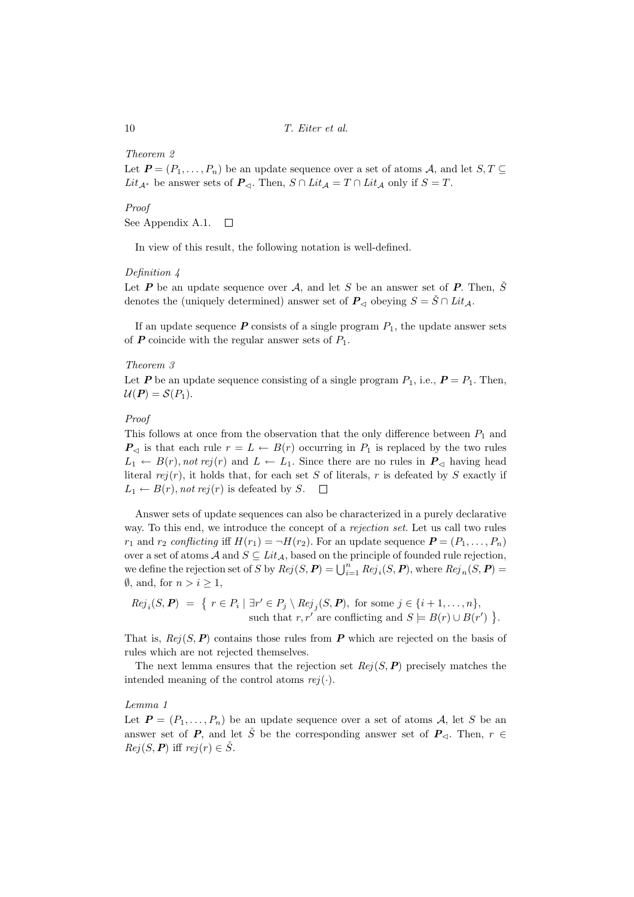Theorem 2

Let  $P = (P_1, \ldots, P_n)$  be an update sequence over a set of atoms A, and let  $S, T \subseteq$ Lit<sub>A</sub><sup>\*</sup> be answer sets of  $P_{\leq}$ . Then,  $S \cap Lit_{\mathcal{A}} = T \cap Lit_{\mathcal{A}}$  only if  $S = T$ .

Proof See Appendix A.1.

In view of this result, the following notation is well-defined.

 $\Box$ 

### Definition 4

Let **P** be an update sequence over A, and let S be an answer set of **P**. Then,  $\check{S}$ denotes the (uniquely determined) answer set of  $P_{\leq 0}$  obeying  $S = \check{S} \cap Lit_{\mathcal{A}}$ .

If an update sequence  $P$  consists of a single program  $P_1$ , the update answer sets of  $P$  coincide with the regular answer sets of  $P_1$ .

#### Theorem 3

Let **P** be an update sequence consisting of a single program  $P_1$ , i.e.,  $P = P_1$ . Then,  $U(P) = S(P_1)$ .

### Proof

This follows at once from the observation that the only difference between  $P_1$  and  $P_{\lhd}$  is that each rule  $r = L \leftarrow B(r)$  occurring in  $P_1$  is replaced by the two rules  $L_1 \leftarrow B(r)$ , not rej(r) and  $L \leftarrow L_1$ . Since there are no rules in  $P_{\lhd}$  having head literal  $rej(r)$ , it holds that, for each set S of literals, r is defeated by S exactly if  $L_1 \leftarrow B(r)$ , not rej(r) is defeated by S.  $\Box$ 

Answer sets of update sequences can also be characterized in a purely declarative way. To this end, we introduce the concept of a rejection set. Let us call two rules  $r_1$  and  $r_2$  conflicting iff  $H(r_1) = \neg H(r_2)$ . For an update sequence  $\boldsymbol{P} = (P_1, \ldots, P_n)$ over a set of atoms  $A$  and  $S \subseteq Lit_{\mathcal{A}}$ , based on the principle of founded rule rejection, we define the rejection set of S by  $Rej(S, P) = \bigcup_{i=1}^{n} Rej_i(S, P)$ , where  $Rej_n(S, P) =$  $\emptyset$ , and, for  $n > i \geq 1$ ,

$$
Rej_i(S, \mathbf{P}) = \{ r \in P_i \mid \exists r' \in P_j \setminus Rej_j(S, \mathbf{P}), \text{ for some } j \in \{i+1, ..., n\},\
$$
  
such that  $r, r'$  are conflicting and  $S \models B(r) \cup B(r')$ .

That is,  $Rej(S, P)$  contains those rules from P which are rejected on the basis of rules which are not rejected themselves.

The next lemma ensures that the rejection set  $Rej(S, P)$  precisely matches the intended meaning of the control atoms  $rej(\cdot)$ .

### Lemma 1

Let  $P = (P_1, \ldots, P_n)$  be an update sequence over a set of atoms A, let S be an answer set of P, and let  $\check{S}$  be the corresponding answer set of  $P_{\lhd}$ . Then,  $r \in$  $Rej(S, P)$  iff  $rej(r) \in \check{S}$ .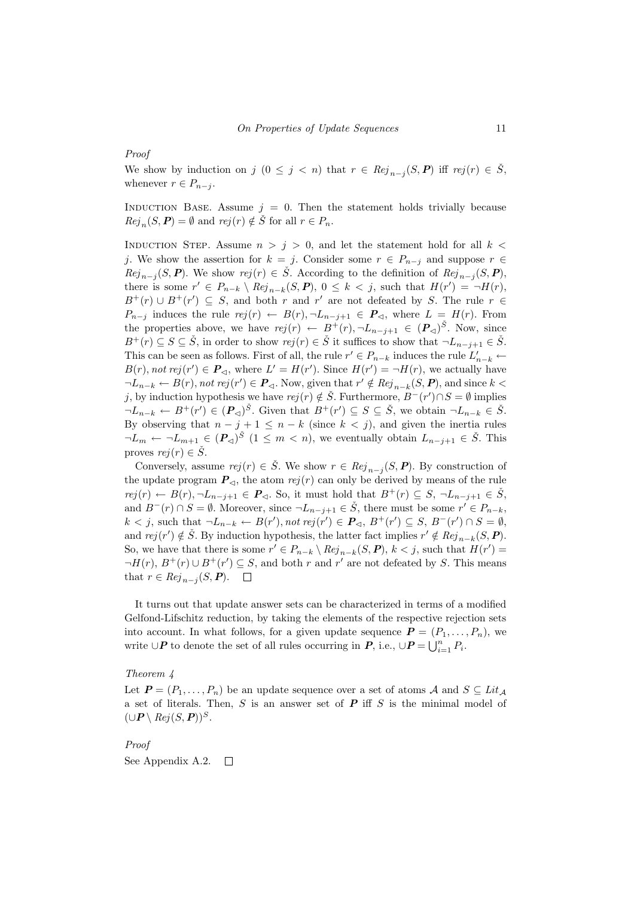Proof

We show by induction on j  $(0 \leq j < n)$  that  $r \in Rej_{n-j}(S, P)$  iff  $rej(r) \in \check{S}$ , whenever  $r \in P_{n-i}$ .

INDUCTION BASE. Assume  $j = 0$ . Then the statement holds trivially because  $Re^j_{n}(S, P) = \emptyset$  and  $rej(r) \notin \check{S}$  for all  $r \in P_n$ .

INDUCTION STEP. Assume  $n > j > 0$ , and let the statement hold for all  $k <$ j. We show the assertion for  $k = j$ . Consider some  $r \in P_{n-j}$  and suppose  $r \in$  $Rej_{n-j}(S, P)$ . We show  $rej(r) \in \check{S}$ . According to the definition of  $Rej_{n-j}(S, P)$ , there is some  $r' \in P_{n-k} \setminus Rej_{n-k}(S, P)$ ,  $0 \le k < j$ , such that  $H(r') = \neg H(r)$ ,  $B^+(r) \cup B^+(r') \subseteq S$ , and both r and r' are not defeated by S. The rule  $r \in$  $P_{n-j}$  induces the rule  $rej(r) \leftarrow B(r), \neg L_{n-j+1} \in P_{\lhd}$ , where  $L = H(r)$ . From the properties above, we have  $rej(r) \leftarrow B^+(r), \neg L_{n-j+1} \in (P_{\lhd})^{\tilde{S}}$ . Now, since  $B^+(r) \subseteq S \subseteq \check{S}$ , in order to show  $rej(r) \in \check{S}$  it suffices to show that  $\neg L_{n-j+1} \in \check{S}$ . This can be seen as follows. First of all, the rule  $r' \in P_{n-k}$  induces the rule  $L'_{n-k} \leftarrow$  $B(r)$ , not rej $(r') \in P_{\leq 0}$ , where  $L' = H(r')$ . Since  $H(r') = \neg H(r)$ , we actually have  $\neg L_{n-k} \leftarrow B(r)$ , not rej $(r') \in \mathbf{P}_{\leq l}$ . Now, given that  $r' \notin Rej_{n-k}(S, \mathbf{P})$ , and since  $k <$ j, by induction hypothesis we have  $rej(r) \notin \check{S}$ . Furthermore,  $B^-(r') \cap S = \emptyset$  implies  $\neg L_{n-k} \leftarrow B^+(r') \in (\mathbf{P}_{\lhd})^{\check{S}}$ . Given that  $B^+(r') \subseteq S \subseteq \check{S}$ , we obtain  $\neg L_{n-k} \in \check{S}$ . By observing that  $n - j + 1 \leq n - k$  (since  $k < j$ ), and given the inertia rules  $\neg L_m \leftarrow \neg L_{m+1} \in (P_{\lhd})^{\check{S}}$   $(1 \leq m < n)$ , we eventually obtain  $L_{n-j+1} \in \check{S}$ . This proves  $rej(r) \in \check{S}$ .

Conversely, assume  $rej(r) \in \check{S}$ . We show  $r \in Rej_{n-j}(S, P)$ . By construction of the update program  $P_{\leq 1}$ , the atom rej(r) can only be derived by means of the rule  $rej(r) \leftarrow B(r), \neg L_{n-j+1} \in \mathbf{P}_{\leq l}$ . So, it must hold that  $B^+(r) \subseteq S$ ,  $\neg L_{n-j+1} \in \check{S}$ , and  $B^{-}(r) \cap S = \emptyset$ . Moreover, since  $\neg L_{n-j+1} \in \check{S}$ , there must be some  $r' \in P_{n-k}$ ,  $k < j$ , such that  $\neg L_{n-k} \leftarrow B(r'), not\, rej(r') \in \mathbf{P}_{\leq l}, B^+(r') \subseteq S, B^-(r') \cap S = \emptyset,$ and  $rej(r') \notin \check{S}$ . By induction hypothesis, the latter fact implies  $r' \notin Rej_{n-k}(S, \mathbf{P})$ . So, we have that there is some  $r' \in P_{n-k} \setminus Rej_{n-k}(S, P), k < j$ , such that  $H(r') =$  $\neg H(r), B^+(r) \cup B^+(r') \subseteq S$ , and both r and r' are not defeated by S. This means that  $r \in \text{Re}j_{n-j}(S, \mathbf{P}).$ 

It turns out that update answer sets can be characterized in terms of a modified Gelfond-Lifschitz reduction, by taking the elements of the respective rejection sets into account. In what follows, for a given update sequence  $P = (P_1, \ldots, P_n)$ , we write  $\cup P$  to denote the set of all rules occurring in  $P$ , i.e.,  $\cup P = \bigcup_{i=1}^{n} P_i$ .

Theorem 4

Let  $P = (P_1, \ldots, P_n)$  be an update sequence over a set of atoms A and  $S \subseteq Lit_A$ a set of literals. Then,  $S$  is an answer set of  $P$  iff  $S$  is the minimal model of  $(\cup P \setminus Rej(S, P))^S$ .

Proof See Appendix A.2. $\Box$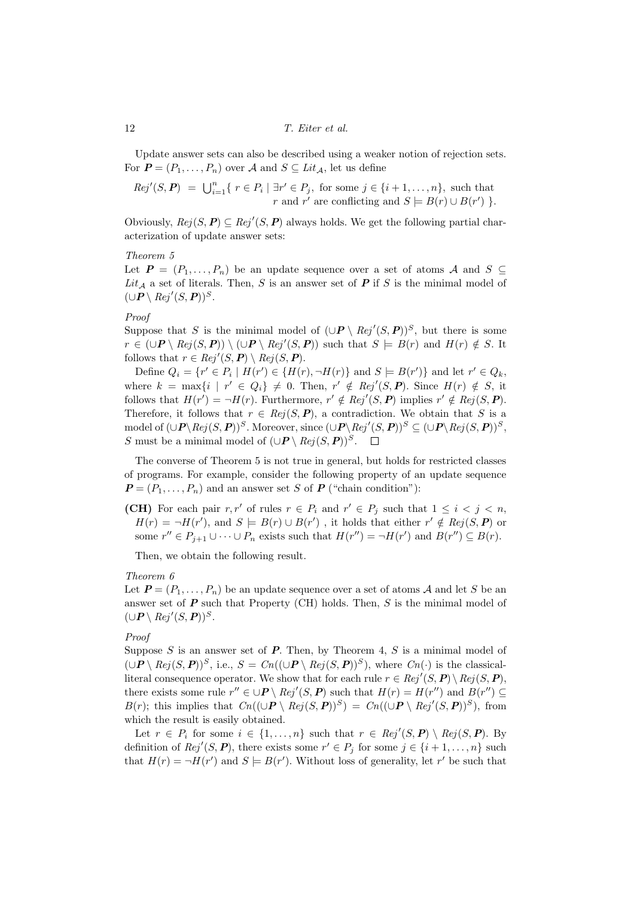Update answer sets can also be described using a weaker notion of rejection sets. For  $P = (P_1, \ldots, P_n)$  over A and  $S \subseteq Lit_{\mathcal{A}}$ , let us define

$$
Rej'(S, P) = \bigcup_{i=1}^{n} \{ r \in P_i \mid \exists r' \in P_j, \text{ for some } j \in \{i+1, ..., n\}, \text{ such that } r \text{ and } r' \text{ are conflicting and } S \models B(r) \cup B(r') \}.
$$

Obviously,  $Rej(S, P) \subseteq Rej'(S, P)$  always holds. We get the following partial characterization of update answer sets:

#### Theorem 5

Let  $P = (P_1, \ldots, P_n)$  be an update sequence over a set of atoms A and  $S \subseteq$  $Lit_A$  a set of literals. Then, S is an answer set of P if S is the minimal model of  $(\cup \mathbf{P} \setminus \mathit{Rej}'(S, \mathbf{P}))^S.$ 

#### Proof

Suppose that S is the minimal model of  $(\cup P \setminus \text{Rej}'(S, P))^S$ , but there is some  $r \in (\cup P \setminus \text{Rej}(S, P)) \setminus (\cup P \setminus \text{Rej}'(S, P))$  such that  $S \models B(r)$  and  $H(r) \notin S$ . It follows that  $r \in Rej'(S, P) \setminus Rej(S, P)$ .

Define  $Q_i = \{r' \in P_i \mid H(r') \in \{H(r), \neg H(r)\}\$  and  $S \models B(r')\}$  and let  $r' \in Q_k$ , where  $k = \max\{i \mid r' \in Q_i\} \neq 0$ . Then,  $r' \notin Rej'(S, P)$ . Since  $H(r) \notin S$ , it follows that  $H(r') = \neg H(r)$ . Furthermore,  $r' \notin Rej'(S, P)$  implies  $r' \notin Rej(S, P)$ . Therefore, it follows that  $r \in Rej(S, P)$ , a contradiction. We obtain that S is a model of  $(\cup P \setminus Rej(S, P))^{S}$ . Moreover, since  $(\cup P \setminus Rej'(S, P))^{S} \subseteq (\cup P \setminus Rej(S, P))^{S}$ , S must be a minimal model of  $(\cup P \setminus \text{Rej}(S, P))^S$ . ा

The converse of Theorem 5 is not true in general, but holds for restricted classes of programs. For example, consider the following property of an update sequence  $\mathbf{P} = (P_1, \ldots, P_n)$  and an answer set S of P ("chain condition"):

**(CH)** For each pair  $r, r'$  of rules  $r \in P_i$  and  $r' \in P_j$  such that  $1 \leq i < j < n$ ,  $H(r) = \neg H(r')$ , and  $S \models B(r) \cup B(r')$ , it holds that either  $r' \notin Rej(S, P)$  or some  $r'' \in P_{j+1} \cup \cdots \cup P_n$  exists such that  $H(r'') = \neg H(r')$  and  $B(r'') \subseteq B(r)$ .

Then, we obtain the following result.

#### Theorem 6

Let  $P = (P_1, \ldots, P_n)$  be an update sequence over a set of atoms A and let S be an answer set of  $P$  such that Property (CH) holds. Then,  $S$  is the minimal model of  $(\cup \mathbf{P} \setminus \mathit{Rej}'(S, \mathbf{P}))^S.$ 

### Proof

Suppose S is an answer set of  $P$ . Then, by Theorem 4, S is a minimal model of  $(\cup P \setminus \text{Rej}(S, P))^S$ , i.e.,  $S = \text{Cn}((\cup P \setminus \text{Rej}(S, P))^S)$ , where  $\text{Cn}(\cdot)$  is the classicalliteral consequence operator. We show that for each rule  $r \in Rej'(S, P) \setminus Rej(S, P)$ , there exists some rule  $r'' \in \bigcup P \setminus \text{Rej}'(S, P)$  such that  $H(r) = H(r'')$  and  $B(r'') \subseteq$  $B(r)$ ; this implies that  $Cn((\cup P \setminus Rej(S, P))^S) = Cn((\cup P \setminus Rej'(S, P))^S)$ , from which the result is easily obtained.

Let  $r \in P_i$  for some  $i \in \{1, ..., n\}$  such that  $r \in Rej'(S, P) \setminus Rej(S, P)$ . By definition of  $Rej'(S, P)$ , there exists some  $r' \in P_j$  for some  $j \in \{i+1, \ldots, n\}$  such that  $H(r) = \neg H(r')$  and  $S \models B(r')$ . Without loss of generality, let r' be such that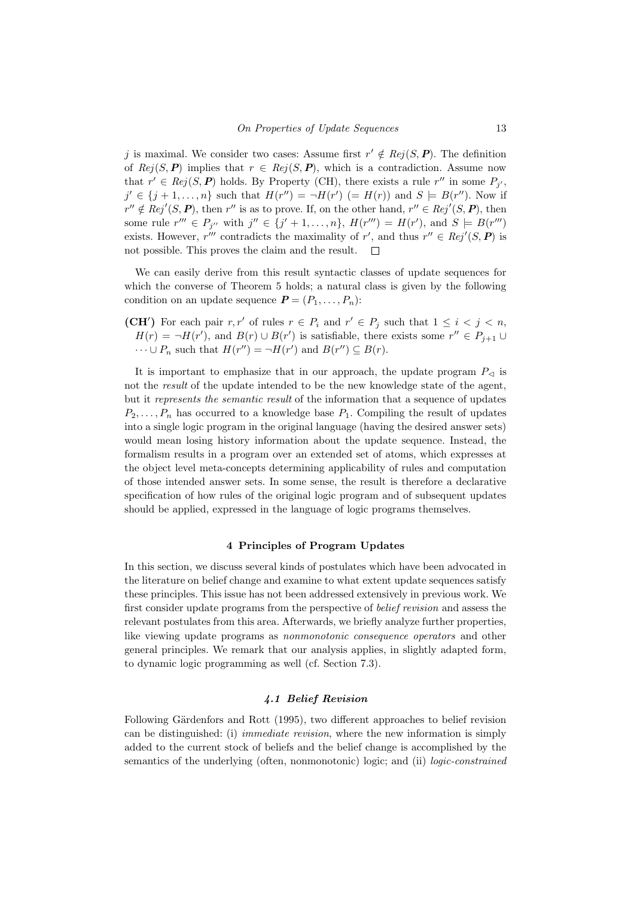j is maximal. We consider two cases: Assume first  $r' \notin \text{Rej}(S, P)$ . The definition of  $Rej(S, P)$  implies that  $r \in Rej(S, P)$ , which is a contradiction. Assume now that  $r' \in Rej(S, P)$  holds. By Property (CH), there exists a rule  $r''$  in some  $P_{j'}$ ,  $j' \in \{j+1,\ldots,n\}$  such that  $H(r'') = \neg H(r')$   $(= H(r))$  and  $S \models B(r'')$ . Now if  $r'' \notin \text{Rej}'(S, P)$ , then  $r''$  is as to prove. If, on the other hand,  $r'' \in \text{Rej}'(S, P)$ , then some rule  $r''' \in P_{j''}$  with  $j'' \in \{j' + 1, ..., n\}$ ,  $H(r''') = H(r')$ , and  $S \models B(r''')$ exists. However, r''' contradicts the maximality of r', and thus  $r'' \in \text{Rej}'(S, P)$  is not possible. This proves the claim and the result.  $\Box$ 

We can easily derive from this result syntactic classes of update sequences for which the converse of Theorem 5 holds; a natural class is given by the following condition on an update sequence  $\mathbf{P} = (P_1, \ldots, P_n)$ :

**(CH')** For each pair  $r, r'$  of rules  $r \in P_i$  and  $r' \in P_j$  such that  $1 \leq i < j < n$ ,  $H(r) = \neg H(r')$ , and  $B(r) \cup B(r')$  is satisfiable, there exists some  $r'' \in P_{j+1} \cup$  $\cdots \cup P_n$  such that  $H(r'') = \neg H(r')$  and  $B(r'') \subseteq B(r)$ .

It is important to emphasize that in our approach, the update program  $P_{\leq l}$  is not the *result* of the update intended to be the new knowledge state of the agent, but it represents the semantic result of the information that a sequence of updates  $P_2, \ldots, P_n$  has occurred to a knowledge base  $P_1$ . Compiling the result of updates into a single logic program in the original language (having the desired answer sets) would mean losing history information about the update sequence. Instead, the formalism results in a program over an extended set of atoms, which expresses at the object level meta-concepts determining applicability of rules and computation of those intended answer sets. In some sense, the result is therefore a declarative specification of how rules of the original logic program and of subsequent updates should be applied, expressed in the language of logic programs themselves.

### 4 Principles of Program Updates

In this section, we discuss several kinds of postulates which have been advocated in the literature on belief change and examine to what extent update sequences satisfy these principles. This issue has not been addressed extensively in previous work. We first consider update programs from the perspective of *belief revision* and assess the relevant postulates from this area. Afterwards, we briefly analyze further properties, like viewing update programs as nonmonotonic consequence operators and other general principles. We remark that our analysis applies, in slightly adapted form, to dynamic logic programming as well (cf. Section 7.3).

### 4.1 Belief Revision

Following Gärdenfors and Rott (1995), two different approaches to belief revision can be distinguished: (i) immediate revision, where the new information is simply added to the current stock of beliefs and the belief change is accomplished by the semantics of the underlying (often, nonmonotonic) logic; and (ii) logic-constrained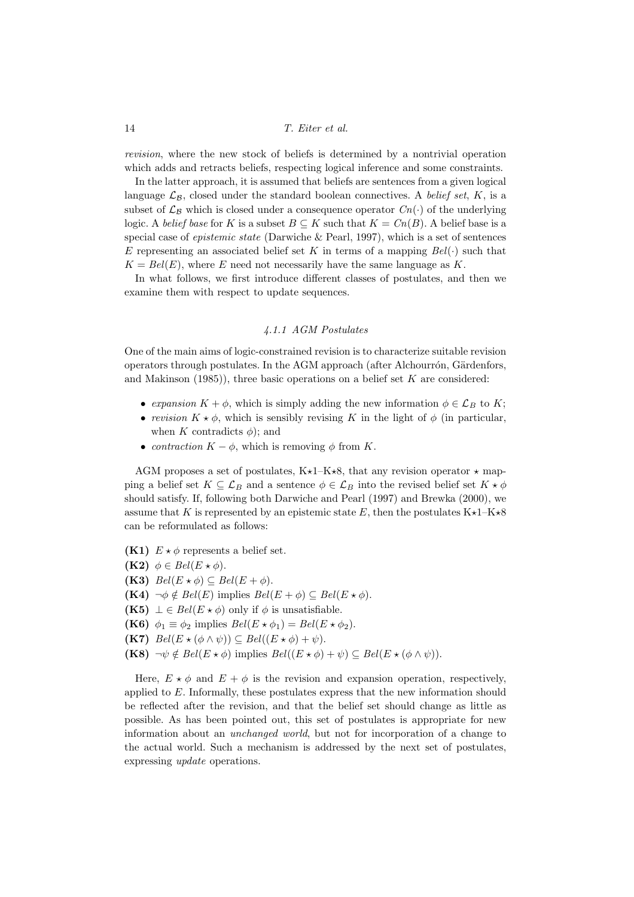revision, where the new stock of beliefs is determined by a nontrivial operation which adds and retracts beliefs, respecting logical inference and some constraints.

In the latter approach, it is assumed that beliefs are sentences from a given logical language  $\mathcal{L}_{\mathcal{B}}$ , closed under the standard boolean connectives. A *belief set*, K, is a subset of  $\mathcal{L}_\mathcal{B}$  which is closed under a consequence operator  $C_n(\cdot)$  of the underlying logic. A belief base for K is a subset  $B \subseteq K$  such that  $K = Cn(B)$ . A belief base is a special case of epistemic state (Darwiche & Pearl, 1997), which is a set of sentences E representing an associated belief set K in terms of a mapping  $Bel(\cdot)$  such that  $K = Bel(E)$ , where E need not necessarily have the same language as K.

In what follows, we first introduce different classes of postulates, and then we examine them with respect to update sequences.

### 4.1.1 AGM Postulates

One of the main aims of logic-constrained revision is to characterize suitable revision operators through postulates. In the AGM approach (after Alchourrón, Gärdenfors, and Makinson  $(1985)$ , three basic operations on a belief set K are considered:

- expansion  $K + \phi$ , which is simply adding the new information  $\phi \in \mathcal{L}_B$  to K;
- revision  $K \star \phi$ , which is sensibly revising K in the light of  $\phi$  (in particular, when K contradicts  $\phi$ ); and
- contraction  $K \phi$ , which is removing  $\phi$  from K.

AGM proposes a set of postulates, K $\star$ 1–K $\star$ 8, that any revision operator  $\star$  mapping a belief set  $K \subseteq \mathcal{L}_B$  and a sentence  $\phi \in \mathcal{L}_B$  into the revised belief set  $K \star \phi$ should satisfy. If, following both Darwiche and Pearl (1997) and Brewka (2000), we assume that K is represented by an epistemic state E, then the postulates  $K\star 1-K\star 8$ can be reformulated as follows:

- (K1)  $E \star \phi$  represents a belief set.
- (K2)  $\phi \in Bel(E \star \phi)$ .
- (K3)  $Bel(E \star \phi) \subseteq Bel(E + \phi)$ .
- $(K4) \neg \phi \notin Bel(E)$  implies  $Bel(E + \phi) \subseteq Bel(E \star \phi)$ .
- (K5)  $\perp \in Bel(E \star \phi)$  only if  $\phi$  is unsatisfiable.
- (K6)  $\phi_1 \equiv \phi_2$  implies  $Bel(E \star \phi_1) = Bel(E \star \phi_2)$ .
- (K7)  $Bel(E \star (\phi \wedge \psi)) \subseteq Bel((E \star \phi) + \psi).$
- (K8)  $\neg \psi \notin Bel(E \star \phi)$  implies  $Bel((E \star \phi) + \psi) \subseteq Bel(E \star (\phi \wedge \psi)).$

Here,  $E \star \phi$  and  $E + \phi$  is the revision and expansion operation, respectively, applied to E. Informally, these postulates express that the new information should be reflected after the revision, and that the belief set should change as little as possible. As has been pointed out, this set of postulates is appropriate for new information about an unchanged world, but not for incorporation of a change to the actual world. Such a mechanism is addressed by the next set of postulates, expressing update operations.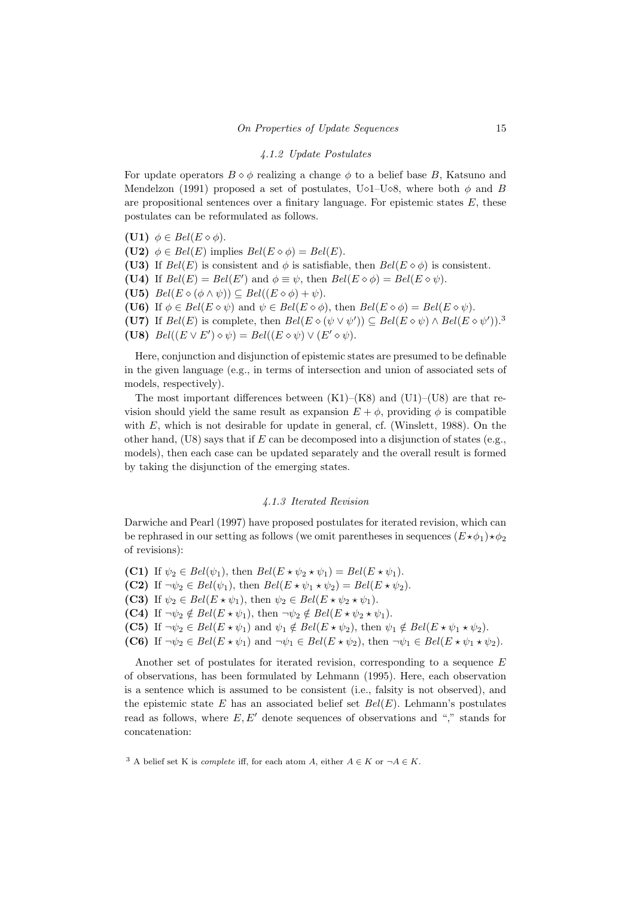### 4.1.2 Update Postulates

For update operators  $B \diamond \phi$  realizing a change  $\phi$  to a belief base B, Katsuno and Mendelzon (1991) proposed a set of postulates,  $U\triangleleft-\overline{U}\triangleleft 8$ , where both  $\phi$  and B are propositional sentences over a finitary language. For epistemic states  $E$ , these postulates can be reformulated as follows.

(U1)  $\phi \in Bel(E \diamond \phi)$ . (U2)  $\phi \in Bel(E)$  implies  $Bel(E \diamond \phi) = Bel(E)$ . (U3) If  $Bel(E)$  is consistent and  $\phi$  is satisfiable, then  $Bel(E \diamond \phi)$  is consistent. (U4) If  $Bel(E) = Bel(E')$  and  $\phi \equiv \psi$ , then  $Bel(E \diamond \phi) = Bel(E \diamond \psi)$ . (U5)  $Bel(E \diamond (\phi \wedge \psi)) \subseteq Bel((E \diamond \phi) + \psi).$ (U6) If  $\phi \in Bel(E \diamond \psi)$  and  $\psi \in Bel(E \diamond \phi)$ , then  $Bel(E \diamond \phi) = Bel(E \diamond \psi)$ . (U7) If  $Bel(E)$  is complete, then  $Bel(E \diamond (\psi \vee \psi')) \subseteq Bel(E \diamond \psi) \wedge Bel(E \diamond \psi'))$ .<sup>3</sup> (U8)  $Bel((E \vee E') \diamond \psi) = Bel((E \diamond \psi) \vee (E' \diamond \psi).$ 

Here, conjunction and disjunction of epistemic states are presumed to be definable in the given language (e.g., in terms of intersection and union of associated sets of models, respectively).

The most important differences between  $(K1)$ – $(K8)$  and  $(U1)$ – $(U8)$  are that revision should yield the same result as expansion  $E + \phi$ , providing  $\phi$  is compatible with  $E$ , which is not desirable for update in general, cf. (Winslett, 1988). On the other hand,  $(U8)$  says that if E can be decomposed into a disjunction of states (e.g., models), then each case can be updated separately and the overall result is formed by taking the disjunction of the emerging states.

### 4.1.3 Iterated Revision

Darwiche and Pearl (1997) have proposed postulates for iterated revision, which can be rephrased in our setting as follows (we omit parentheses in sequences  $(E \star \phi_1) \star \phi_2$ of revisions):

(C1) If  $\psi_2 \in Bel(\psi_1)$ , then  $Bel(E \star \psi_2 \star \psi_1) = Bel(E \star \psi_1)$ . (C2) If  $\neg \psi_2 \in Bel(\psi_1)$ , then  $Bel(E \star \psi_1 \star \psi_2) = Bel(E \star \psi_2)$ . (C3) If  $\psi_2 \in Bel(E \star \psi_1)$ , then  $\psi_2 \in Bel(E \star \psi_2 \star \psi_1)$ . (C4) If  $\neg \psi_2 \notin Bel(E \star \psi_1)$ , then  $\neg \psi_2 \notin Bel(E \star \psi_2 \star \psi_1)$ . (C5) If  $\neg \psi_2 \in Bel(E \star \psi_1)$  and  $\psi_1 \notin Bel(E \star \psi_2)$ , then  $\psi_1 \notin Bel(E \star \psi_1 \star \psi_2)$ . (C6) If  $\neg \psi_2 \in Bel(E \star \psi_1)$  and  $\neg \psi_1 \in Bel(E \star \psi_2)$ , then  $\neg \psi_1 \in Bel(E \star \psi_1 \star \psi_2)$ .

Another set of postulates for iterated revision, corresponding to a sequence  $E$ of observations, has been formulated by Lehmann (1995). Here, each observation is a sentence which is assumed to be consistent (i.e., falsity is not observed), and the epistemic state  $E$  has an associated belief set  $Bel(E)$ . Lehmann's postulates read as follows, where  $E, E'$  denote sequences of observations and "," stands for concatenation:

<sup>3</sup> A belief set K is *complete* iff, for each atom A, either  $A \in K$  or  $\neg A \in K$ .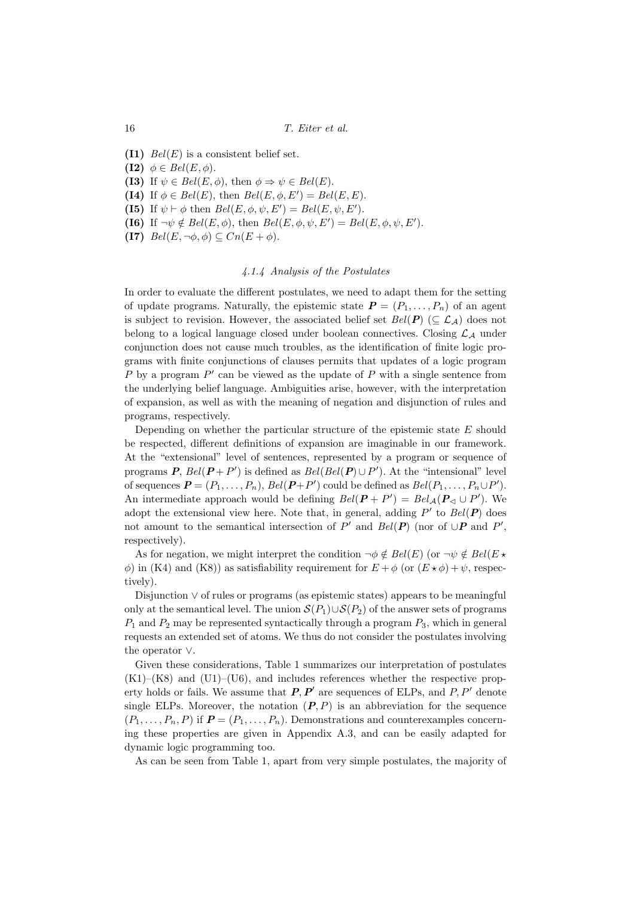(I1)  $Bel(E)$  is a consistent belief set.

- (I2)  $\phi \in Bel(E, \phi)$ .
- (I3) If  $\psi \in Bel(E, \phi)$ , then  $\phi \Rightarrow \psi \in Bel(E)$ .
- (I4) If  $\phi \in Bel(E)$ , then  $Bel(E, \phi, E') = Bel(E, E)$ .
- (I5) If  $\psi \vdash \phi$  then  $Bel(E, \phi, \psi, E') = Bel(E, \psi, E').$
- (I6) If  $\neg \psi \notin Bel(E, \phi)$ , then  $Bel(E, \phi, \psi, E') = Bel(E, \phi, \psi, E')$ .
- (I7)  $Bel(E, \neg \phi, \phi) \subseteq Cn(E + \phi)$ .

### 4.1.4 Analysis of the Postulates

In order to evaluate the different postulates, we need to adapt them for the setting of update programs. Naturally, the epistemic state  $P = (P_1, \ldots, P_n)$  of an agent is subject to revision. However, the associated belief set  $Bel(P)$  ( $\subseteq$   $\mathcal{L}_\mathcal{A}$ ) does not belong to a logical language closed under boolean connectives. Closing  $\mathcal{L}_A$  under conjunction does not cause much troubles, as the identification of finite logic programs with finite conjunctions of clauses permits that updates of a logic program P by a program  $P'$  can be viewed as the update of P with a single sentence from the underlying belief language. Ambiguities arise, however, with the interpretation of expansion, as well as with the meaning of negation and disjunction of rules and programs, respectively.

Depending on whether the particular structure of the epistemic state  $E$  should be respected, different definitions of expansion are imaginable in our framework. At the "extensional" level of sentences, represented by a program or sequence of programs P,  $Bel(P + P')$  is defined as  $Bel(Bel(P) \cup P')$ . At the "intensional" level of sequences  $\boldsymbol{P} = (P_1, \ldots, P_n)$ ,  $Bel(\boldsymbol{P}+P')$  could be defined as  $Bel(P_1, \ldots, P_n \cup P')$ . An intermediate approach would be defining  $Bel(\mathbf{P} + P') = Bel_{\mathcal{A}}(\mathbf{P}_{\lhd} \cup P')$ . We adopt the extensional view here. Note that, in general, adding  $P'$  to  $Bel(P)$  does not amount to the semantical intersection of  $P'$  and  $Bel(P)$  (nor of  $\cup P$  and  $P'$ , respectively).

As for negation, we might interpret the condition  $\neg \phi \notin Bel(E)$  (or  $\neg \psi \notin Bel(E \star$ φ) in (K4) and (K8)) as satisfiability requirement for  $E + φ$  (or  $(E \star φ) + ψ$ , respectively).

Disjunction ∨ of rules or programs (as epistemic states) appears to be meaningful only at the semantical level. The union  $S(P_1) \cup S(P_2)$  of the answer sets of programs  $P_1$  and  $P_2$  may be represented syntactically through a program  $P_3$ , which in general requests an extended set of atoms. We thus do not consider the postulates involving the operator ∨.

Given these considerations, Table 1 summarizes our interpretation of postulates  $(K1)$ – $(K8)$  and  $(U1)$ – $(U6)$ , and includes references whether the respective property holds or fails. We assume that  $P, P'$  are sequences of ELPs, and  $P, P'$  denote single ELPs. Moreover, the notation  $(P, P)$  is an abbreviation for the sequence  $(P_1, \ldots, P_n, P)$  if  $P = (P_1, \ldots, P_n)$ . Demonstrations and counterexamples concerning these properties are given in Appendix A.3, and can be easily adapted for dynamic logic programming too.

As can be seen from Table 1, apart from very simple postulates, the majority of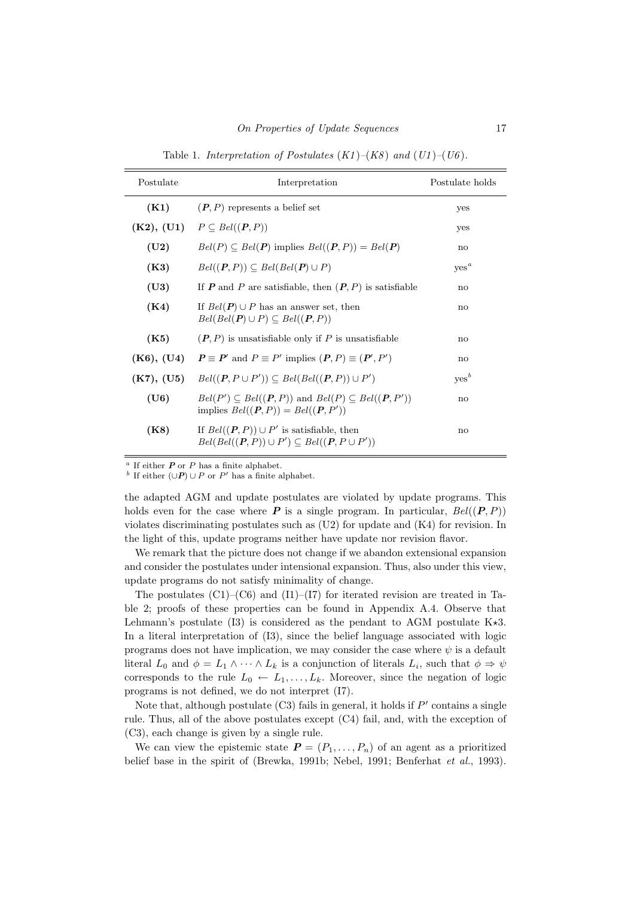| Postulate  | Interpretation                                                                                              | Postulate holds |
|------------|-------------------------------------------------------------------------------------------------------------|-----------------|
| (K1)       | $(P, P)$ represents a belief set                                                                            | yes             |
|            | $(K2), (U1)$ $P \subseteq Bel((P, P))$                                                                      | yes             |
| (U2)       | $Bel(P) \subseteq Bel(P)$ implies $Bel((P, P)) = Bel(P)$                                                    | $\mathbf{n}$    |
| (K3)       | $Bel(P, P) \subseteq Bel(Bel(P) \cup P)$                                                                    | $yes^a$         |
| (U3)       | If $P$ and $P$ are satisfiable, then $(P, P)$ is satisfiable                                                | $\mathbf{n}$    |
| (K4)       | If $Bel(P) \cup P$ has an answer set, then<br>$Bel(Bel(P) \cup P) \subseteq Bel((P, P))$                    | $\mathbf{n}$    |
| (K5)       | $(P, P)$ is unsatisfiable only if P is unsatisfiable                                                        | no              |
| (K6), (U4) | $P \equiv P'$ and $P \equiv P'$ implies $(P, P) \equiv (P', P')$                                            | $\mathbf{n}$    |
| (K7), (U5) | $Bel((P, P \cup P')) \subseteq Bel(Bel((P, P)) \cup P')$                                                    | $yes^b$         |
| (U6)       | $Bel(P') \subseteq Bel((P, P))$ and $Bel(P) \subseteq Bel((P, P'))$<br>implies $Bel((P, P)) = Bel((P, P'))$ | $\mathbf{n}$    |
| (K8)       | If $Bel((P, P)) \cup P'$ is satisfiable, then<br>$Bel(Bel((P, P)) \cup P') \subseteq Bel((P, P \cup P'))$   | $\mathbf{n}$    |

Table 1. Interpretation of Postulates  $(K1)$ – $(K8)$  and  $(U1)$ – $(U6)$ .

 $a$  If either  $P$  or  $P$  has a finite alphabet.

<sup>b</sup> If either  $(\cup P) \cup P$  or  $P'$  has a finite alphabet.

the adapted AGM and update postulates are violated by update programs. This holds even for the case where **P** is a single program. In particular,  $Bel((P, P))$ violates discriminating postulates such as (U2) for update and (K4) for revision. In the light of this, update programs neither have update nor revision flavor.

We remark that the picture does not change if we abandon extensional expansion and consider the postulates under intensional expansion. Thus, also under this view, update programs do not satisfy minimality of change.

The postulates  $(C1)$ – $(C6)$  and  $(I1)$ – $(I7)$  for iterated revision are treated in Table 2; proofs of these properties can be found in Appendix A.4. Observe that Lehmann's postulate (I3) is considered as the pendant to AGM postulate  $K\star 3$ . In a literal interpretation of (I3), since the belief language associated with logic programs does not have implication, we may consider the case where  $\psi$  is a default literal  $L_0$  and  $\phi = L_1 \wedge \cdots \wedge L_k$  is a conjunction of literals  $L_i$ , such that  $\phi \Rightarrow \psi$ corresponds to the rule  $L_0 \leftarrow L_1, \ldots, L_k$ . Moreover, since the negation of logic programs is not defined, we do not interpret (I7).

Note that, although postulate  $(C3)$  fails in general, it holds if  $P'$  contains a single rule. Thus, all of the above postulates except (C4) fail, and, with the exception of (C3), each change is given by a single rule.

We can view the epistemic state  $P = (P_1, \ldots, P_n)$  of an agent as a prioritized belief base in the spirit of (Brewka, 1991b; Nebel, 1991; Benferhat et al., 1993).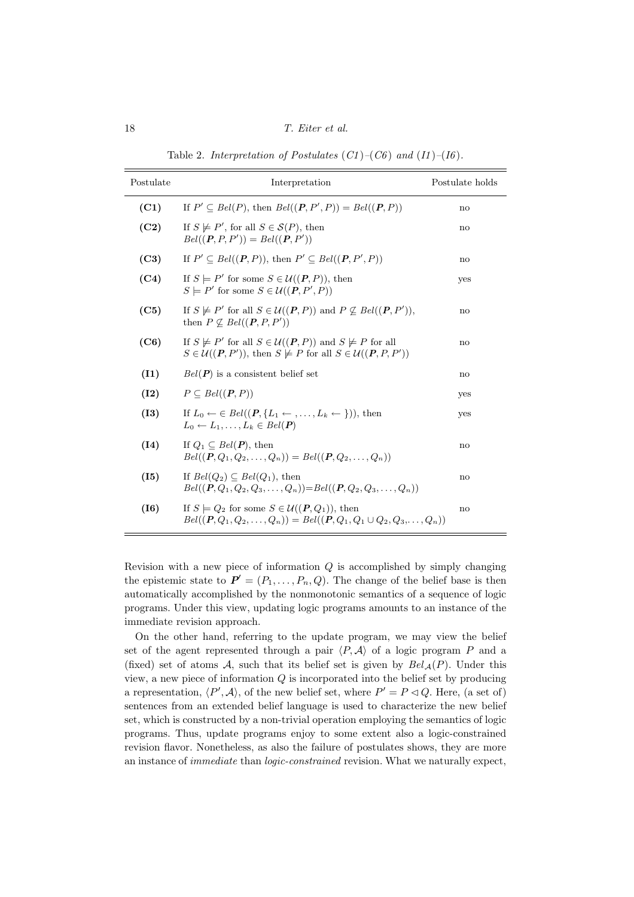18 T. Eiter et al.

| Postulate | Interpretation                                                                                                                                                                           | Postulate holds |
|-----------|------------------------------------------------------------------------------------------------------------------------------------------------------------------------------------------|-----------------|
| (C1)      | If $P' \subseteq Bel(P)$ , then $Bel((P, P', P)) = Bel((P, P))$                                                                                                                          | no              |
| (C2)      | If $S \not\models P'$ , for all $S \in \mathcal{S}(P)$ , then<br>$Bel((P, P, P')) = Bel((P, P'))$                                                                                        | no              |
| (C3)      | If $P' \subseteq Bel((P, P))$ , then $P' \subseteq Bel((P, P', P))$                                                                                                                      | no              |
| (C4)      | If $S \models P'$ for some $S \in \mathcal{U}((P, P))$ , then<br>$S \models P'$ for some $S \in \mathcal{U}((P, P', P))$                                                                 | yes             |
| (C5)      | If $S \not\models P'$ for all $S \in \mathcal{U}((P, P))$ and $P \not\subseteq Bel((P, P')),$<br>then $P \not\subseteq Bel((P, P, P'))$                                                  | no              |
| (C6)      | If $S \not\models P'$ for all $S \in \mathcal{U}((P, P))$ and $S \not\models P$ for all<br>$S \in \mathcal{U}((P, P'))$ , then $S \not\models P$ for all $S \in \mathcal{U}((P, P, P'))$ | no              |
| (I1)      | $Bel(P)$ is a consistent belief set                                                                                                                                                      | no              |
| (I2)      | $P \subseteq Bel((P, P))$                                                                                                                                                                | yes             |
| (I3)      | If $L_0 \leftarrow \in Bel((P, \{L_1 \leftarrow \ldots, L_k \leftarrow \})\)$ , then<br>$L_0 \leftarrow L_1, \ldots, L_k \in Bel(P)$                                                     | yes             |
| (14)      | If $Q_1 \subset Bel(P)$ , then<br>$Bel((P,Q_1,Q_2,\ldots,Q_n)) = Bel((P,Q_2,\ldots,Q_n))$                                                                                                | no              |
| (I5)      | If $Bel(Q_2) \subseteq Bel(Q_1)$ , then<br>$Bel((P, Q_1, Q_2, Q_3, \ldots, Q_n)) = Bel((P, Q_2, Q_3, \ldots, Q_n))$                                                                      | no              |
| (I6)      | If $S \models Q_2$ for some $S \in \mathcal{U}((P,Q_1))$ , then<br>$Bel((P, Q_1, Q_2, \ldots, Q_n)) = Bel((P, Q_1, Q_1 \cup Q_2, Q_3, \ldots, Q_n))$                                     | no              |

Table 2. Interpretation of Postulates  $(C1)$ – $(C6)$  and  $(11)$ – $(16)$ .

Revision with a new piece of information  $Q$  is accomplished by simply changing the epistemic state to  $P' = (P_1, \ldots, P_n, Q)$ . The change of the belief base is then automatically accomplished by the nonmonotonic semantics of a sequence of logic programs. Under this view, updating logic programs amounts to an instance of the immediate revision approach.

On the other hand, referring to the update program, we may view the belief set of the agent represented through a pair  $\langle P, A \rangle$  of a logic program P and a (fixed) set of atoms A, such that its belief set is given by  $Bel_{\mathcal{A}}(P)$ . Under this view, a new piece of information  $Q$  is incorporated into the belief set by producing a representation,  $\langle P', \mathcal{A} \rangle$ , of the new belief set, where  $P' = P \triangleleft Q$ . Here, (a set of) sentences from an extended belief language is used to characterize the new belief set, which is constructed by a non-trivial operation employing the semantics of logic programs. Thus, update programs enjoy to some extent also a logic-constrained revision flavor. Nonetheless, as also the failure of postulates shows, they are more an instance of immediate than logic-constrained revision. What we naturally expect,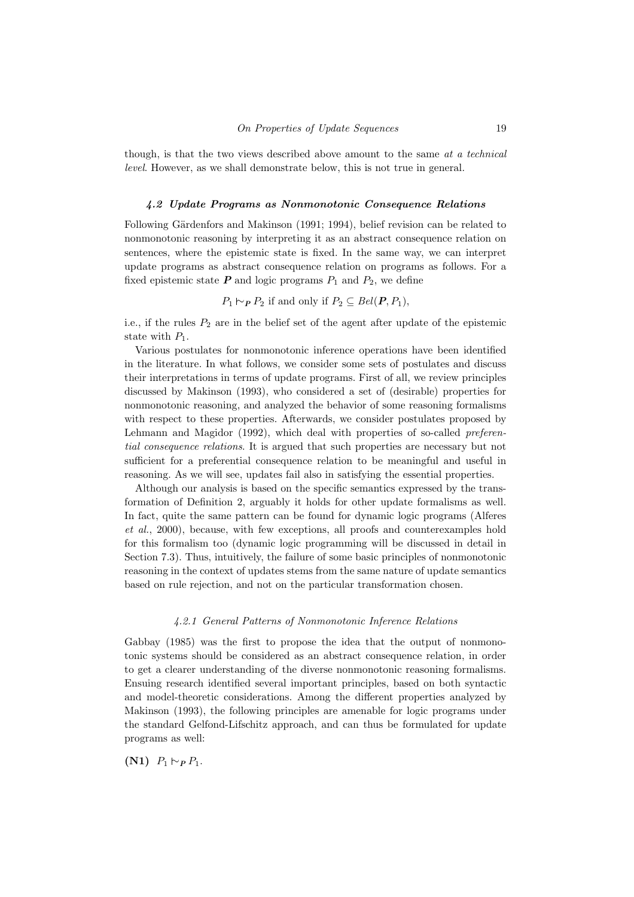though, is that the two views described above amount to the same at a technical level. However, as we shall demonstrate below, this is not true in general.

#### 4.2 Update Programs as Nonmonotonic Consequence Relations

Following Gärdenfors and Makinson (1991; 1994), belief revision can be related to nonmonotonic reasoning by interpreting it as an abstract consequence relation on sentences, where the epistemic state is fixed. In the same way, we can interpret update programs as abstract consequence relation on programs as follows. For a fixed epistemic state  $P$  and logic programs  $P_1$  and  $P_2$ , we define

$$
P_1 \rightarrow P_2
$$
 if and only if  $P_2 \subseteq Bel(P, P_1)$ ,

i.e., if the rules  $P_2$  are in the belief set of the agent after update of the epistemic state with  $P_1$ .

Various postulates for nonmonotonic inference operations have been identified in the literature. In what follows, we consider some sets of postulates and discuss their interpretations in terms of update programs. First of all, we review principles discussed by Makinson (1993), who considered a set of (desirable) properties for nonmonotonic reasoning, and analyzed the behavior of some reasoning formalisms with respect to these properties. Afterwards, we consider postulates proposed by Lehmann and Magidor (1992), which deal with properties of so-called *preferen*tial consequence relations. It is argued that such properties are necessary but not sufficient for a preferential consequence relation to be meaningful and useful in reasoning. As we will see, updates fail also in satisfying the essential properties.

Although our analysis is based on the specific semantics expressed by the transformation of Definition 2, arguably it holds for other update formalisms as well. In fact, quite the same pattern can be found for dynamic logic programs (Alferes et al., 2000), because, with few exceptions, all proofs and counterexamples hold for this formalism too (dynamic logic programming will be discussed in detail in Section 7.3). Thus, intuitively, the failure of some basic principles of nonmonotonic reasoning in the context of updates stems from the same nature of update semantics based on rule rejection, and not on the particular transformation chosen.

### 4.2.1 General Patterns of Nonmonotonic Inference Relations

Gabbay (1985) was the first to propose the idea that the output of nonmonotonic systems should be considered as an abstract consequence relation, in order to get a clearer understanding of the diverse nonmonotonic reasoning formalisms. Ensuing research identified several important principles, based on both syntactic and model-theoretic considerations. Among the different properties analyzed by Makinson (1993), the following principles are amenable for logic programs under the standard Gelfond-Lifschitz approach, and can thus be formulated for update programs as well:

 $(N1)$   $P_1 \sim_P P_1$ .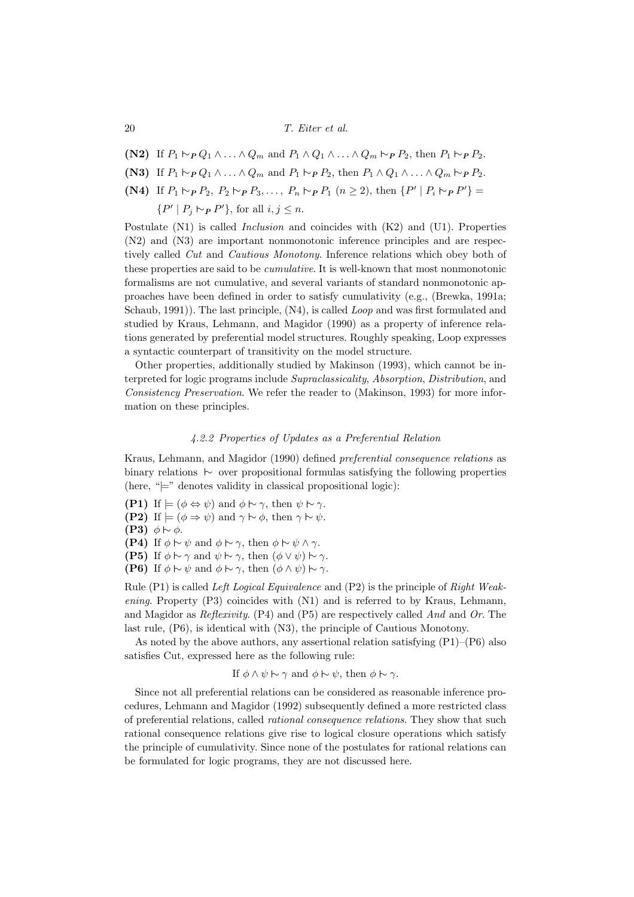(N2) If  $P_1 \rhd_{P} Q_1 \wedge \ldots \wedge Q_m$  and  $P_1 \wedge Q_1 \wedge \ldots \wedge Q_m \rhd_{P} P_2$ , then  $P_1 \rhd_{P} P_2$ .

- (N3) If  $P_1 \rhd_{\mathbf{P}} Q_1 \wedge \ldots \wedge Q_m$  and  $P_1 \rhd_{\mathbf{P}} P_2$ , then  $P_1 \wedge Q_1 \wedge \ldots \wedge Q_m \rhd_{\mathbf{P}} P_2$ .
- (N4) If  $P_1 \rhd_P P_2$ ,  $P_2 \rhd_P P_3$ , ...,  $P_n \rhd_P P_1$   $(n \ge 2)$ , then  $\{P' | P_i \rhd_P P'\}$

 $\{P' \mid P_j \vdash_{P} P'\}, \text{ for all } i, j \leq n.$ 

Postulate (N1) is called Inclusion and coincides with (K2) and (U1). Properties (N2) and (N3) are important nonmonotonic inference principles and are respectively called Cut and Cautious Monotony. Inference relations which obey both of these properties are said to be cumulative. It is well-known that most nonmonotonic formalisms are not cumulative, and several variants of standard nonmonotonic approaches have been defined in order to satisfy cumulativity (e.g., (Brewka, 1991a; Schaub, 1991)). The last principle, (N4), is called Loop and was first formulated and studied by Kraus, Lehmann, and Magidor (1990) as a property of inference relations generated by preferential model structures. Roughly speaking, Loop expresses a syntactic counterpart of transitivity on the model structure.

Other properties, additionally studied by Makinson (1993), which cannot be interpreted for logic programs include Supraclassicality, Absorption, Distribution, and Consistency Preservation. We refer the reader to (Makinson, 1993) for more information on these principles.

### 4.2.2 Properties of Updates as a Preferential Relation

Kraus, Lehmann, and Magidor (1990) defined preferential consequence relations as binary relations ∼ over propositional formulas satisfying the following properties (here, " $\models$ " denotes validity in classical propositional logic):

- (P1) If  $\models$   $(\phi \Leftrightarrow \psi)$  and  $\phi \vdash \gamma$ , then  $\psi \vdash \gamma$ .
- (P2) If  $\models$   $(\phi \Rightarrow \psi)$  and  $\gamma \rightarrow \phi$ , then  $\gamma \rightarrow \psi$ .
- (P3)  $\phi \sim \phi$ .
- (P4) If  $\phi \sim \psi$  and  $\phi \sim \gamma$ , then  $\phi \sim \psi \wedge \gamma$ .
- (P5) If  $\phi \sim \gamma$  and  $\psi \sim \gamma$ , then  $(\phi \vee \psi) \sim \gamma$ .
- (P6) If  $\phi \sim \psi$  and  $\phi \sim \gamma$ , then  $(\phi \land \psi) \sim \gamma$ .

Rule (P1) is called Left Logical Equivalence and (P2) is the principle of Right Weakening. Property (P3) coincides with (N1) and is referred to by Kraus, Lehmann, and Magidor as *Reflexivity.* (P4) and (P5) are respectively called And and Or. The last rule, (P6), is identical with (N3), the principle of Cautious Monotony.

As noted by the above authors, any assertional relation satisfying  $(P1)$ – $(P6)$  also satisfies Cut, expressed here as the following rule:

If  $\phi \land \psi \rightarrow \gamma$  and  $\phi \rightarrow \psi$ , then  $\phi \rightarrow \gamma$ .

Since not all preferential relations can be considered as reasonable inference procedures, Lehmann and Magidor (1992) subsequently defined a more restricted class of preferential relations, called rational consequence relations. They show that such rational consequence relations give rise to logical closure operations which satisfy the principle of cumulativity. Since none of the postulates for rational relations can be formulated for logic programs, they are not discussed here.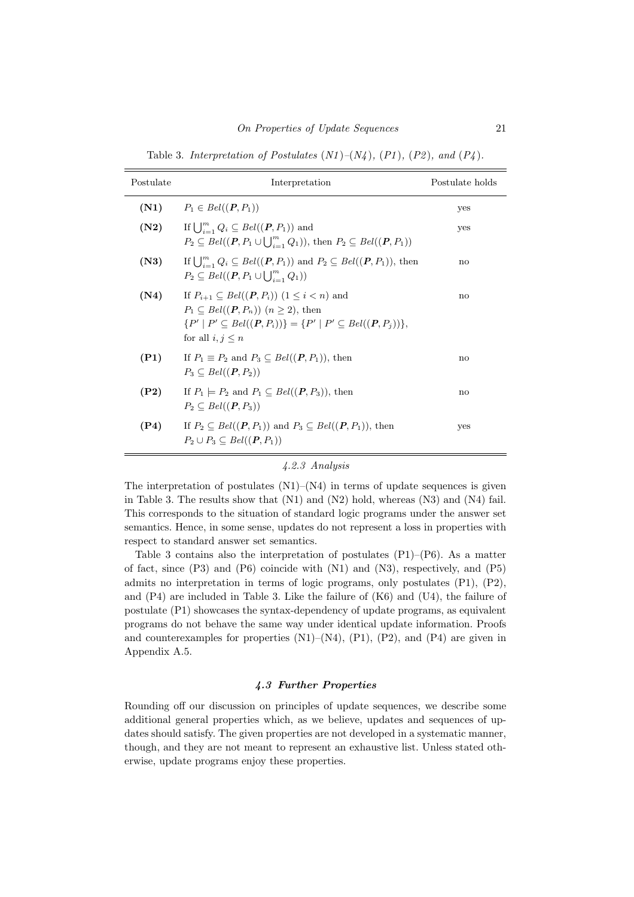Table 3. Interpretation of Postulates  $(N1)-(N_4)$ ,  $(P1)$ ,  $(P2)$ , and  $(P4)$ .

| Postulate | Interpretation                                                                                                                                                                                                            | Postulate holds |
|-----------|---------------------------------------------------------------------------------------------------------------------------------------------------------------------------------------------------------------------------|-----------------|
| (N1)      | $P_1 \in Bel((P, P_1))$                                                                                                                                                                                                   | yes             |
| (N2)      | If $\bigcup_{i=1}^m Q_i \subseteq Bel((P, P_1))$ and<br>$P_2 \subseteq Bel((P, P_1 \cup \bigcup_{i=1}^m Q_1)),$ then $P_2 \subseteq Bel((P, P_1))$                                                                        | yes             |
| (N3)      | If $\bigcup_{i=1}^m Q_i \subseteq Bel((P, P_1))$ and $P_2 \subseteq Bel((P, P_1))$ , then<br>$P_2 \subseteq Bel((P, P_1 \cup \bigcup_{i=1}^{m} Q_1))$                                                                     | no              |
| (N4)      | If $P_{i+1} \subset Bel((P, P_i))$ $(1 \leq i \leq n)$ and<br>$P_1 \subseteq Bel((P, P_n))$ $(n \geq 2)$ , then<br>$\{P'   P' \subseteq Bel((P, P_i))\} = \{P'   P' \subseteq Bel((P, P_i))\},\$<br>for all $i, j \leq n$ | no              |
| (P1)      | If $P_1 \equiv P_2$ and $P_3 \subseteq Bel((P, P_1))$ , then<br>$P_3 \subset Bel((P, P_2))$                                                                                                                               | $\mathbf{n}$    |
| (P2)      | If $P_1 \models P_2$ and $P_1 \subseteq Bel((P, P_3))$ , then<br>$P_2 \subset Bel((P, P_3))$                                                                                                                              | $\mathbf{n}$    |
|           | $(\mathbf{P4})$ If $P_2 \subseteq Bel((P, P_1))$ and $P_3 \subseteq Bel((P, P_1))$ , then<br>$P_2 \cup P_3 \subseteq Bel((P, P_1))$                                                                                       | yes             |
|           | $\cdots$                                                                                                                                                                                                                  |                 |

#### 4.2.3 Analysis

The interpretation of postulates  $(N1)$ – $(N4)$  in terms of update sequences is given in Table 3. The results show that (N1) and (N2) hold, whereas (N3) and (N4) fail. This corresponds to the situation of standard logic programs under the answer set semantics. Hence, in some sense, updates do not represent a loss in properties with respect to standard answer set semantics.

Table 3 contains also the interpretation of postulates  $(P1)$ – $(P6)$ . As a matter of fact, since (P3) and (P6) coincide with (N1) and (N3), respectively, and (P5) admits no interpretation in terms of logic programs, only postulates (P1), (P2), and  $(P4)$  are included in Table 3. Like the failure of  $(K6)$  and  $(U4)$ , the failure of postulate (P1) showcases the syntax-dependency of update programs, as equivalent programs do not behave the same way under identical update information. Proofs and counterexamples for properties  $(N1)–(N4)$ ,  $(P1)$ ,  $(P2)$ , and  $(P4)$  are given in Appendix A.5.

### 4.3 Further Properties

Rounding off our discussion on principles of update sequences, we describe some additional general properties which, as we believe, updates and sequences of updates should satisfy. The given properties are not developed in a systematic manner, though, and they are not meant to represent an exhaustive list. Unless stated otherwise, update programs enjoy these properties.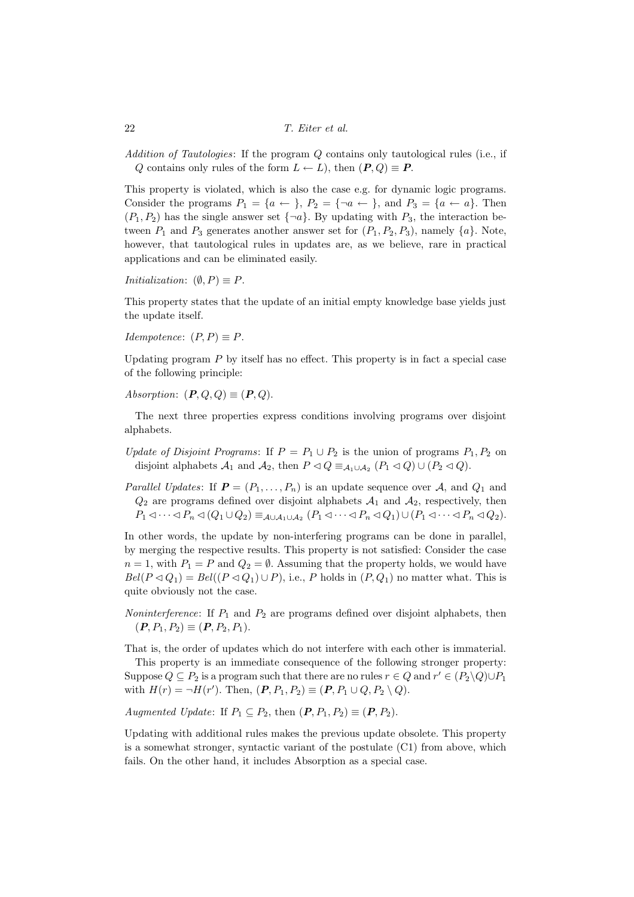Addition of Tautologies: If the program Q contains only tautological rules (i.e., if Q contains only rules of the form  $L \leftarrow L$ ), then  $(P,Q) \equiv P$ .

This property is violated, which is also the case e.g. for dynamic logic programs. Consider the programs  $P_1 = \{a \leftarrow \}$ ,  $P_2 = \{\neg a \leftarrow \}$ , and  $P_3 = \{a \leftarrow a\}$ . Then  $(P_1, P_2)$  has the single answer set  $\{\neg a\}$ . By updating with  $P_3$ , the interaction between  $P_1$  and  $P_3$  generates another answer set for  $(P_1, P_2, P_3)$ , namely  $\{a\}$ . Note, however, that tautological rules in updates are, as we believe, rare in practical applications and can be eliminated easily.

Initialization:  $(\emptyset, P) \equiv P$ .

This property states that the update of an initial empty knowledge base yields just the update itself.

Idempotence:  $(P, P) \equiv P$ .

Updating program  $P$  by itself has no effect. This property is in fact a special case of the following principle:

Absorption:  $(P, Q, Q) \equiv (P, Q)$ .

The next three properties express conditions involving programs over disjoint alphabets.

- Update of Disjoint Programs: If  $P = P_1 \cup P_2$  is the union of programs  $P_1, P_2$  on disjoint alphabets  $\mathcal{A}_1$  and  $\mathcal{A}_2$ , then  $P \lhd Q \equiv_{\mathcal{A}_1 \cup \mathcal{A}_2} (P_1 \lhd Q) \cup (P_2 \lhd Q)$ .
- *Parallel Updates:* If  $P = (P_1, \ldots, P_n)$  is an update sequence over A, and  $Q_1$  and  $Q_2$  are programs defined over disjoint alphabets  $A_1$  and  $A_2$ , respectively, then  $P_1 \triangleleft \cdots \triangleleft P_n \triangleleft (Q_1 \cup Q_2) \equiv_{\mathcal{A} \cup \mathcal{A}_1 \cup \mathcal{A}_2} (P_1 \triangleleft \cdots \triangleleft P_n \triangleleft Q_1) \cup (P_1 \triangleleft \cdots \triangleleft P_n \triangleleft Q_2).$

In other words, the update by non-interfering programs can be done in parallel, by merging the respective results. This property is not satisfied: Consider the case  $n = 1$ , with  $P_1 = P$  and  $Q_2 = \emptyset$ . Assuming that the property holds, we would have  $Bel(P \triangleleft Q_1) = Bel((P \triangleleft Q_1) \cup P)$ , i.e., P holds in  $(P, Q_1)$  no matter what. This is quite obviously not the case.

Noninterference: If  $P_1$  and  $P_2$  are programs defined over disjoint alphabets, then  $(P, P_1, P_2) \equiv (P, P_2, P_1).$ 

That is, the order of updates which do not interfere with each other is immaterial.

This property is an immediate consequence of the following stronger property: Suppose  $Q \subseteq P_2$  is a program such that there are no rules  $r \in Q$  and  $r' \in (P_2 \backslash Q) \cup P_1$ with  $H(r) = \neg H(r')$ . Then,  $(P, P_1, P_2) \equiv (P, P_1 \cup Q, P_2 \setminus Q)$ .

Augmented Update: If  $P_1 \subseteq P_2$ , then  $(\mathbf{P}, P_1, P_2) \equiv (\mathbf{P}, P_2)$ .

Updating with additional rules makes the previous update obsolete. This property is a somewhat stronger, syntactic variant of the postulate (C1) from above, which fails. On the other hand, it includes Absorption as a special case.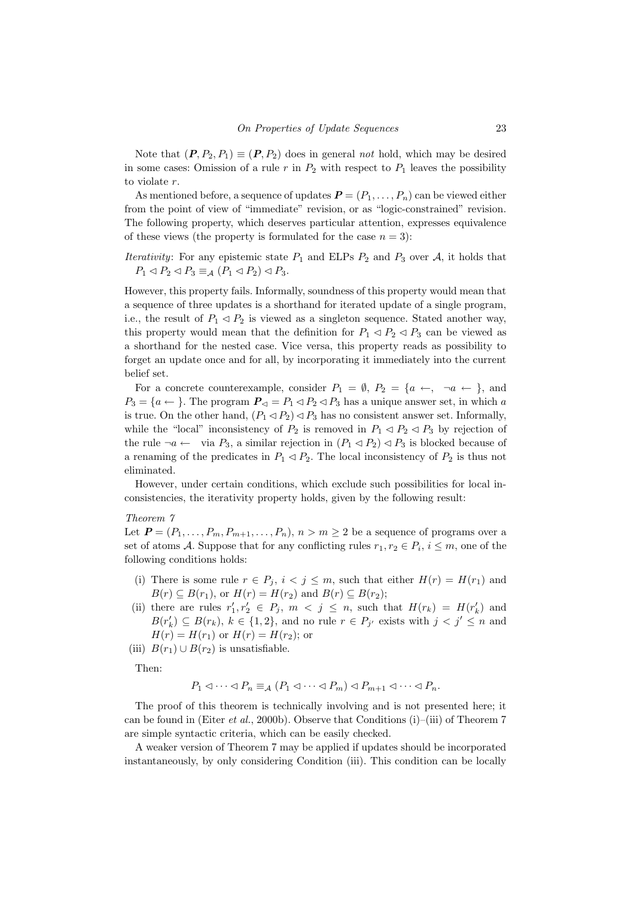Note that  $(P, P_2, P_1) \equiv (P, P_2)$  does in general not hold, which may be desired in some cases: Omission of a rule  $r$  in  $P_2$  with respect to  $P_1$  leaves the possibility to violate r.

As mentioned before, a sequence of updates  $P = (P_1, \ldots, P_n)$  can be viewed either from the point of view of "immediate" revision, or as "logic-constrained" revision. The following property, which deserves particular attention, expresses equivalence of these views (the property is formulated for the case  $n = 3$ ):

*Iterativity*: For any epistemic state  $P_1$  and ELPs  $P_2$  and  $P_3$  over A, it holds that  $P_1 \triangleleft P_2 \triangleleft P_3 \equiv_A (P_1 \triangleleft P_2) \triangleleft P_3.$ 

However, this property fails. Informally, soundness of this property would mean that a sequence of three updates is a shorthand for iterated update of a single program, i.e., the result of  $P_1 \triangleleft P_2$  is viewed as a singleton sequence. Stated another way, this property would mean that the definition for  $P_1 \triangleleft P_2 \triangleleft P_3$  can be viewed as a shorthand for the nested case. Vice versa, this property reads as possibility to forget an update once and for all, by incorporating it immediately into the current belief set.

For a concrete counterexample, consider  $P_1 = \emptyset$ ,  $P_2 = \{a \leftarrow, \neg a \leftarrow \}$ , and  $P_3 = \{a \leftarrow \}$ . The program  $P_{\lhd} = P_1 \lhd P_2 \lhd P_3$  has a unique answer set, in which a is true. On the other hand,  $(P_1 \triangleleft P_2) \triangleleft P_3$  has no consistent answer set. Informally, while the "local" inconsistency of  $P_2$  is removed in  $P_1 \triangleleft P_2 \triangleleft P_3$  by rejection of the rule  $\neg a \leftarrow \text{via } P_3$ , a similar rejection in  $(P_1 \triangleleft P_2) \triangleleft P_3$  is blocked because of a renaming of the predicates in  $P_1 \triangleleft P_2$ . The local inconsistency of  $P_2$  is thus not eliminated.

However, under certain conditions, which exclude such possibilities for local inconsistencies, the iterativity property holds, given by the following result:

### Theorem 7

Let  $P = (P_1, \ldots, P_m, P_{m+1}, \ldots, P_n), n > m \ge 2$  be a sequence of programs over a set of atoms A. Suppose that for any conflicting rules  $r_1, r_2 \in P_i$ ,  $i \leq m$ , one of the following conditions holds:

- (i) There is some rule  $r \in P_j$ ,  $i < j \leq m$ , such that either  $H(r) = H(r_1)$  and  $B(r) \subseteq B(r_1)$ , or  $H(r) = H(r_2)$  and  $B(r) \subseteq B(r_2)$ ;
- (ii) there are rules  $r'_1, r'_2 \in P_j$ ,  $m < j \leq n$ , such that  $H(r_k) = H(r'_k)$  and  $B(r'_k) \subseteq B(r_k)$ ,  $k \in \{1,2\}$ , and no rule  $r \in P_{j'}$  exists with  $j < j' \leq n$  and  $H(r) = H(r_1)$  or  $H(r) = H(r_2)$ ; or
- (iii)  $B(r_1) \cup B(r_2)$  is unsatisfiable.

Then:

$$
P_1 \triangleleft \cdots \triangleleft P_n \equiv_{\mathcal{A}} (P_1 \triangleleft \cdots \triangleleft P_m) \triangleleft P_{m+1} \triangleleft \cdots \triangleleft P_n.
$$

The proof of this theorem is technically involving and is not presented here; it can be found in (Eiter *et al.*, 2000b). Observe that Conditions (i)–(iii) of Theorem 7 are simple syntactic criteria, which can be easily checked.

A weaker version of Theorem 7 may be applied if updates should be incorporated instantaneously, by only considering Condition (iii). This condition can be locally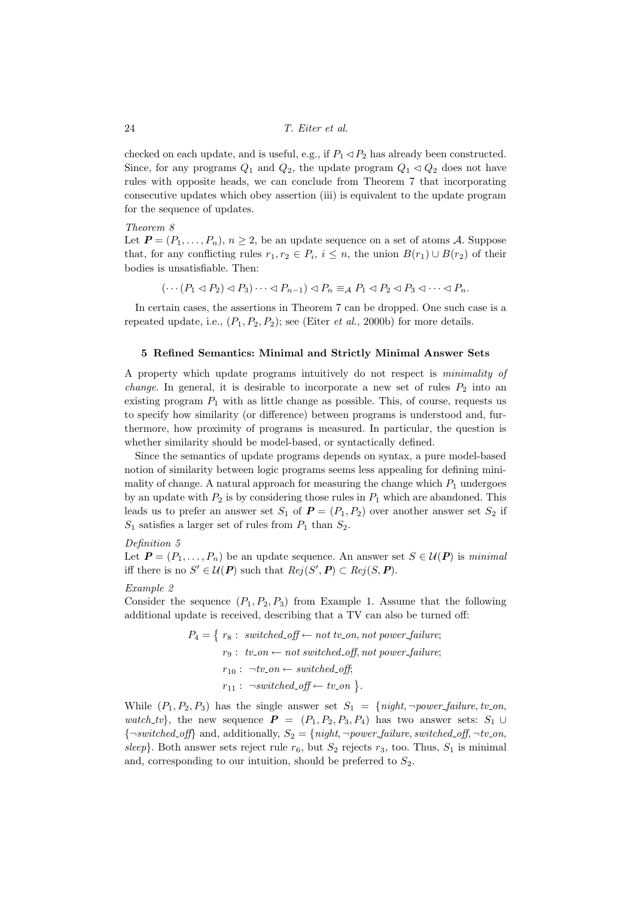checked on each update, and is useful, e.g., if  $P_1 \triangleleft P_2$  has already been constructed. Since, for any programs  $Q_1$  and  $Q_2$ , the update program  $Q_1 \triangleleft Q_2$  does not have rules with opposite heads, we can conclude from Theorem 7 that incorporating consecutive updates which obey assertion (iii) is equivalent to the update program for the sequence of updates.

# Theorem 8

Let  $P = (P_1, \ldots, P_n)$ ,  $n \geq 2$ , be an update sequence on a set of atoms A. Suppose that, for any conflicting rules  $r_1, r_2 \in P_i$ ,  $i \leq n$ , the union  $B(r_1) \cup B(r_2)$  of their bodies is unsatisfiable. Then:

 $(\cdots (P_1 \triangleleft P_2) \triangleleft P_3) \cdots \triangleleft P_{n-1}) \triangleleft P_n \equiv_A P_1 \triangleleft P_2 \triangleleft P_3 \triangleleft \cdots \triangleleft P_n$ .

In certain cases, the assertions in Theorem 7 can be dropped. One such case is a repeated update, i.e.,  $(P_1, P_2, P_2)$ ; see (Eiter *et al.*, 2000b) for more details.

#### 5 Refined Semantics: Minimal and Strictly Minimal Answer Sets

A property which update programs intuitively do not respect is minimality of *change.* In general, it is desirable to incorporate a new set of rules  $P_2$  into an existing program  $P_1$  with as little change as possible. This, of course, requests us to specify how similarity (or difference) between programs is understood and, furthermore, how proximity of programs is measured. In particular, the question is whether similarity should be model-based, or syntactically defined.

Since the semantics of update programs depends on syntax, a pure model-based notion of similarity between logic programs seems less appealing for defining minimality of change. A natural approach for measuring the change which  $P_1$  undergoes by an update with  $P_2$  is by considering those rules in  $P_1$  which are abandoned. This leads us to prefer an answer set  $S_1$  of  $P = (P_1, P_2)$  over another answer set  $S_2$  if  $S_1$  satisfies a larger set of rules from  $P_1$  than  $S_2$ .

Definition 5

Let  $P = (P_1, \ldots, P_n)$  be an update sequence. An answer set  $S \in \mathcal{U}(P)$  is minimal iff there is no  $S' \in \mathcal{U}(P)$  such that  $Rej(S', P) \subset Rej(S, P)$ .

### Example 2

Consider the sequence  $(P_1, P_2, P_3)$  from Example 1. Assume that the following additional update is received, describing that a TV can also be turned off:

$$
P_4 = \{ r_8 : \text{ switched-off} \leftarrow \text{not tv-on}, \text{not power-failure};
$$
  

$$
r_9 : \text{tv\_on} \leftarrow \text{not switched\_off}, \text{not power-failure};
$$
  

$$
r_{10} : \neg \text{tv\_on} \leftarrow \text{switched\_off};
$$
  

$$
r_{11} : \neg \text{switched\_off} \leftarrow \text{tv\_on} \}.
$$

While  $(P_1, P_2, P_3)$  has the single answer set  $S_1 = \{night, \neg power \, failure, \, tv \, on, \}$ watch tv}, the new sequence  $P = (P_1, P_2, P_3, P_4)$  has two answer sets:  $S_1 \cup$  $\{\neg switched\_off\}$  and, additionally,  $S_2 = \{night, \neg power\_failure, switched\_off, \neg tv\_on,$ sleep}. Both answer sets reject rule  $r_6$ , but  $S_2$  rejects  $r_3$ , too. Thus,  $S_1$  is minimal and, corresponding to our intuition, should be preferred to  $S_2$ .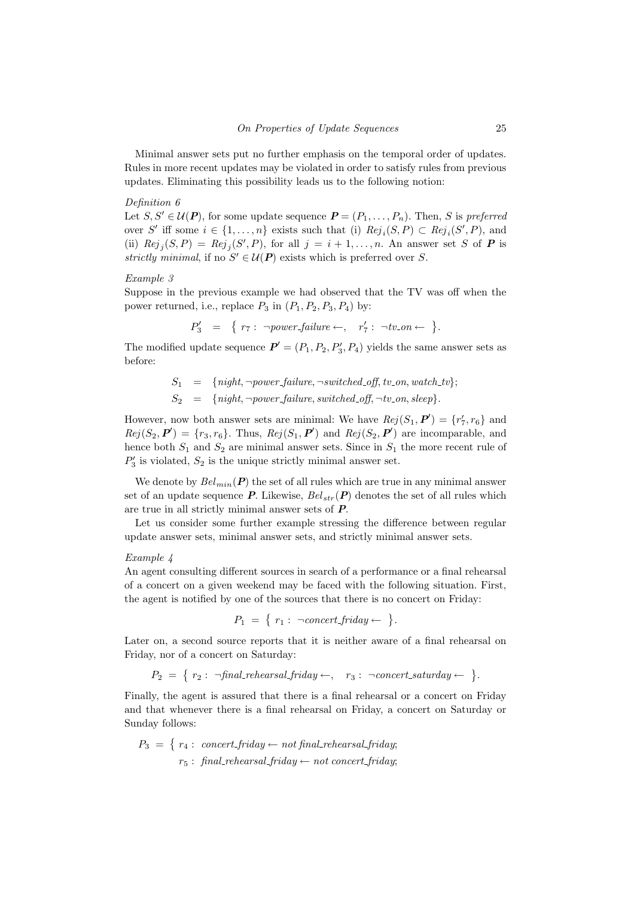Minimal answer sets put no further emphasis on the temporal order of updates. Rules in more recent updates may be violated in order to satisfy rules from previous updates. Eliminating this possibility leads us to the following notion:

### Definition 6

Let  $S, S' \in \mathcal{U}(P)$ , for some update sequence  $P = (P_1, \ldots, P_n)$ . Then, S is preferred over S' iff some  $i \in \{1, ..., n\}$  exists such that (i)  $Rej_i(S, P) \subset Rej_i(S', P)$ , and (ii)  $Re j_j(S, P) = Re j_j(S', P)$ , for all  $j = i + 1, ..., n$ . An answer set S of P is strictly minimal, if no  $S' \in \mathcal{U}(P)$  exists which is preferred over S.

#### Example 3

Suppose in the previous example we had observed that the TV was off when the power returned, i.e., replace  $P_3$  in  $(P_1, P_2, P_3, P_4)$  by:

$$
P_3' = \{ r_7 : \neg power\text{-}failure \leftarrow, r_7' : \neg tv\text{-}on \leftarrow \}.
$$

The modified update sequence  $\boldsymbol{P}' = (P_1, P_2, P'_3, P_4)$  yields the same answer sets as before:

$$
S_1 = \{night, \neg power-failure, \neg switched \neg off, tv\_on, watch\_tv\};
$$
  

$$
S_2 = \{night, \neg power-failure, switched\_off, \neg tv\_on, sleep\}.
$$

However, now both answer sets are minimal: We have  $Rej(S_1, P') = \{r'_7, r_6\}$  and  $Rej(S_2, P') = \{r_3, r_6\}$ . Thus,  $Rej(S_1, P')$  and  $Rej(S_2, P')$  are incomparable, and hence both  $S_1$  and  $S_2$  are minimal answer sets. Since in  $S_1$  the more recent rule of  $P'_3$  is violated,  $S_2$  is the unique strictly minimal answer set.

We denote by  $Bel_{min}(\boldsymbol{P})$  the set of all rules which are true in any minimal answer set of an update sequence **P**. Likewise,  $Bel_{str}(P)$  denotes the set of all rules which are true in all strictly minimal answer sets of P.

Let us consider some further example stressing the difference between regular update answer sets, minimal answer sets, and strictly minimal answer sets.

#### Example 4

An agent consulting different sources in search of a performance or a final rehearsal of a concert on a given weekend may be faced with the following situation. First, the agent is notified by one of the sources that there is no concert on Friday:

$$
P_1 = \{ r_1 : \neg \text{concert\_friday} \leftarrow \}.
$$

Later on, a second source reports that it is neither aware of a final rehearsal on Friday, nor of a concert on Saturday:

$$
P_2 = \{ r_2 : \neg final\text{ } \neg real\text{ } \neg final \leftarrow, r_3 : \neg \text{ } \neg \text{ } \neg \text{ } \neg \text{ } \neg all \text{ } \neg final \leftarrow \}.
$$

Finally, the agent is assured that there is a final rehearsal or a concert on Friday and that whenever there is a final rehearsal on Friday, a concert on Saturday or Sunday follows:

$$
P_3 = \{ r_4 : \text{ concert\_friday} \leftarrow \text{not final\_rehearsal\_friday};
$$
  

$$
r_5 : \text{final\_rehearsal\_friday} \leftarrow \text{not concert\_friday};
$$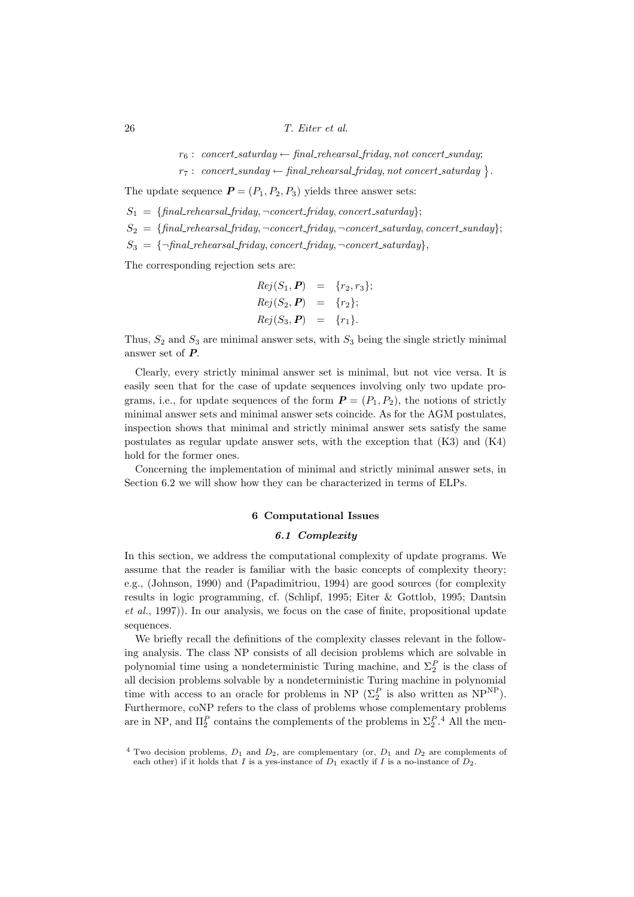$r_6$ : concert\_saturday  $\leftarrow$  final\_rehearsal\_friday, not concert\_sunday;  $r_7: \; \textit{concert\_s}} \leftarrow \textit{final\_rehearsal\_friday}, \textit{not concert\_saturday}.$ 

The update sequence  $P = (P_1, P_2, P_3)$  yields three answer sets:

 $S_1 = \{ \text{final-rehearsal-friday}, \neg \text{concert-friday}, \text{concert_saturday} \};$ 

 $S_2 = \{ \text{final\_rehearsal\_friday}, \neg \text{concert\_friday}, \neg \text{concert\_saturday}, \text{concert\_sunday} \};$ 

 $S_3 = {\text{-final-rehearsal-friday, concert-friday, \text{-}concert_saturally}},$ 

The corresponding rejection sets are:

$$
Rej(S_1, P) = \{r_2, r_3\};
$$
  
\n $Rej(S_2, P) = \{r_2\};$   
\n $Rej(S_3, P) = \{r_1\}.$ 

Thus,  $S_2$  and  $S_3$  are minimal answer sets, with  $S_3$  being the single strictly minimal answer set of P.

Clearly, every strictly minimal answer set is minimal, but not vice versa. It is easily seen that for the case of update sequences involving only two update programs, i.e., for update sequences of the form  $P = (P_1, P_2)$ , the notions of strictly minimal answer sets and minimal answer sets coincide. As for the AGM postulates, inspection shows that minimal and strictly minimal answer sets satisfy the same postulates as regular update answer sets, with the exception that (K3) and (K4) hold for the former ones.

Concerning the implementation of minimal and strictly minimal answer sets, in Section 6.2 we will show how they can be characterized in terms of ELPs.

### 6 Computational Issues

### 6.1 Complexity

In this section, we address the computational complexity of update programs. We assume that the reader is familiar with the basic concepts of complexity theory; e.g., (Johnson, 1990) and (Papadimitriou, 1994) are good sources (for complexity results in logic programming, cf. (Schlipf, 1995; Eiter & Gottlob, 1995; Dantsin et al., 1997)). In our analysis, we focus on the case of finite, propositional update sequences.

We briefly recall the definitions of the complexity classes relevant in the following analysis. The class NP consists of all decision problems which are solvable in polynomial time using a nondeterministic Turing machine, and  $\Sigma_2^P$  is the class of all decision problems solvable by a nondeterministic Turing machine in polynomial time with access to an oracle for problems in NP ( $\Sigma_2^P$  is also written as NP<sup>NP</sup>). Furthermore, coNP refers to the class of problems whose complementary problems are in NP, and  $\Pi_2^P$  contains the complements of the problems in  $\Sigma_2^{P.4}$  All the men-

<sup>&</sup>lt;sup>4</sup> Two decision problems,  $D_1$  and  $D_2$ , are complementary (or,  $D_1$  and  $D_2$  are complements of each other) if it holds that I is a yes-instance of  $D_1$  exactly if I is a no-instance of  $D_2$ .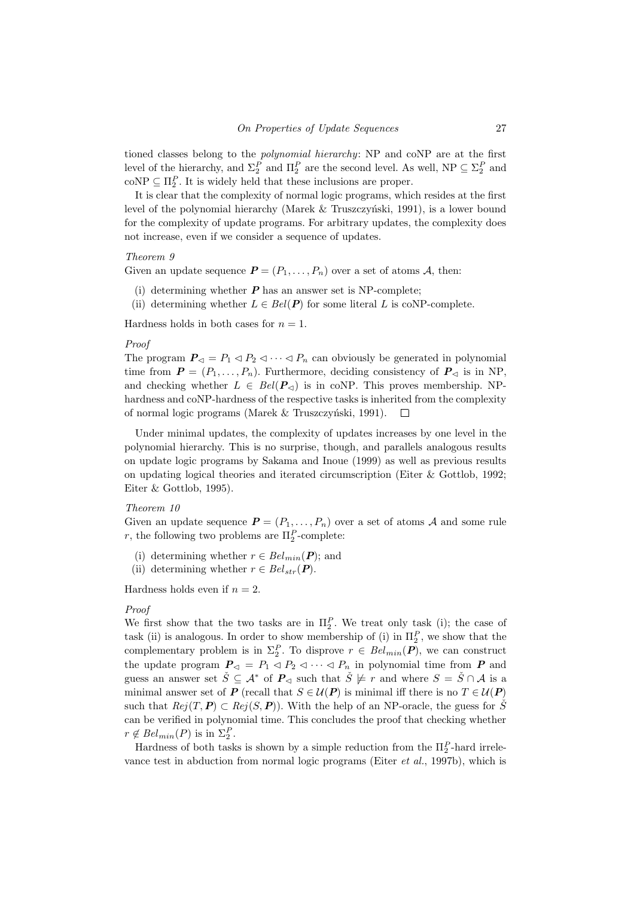tioned classes belong to the polynomial hierarchy: NP and coNP are at the first level of the hierarchy, and  $\Sigma_2^P$  and  $\Pi_2^P$  are the second level. As well,  $NP \subseteq \Sigma_2^P$  and  $\text{coNP} \subseteq \Pi_2^P$ . It is widely held that these inclusions are proper.

It is clear that the complexity of normal logic programs, which resides at the first level of the polynomial hierarchy (Marek  $&$  Truszczynski, 1991), is a lower bound for the complexity of update programs. For arbitrary updates, the complexity does not increase, even if we consider a sequence of updates.

### Theorem 9

Given an update sequence  $\boldsymbol{P} = (P_1, \ldots, P_n)$  over a set of atoms A, then:

- (i) determining whether  $P$  has an answer set is NP-complete;
- (ii) determining whether  $L \in Bel(P)$  for some literal L is coNP-complete.

Hardness holds in both cases for  $n = 1$ .

# Proof

The program  $P_{\lhd} = P_1 \lhd P_2 \lhd \cdots \lhd P_n$  can obviously be generated in polynomial time from  $P = (P_1, \ldots, P_n)$ . Furthermore, deciding consistency of  $P_{\lhd}$  is in NP, and checking whether  $L \in Bel(P_{\triangleleft})$  is in coNP. This proves membership. NPhardness and coNP-hardness of the respective tasks is inherited from the complexity of normal logic programs (Marek  $&$  Truszczynski, 1991).  $\Box$ 

Under minimal updates, the complexity of updates increases by one level in the polynomial hierarchy. This is no surprise, though, and parallels analogous results on update logic programs by Sakama and Inoue (1999) as well as previous results on updating logical theories and iterated circumscription (Eiter & Gottlob, 1992; Eiter & Gottlob, 1995).

### Theorem 10

Given an update sequence  $P = (P_1, \ldots, P_n)$  over a set of atoms A and some rule r, the following two problems are  $\Pi_2^P$ -complete:

- (i) determining whether  $r \in Bel_{min}(\mathbf{P})$ ; and
- (ii) determining whether  $r \in Bel_{str}(P)$ .

Hardness holds even if  $n = 2$ .

#### Proof

We first show that the two tasks are in  $\Pi_2^P$ . We treat only task (i); the case of task (ii) is analogous. In order to show membership of (i) in  $\Pi_2^P$ , we show that the complementary problem is in  $\Sigma_2^P$ . To disprove  $r \in Bel_{min}(P)$ , we can construct the update program  $P_{\lhd} = P_1 \lhd P_2 \lhd \cdots \lhd P_n$  in polynomial time from P and guess an answer set  $\check{S} \subseteq A^*$  of  $P_{\lhd}$  such that  $\check{S} \not\models r$  and where  $S = \check{S} \cap A$  is a minimal answer set of P (recall that  $S \in \mathcal{U}(P)$  is minimal iff there is no  $T \in \mathcal{U}(P)$ such that  $Rei(T, P) \subset Rei(S, P)$ . With the help of an NP-oracle, the guess for S can be verified in polynomial time. This concludes the proof that checking whether  $r \notin Bel_{min}(P)$  is in  $\Sigma_2^P$ .

Hardness of both tasks is shown by a simple reduction from the  $\Pi_2^P$ -hard irrelevance test in abduction from normal logic programs (Eiter et al., 1997b), which is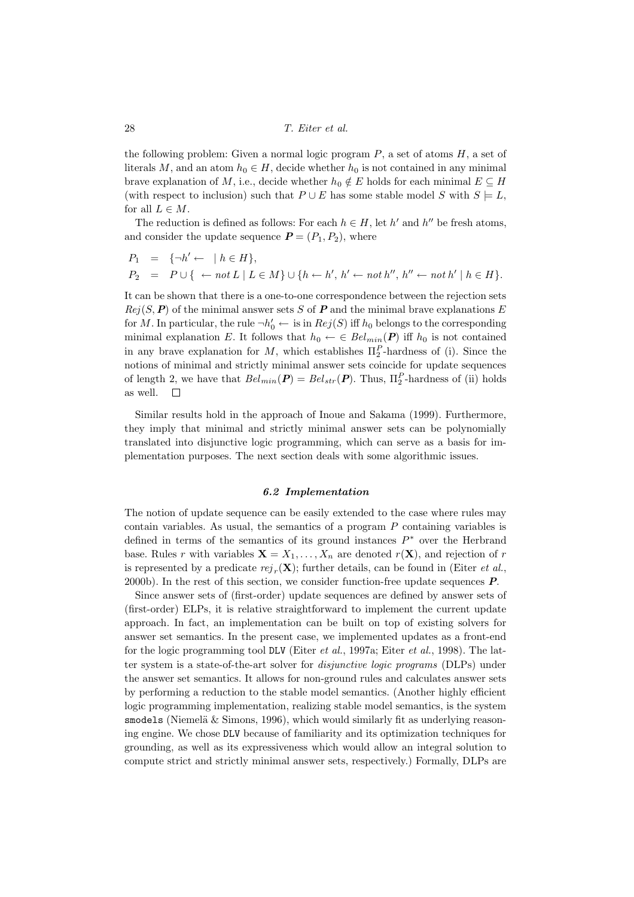the following problem: Given a normal logic program  $P$ , a set of atoms  $H$ , a set of literals M, and an atom  $h_0 \in H$ , decide whether  $h_0$  is not contained in any minimal brave explanation of M, i.e., decide whether  $h_0 \notin E$  holds for each minimal  $E \subseteq H$ (with respect to inclusion) such that  $P \cup E$  has some stable model S with  $S \models L$ , for all  $L \in M$ .

The reduction is defined as follows: For each  $h \in H$ , let  $h'$  and  $h''$  be fresh atoms, and consider the update sequence  $\boldsymbol{P} = (P_1, P_2)$ , where

$$
P_1 = \{\neg h' \leftarrow \mid h \in H\},
$$
  
\n
$$
P_2 = P \cup \{\negthickspace\leftarrow not \ L \mid L \in M\} \cup \{h \leftarrow h', h' \leftarrow not \ h'', h'' \leftarrow not \ h' \mid h \in H\}.
$$

It can be shown that there is a one-to-one correspondence between the rejection sets  $Rej(S, P)$  of the minimal answer sets S of P and the minimal brave explanations E for M. In particular, the rule  $\neg h'_0 \leftarrow \text{ is in } Rej(S)$  iff  $h_0$  belongs to the corresponding minimal explanation E. It follows that  $h_0 \leftarrow \in Bel_{min}(\mathbf{P})$  iff  $h_0$  is not contained in any brave explanation for M, which establishes  $\Pi_2^P$ -hardness of (i). Since the notions of minimal and strictly minimal answer sets coincide for update sequences of length 2, we have that  $Bel_{min}(\mathbf{P}) = Bel_{str}(\mathbf{P})$ . Thus,  $\Pi_2^P$ -hardness of (ii) holds as well.  $\square$ 

Similar results hold in the approach of Inoue and Sakama (1999). Furthermore, they imply that minimal and strictly minimal answer sets can be polynomially translated into disjunctive logic programming, which can serve as a basis for implementation purposes. The next section deals with some algorithmic issues.

### 6.2 Implementation

The notion of update sequence can be easily extended to the case where rules may contain variables. As usual, the semantics of a program  $P$  containing variables is defined in terms of the semantics of its ground instances  $P^*$  over the Herbrand base. Rules r with variables  $X = X_1, \ldots, X_n$  are denoted  $r(X)$ , and rejection of r is represented by a predicate  $rej_r(\mathbf{X})$ ; further details, can be found in (Eiter *et al.*, 2000b). In the rest of this section, we consider function-free update sequences  $P$ .

Since answer sets of (first-order) update sequences are defined by answer sets of (first-order) ELPs, it is relative straightforward to implement the current update approach. In fact, an implementation can be built on top of existing solvers for answer set semantics. In the present case, we implemented updates as a front-end for the logic programming tool DLV (Eiter *et al.*, 1997a; Eiter *et al.*, 1998). The latter system is a state-of-the-art solver for disjunctive logic programs (DLPs) under the answer set semantics. It allows for non-ground rules and calculates answer sets by performing a reduction to the stable model semantics. (Another highly efficient logic programming implementation, realizing stable model semantics, is the system  $s$ models (Niemelä  $\&$  Simons, 1996), which would similarly fit as underlying reasoning engine. We chose DLV because of familiarity and its optimization techniques for grounding, as well as its expressiveness which would allow an integral solution to compute strict and strictly minimal answer sets, respectively.) Formally, DLPs are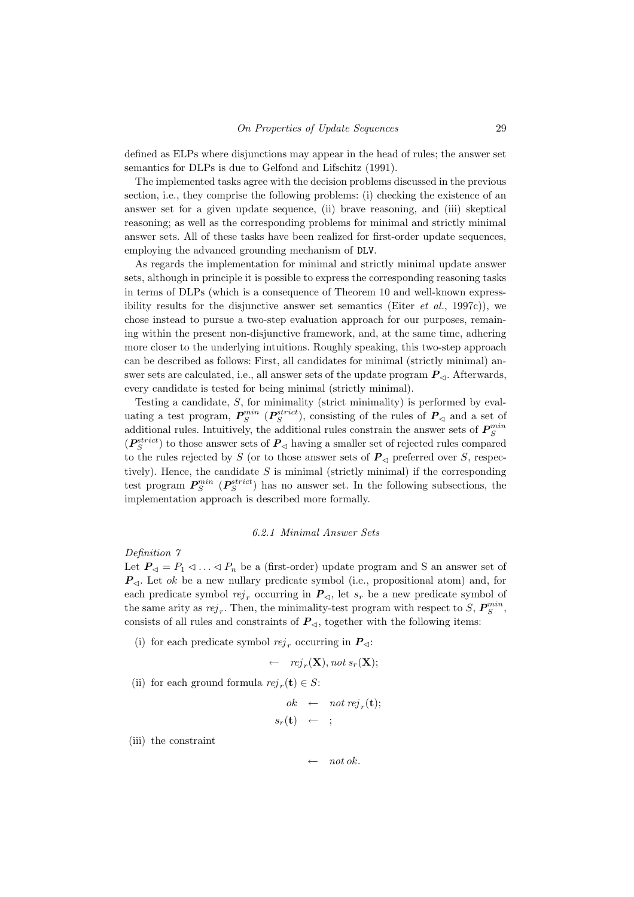defined as ELPs where disjunctions may appear in the head of rules; the answer set semantics for DLPs is due to Gelfond and Lifschitz (1991).

The implemented tasks agree with the decision problems discussed in the previous section, i.e., they comprise the following problems: (i) checking the existence of an answer set for a given update sequence, (ii) brave reasoning, and (iii) skeptical reasoning; as well as the corresponding problems for minimal and strictly minimal answer sets. All of these tasks have been realized for first-order update sequences, employing the advanced grounding mechanism of DLV.

As regards the implementation for minimal and strictly minimal update answer sets, although in principle it is possible to express the corresponding reasoning tasks in terms of DLPs (which is a consequence of Theorem 10 and well-known expressibility results for the disjunctive answer set semantics (Eiter *et al.*, 1997c)), we chose instead to pursue a two-step evaluation approach for our purposes, remaining within the present non-disjunctive framework, and, at the same time, adhering more closer to the underlying intuitions. Roughly speaking, this two-step approach can be described as follows: First, all candidates for minimal (strictly minimal) answer sets are calculated, i.e., all answer sets of the update program  $P_{\leq l}$ . Afterwards, every candidate is tested for being minimal (strictly minimal).

Testing a candidate, S, for minimality (strict minimality) is performed by evaluating a test program,  $\mathbf{P}_S^{min}$  ( $\mathbf{P}_S^{strict}$ ), consisting of the rules of  $\mathbf{P}_{\lhd}$  and a set of additional rules. Intuitively, the additional rules constrain the answer sets of  $\textbf{\textit{P}}_{S}^{min}$  $(\boldsymbol{P}_S^{strict})$  to those answer sets of  $\boldsymbol{P}_{\lhd}$  having a smaller set of rejected rules compared to the rules rejected by S (or to those answer sets of  $P_{\leq}$  preferred over S, respectively). Hence, the candidate  $S$  is minimal (strictly minimal) if the corresponding test program  $\mathbf{P}_S^{min}$  ( $\mathbf{P}_S^{strict}$ ) has no answer set. In the following subsections, the implementation approach is described more formally.

### 6.2.1 Minimal Answer Sets

Definition 7

Let  $P_{\leq 1} = P_1 \leq \ldots \leq P_n$  be a (first-order) update program and S an answer set of  $P_{\leq l}$ . Let ok be a new nullary predicate symbol (i.e., propositional atom) and, for each predicate symbol  $rej_r$  occurring in  $P_{\leq 1}$ , let  $s_r$  be a new predicate symbol of the same arity as  $rej_r$ . Then, the minimality-test program with respect to S,  $P_S^{min}$ , consists of all rules and constraints of  $P_{\lhd}$ , together with the following items:

(i) for each predicate symbol  $rej_r$  occurring in  $P_{\leq l}$ :

$$
\leftarrow \quad \textit{rej}_{r}(\mathbf{X}), \textit{not } s_{r}(\mathbf{X});
$$

(ii) for each ground formula  $rej_r(\mathbf{t}) \in S$ :

$$
\begin{aligned}\nok &\quad \leftarrow \quad not\; rej_r(\mathbf{t});\\ \ns_r(\mathbf{t}) &\quad \leftarrow \quad ;\n\end{aligned}
$$

(iii) the constraint

 $not \, ok.$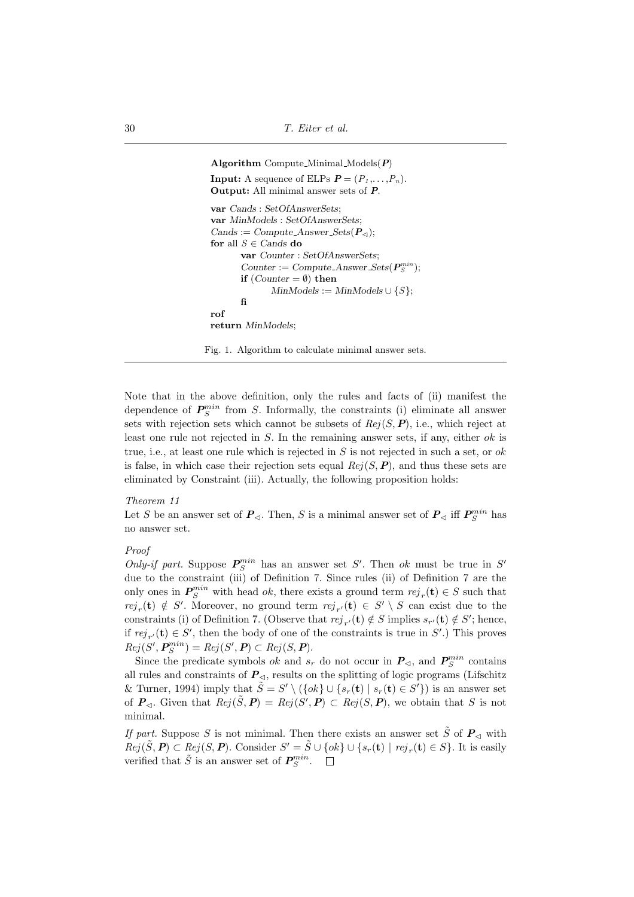```
Algorithm Compute Minimal Models(P)Input: A sequence of ELPs P = (P_1, \ldots, P_n).
Output: All minimal answer sets of P.
var Cands : SetOfAnswerSets;
var MinModels : SetOfAnswerSets;
Cands := Compute\_Answer\_Sets(P_{\leq});
for all S \in Cands do
       var Counter : SetOfAnswerSets;
       Counter := Compute_Answer_Sets(P_S^{min});
       if (Counter = \emptyset) then
              MinModels := MinModels \cup \{S\};fi
rof
return MinModels;
```
Fig. 1. Algorithm to calculate minimal answer sets.

Note that in the above definition, only the rules and facts of (ii) manifest the dependence of  $\mathbf{P}_{S}^{min}$  from S. Informally, the constraints (i) eliminate all answer sets with rejection sets which cannot be subsets of  $Rej(S, P)$ , i.e., which reject at least one rule not rejected in S. In the remaining answer sets, if any, either ok is true, i.e., at least one rule which is rejected in S is not rejected in such a set, or  $ok$ is false, in which case their rejection sets equal  $Rej(S, P)$ , and thus these sets are eliminated by Constraint (iii). Actually, the following proposition holds:

#### Theorem 11

Let S be an answer set of  $P_{\lhd}$ . Then, S is a minimal answer set of  $P_{\lhd}$  iff  $P_S^{min}$  has no answer set.

#### Proof

Only-if part. Suppose  $P_S^{min}$  has an answer set S'. Then ok must be true in S' due to the constraint (iii) of Definition 7. Since rules (ii) of Definition 7 are the only ones in  $\mathbf{P}_S^{min}$  with head *ok*, there exists a ground term  $rej_r(\mathbf{t}) \in S$  such that  $rej_r(\mathbf{t}) \notin S'$ . Moreover, no ground term  $rej_{r'}(\mathbf{t}) \in S' \setminus S$  can exist due to the constraints (i) of Definition 7. (Observe that  $rej_{r'}(\mathbf{t}) \notin S$  implies  $s_{r'}(\mathbf{t}) \notin S'$ ; hence, if  $rej_{r'}(\mathbf{t}) \in S'$ , then the body of one of the constraints is true in  $S'$ .) This proves  $Rej(S', P_S^{min}) = Rej(S', P) \subset Rej(S, P).$ 

Since the predicate symbols ok and  $s_r$  do not occur in  $P_{\leq l}$ , and  $P_S^{min}$  contains all rules and constraints of  $P_{\leq 1}$ , results on the splitting of logic programs (Lifschitz & Turner, 1994) imply that  $\tilde{S} = S' \setminus (\{ok\} \cup \{s_r(\mathbf{t}) \mid s_r(\mathbf{t}) \in S'\})$  is an answer set of  $P_{\lhd}$ . Given that  $Rej(\tilde{S}, P) = Rej(S', P) \subset Rej(S, P)$ , we obtain that S is not minimal.

If part. Suppose S is not minimal. Then there exists an answer set  $\tilde{S}$  of  $P_{\leq}$  with  $Rej(\tilde{S}, P) \subset Rej(S, P)$ . Consider  $S' = \tilde{S} \cup \{ok\} \cup \{s_r(\mathbf{t}) \mid rej_r(\mathbf{t}) \in S\}$ . It is easily verified that  $\tilde{S}$  is an answer set of  $\mathbf{P}_{S}^{min}$ .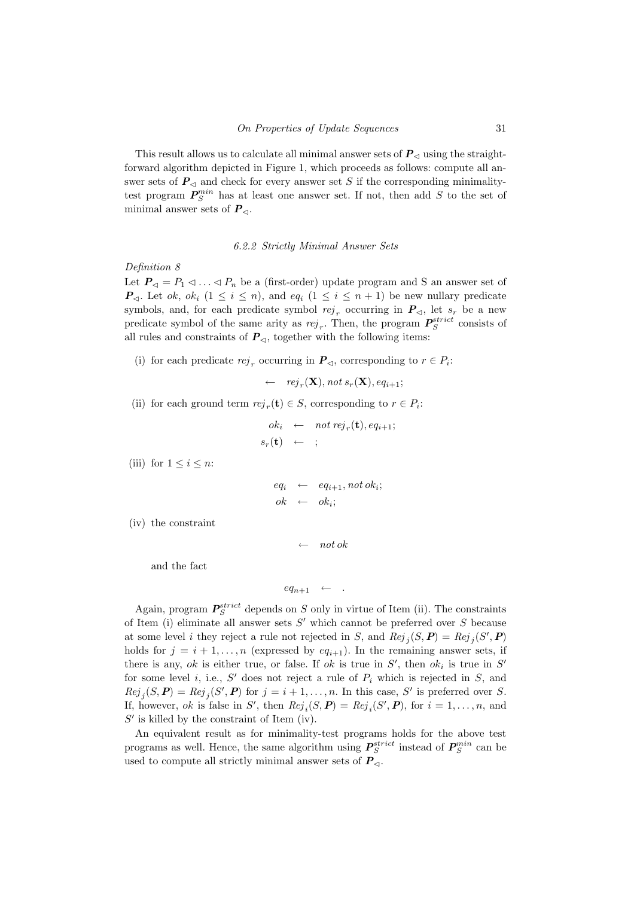This result allows us to calculate all minimal answer sets of  $P_{\lhd}$  using the straightforward algorithm depicted in Figure 1, which proceeds as follows: compute all answer sets of  $P_{\leq 1}$  and check for every answer set S if the corresponding minimalitytest program  $\mathbf{P}_S^{min}$  has at least one answer set. If not, then add S to the set of minimal answer sets of  $P_{\leq l}$ .

#### 6.2.2 Strictly Minimal Answer Sets

Definition 8

Let  $P_{\lhd} = P_1 \lhd \ldots \lhd P_n$  be a (first-order) update program and S an answer set of  $P_{\lhd}$ . Let ok, ok<sub>i</sub>  $(1 \leq i \leq n)$ , and eq<sub>i</sub>  $(1 \leq i \leq n+1)$  be new nullary predicate symbols, and, for each predicate symbol  $rej_r$  occurring in  $P_{\leq 1}$ , let  $s_r$  be a new predicate symbol of the same arity as  $rej_r$ . Then, the program  $\mathbf{P}_S^{strict}$  consists of all rules and constraints of  $P_{\leq 1}$ , together with the following items:

(i) for each predicate  $rej_r$  occurring in  $P_{\leq l}$ , corresponding to  $r \in P_i$ :

$$
\leftarrow \quad \textit{rej}_{r}(\mathbf{X}), \textit{not } s_{r}(\mathbf{X}), \textit{eq}_{i+1};
$$

(ii) for each ground term  $rej_r(\mathbf{t}) \in S$ , corresponding to  $r \in P_i$ :

$$
\begin{array}{rcl}\nok_i & \leftarrow & not\, rej_r(\mathbf{t}), eq_{i+1}; \\
s_r(\mathbf{t}) & \leftarrow & ;\n\end{array}
$$

(iii) for  $1 \leq i \leq n$ :

$$
eq_i \leftarrow eq_{i+1}, not \, ok_i; \\
ok \leftarrow ok_i;
$$

(iv) the constraint

 $not \, ok$ 

and the fact

$$
eq_{n+1} \leftarrow .
$$

Again, program  $\mathbf{P}_S^{strict}$  depends on S only in virtue of Item (ii). The constraints of Item (i) eliminate all answer sets  $S'$  which cannot be preferred over  $S$  because at some level *i* they reject a rule not rejected in S, and  $Rej_j(S, P) = Rej_j(S', P)$ holds for  $j = i + 1, \ldots, n$  (expressed by  $eq_{i+1}$ ). In the remaining answer sets, if there is any, ok is either true, or false. If ok is true in  $S'$ , then ok<sub>i</sub> is true in  $S'$ for some level *i*, i.e.,  $S'$  does not reject a rule of  $P_i$  which is rejected in  $S$ , and  $Rej_j(S, P) = Rej_j(S', P)$  for  $j = i + 1, ..., n$ . In this case, S' is preferred over S. If, however, ok is false in S', then  $Rej_i(S, P) = Rej_i(S', P)$ , for  $i = 1, ..., n$ , and  $S'$  is killed by the constraint of Item (iv).

An equivalent result as for minimality-test programs holds for the above test programs as well. Hence, the same algorithm using  $\mathbf{P}_S^{strict}$  instead of  $\mathbf{P}_S^{min}$  can be used to compute all strictly minimal answer sets of  $P_{\leq l}$ .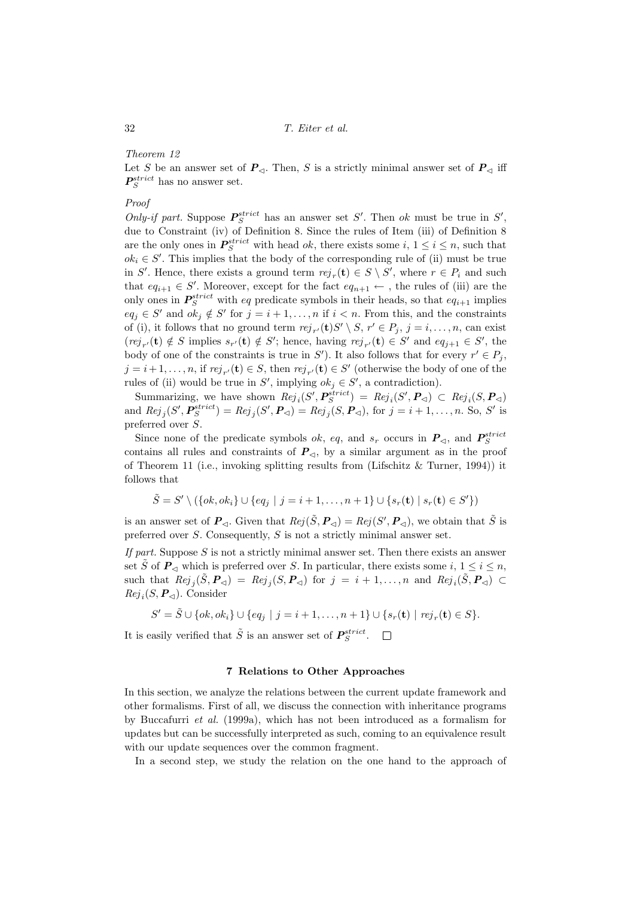Theorem 12

Let S be an answer set of  $P_{\lhd}$ . Then, S is a strictly minimal answer set of  $P_{\lhd}$  iff  $P_S^{strict}$  has no answer set.

### Proof

Only-if part. Suppose  $P_S^{strict}$  has an answer set S'. Then ok must be true in S', due to Constraint (iv) of Definition 8. Since the rules of Item (iii) of Definition 8 are the only ones in  $P_S^{strict}$  with head *ok*, there exists some *i*,  $1 \le i \le n$ , such that  $ok_i \in S'$ . This implies that the body of the corresponding rule of (ii) must be true in S'. Hence, there exists a ground term  $rej_r(\mathbf{t}) \in S \setminus S'$ , where  $r \in P_i$  and such that  $eq_{i+1} \in S'$ . Moreover, except for the fact  $eq_{n+1} \leftarrow$ , the rules of (iii) are the only ones in  $P_S^{strict}$  with eq predicate symbols in their heads, so that  $eq_{i+1}$  implies  $eq_j \in S'$  and  $ok_j \notin S'$  for  $j = i + 1, ..., n$  if  $i < n$ . From this, and the constraints of (i), it follows that no ground term  $rej_{r'}(\mathbf{t})S' \setminus S$ ,  $r' \in P_j$ ,  $j = i, ..., n$ , can exist  $(rej_{r'}(t) \notin S$  implies  $s_{r'}(t) \notin S'$ ; hence, having  $rej_{r'}(t) \in S'$  and  $eq_{j+1} \in S'$ , the body of one of the constraints is true in S'). It also follows that for every  $r' \in P_j$ ,  $j = i+1, \ldots, n$ , if  $rej_{r'}(\mathbf{t}) \in S$ , then  $rej_{r'}(\mathbf{t}) \in S'$  (otherwise the body of one of the rules of (ii) would be true in S', implying  $ok_j \in S'$ , a contradiction).

Summarizing, we have shown  $Rej_i(S', P_S^{strict}) = Rej_i(S', P_{\lhd}) \subset Rej_i(S, P_{\lhd})$ and  $Rej_j(S', \mathbf{P}_S^{strict}) = Rej_j(S', \mathbf{P}_\lhd) = Rej_j(S, \mathbf{P}_\lhd)$ , for  $j = i + 1, \ldots, n$ . So, S' is preferred over S.

Since none of the predicate symbols *ok*, eq, and  $s_r$  occurs in  $P_{\leq l}$ , and  $P_S^{strict}$ contains all rules and constraints of  $P_{\leq 1}$ , by a similar argument as in the proof of Theorem 11 (i.e., invoking splitting results from (Lifschitz  $\&$  Turner, 1994)) it follows that

$$
\tilde{S} = S' \setminus (\{ok, ok_i\} \cup \{eq_j \mid j = i+1, \ldots, n+1\} \cup \{s_r(\mathbf{t}) \mid s_r(\mathbf{t}) \in S'\})
$$

is an answer set of  $P_{\lhd}$ . Given that  $Rej(\tilde{S}, P_{\lhd}) = Rej(S', P_{\lhd})$ , we obtain that  $\tilde{S}$  is preferred over S. Consequently, S is not a strictly minimal answer set.

If part. Suppose  $S$  is not a strictly minimal answer set. Then there exists an answer set  $\tilde{S}$  of  $P_{\leq 1}$  which is preferred over S. In particular, there exists some  $i, 1 \leq i \leq n$ , such that  $Rej_j(\tilde{S}, P_{\lhd}) = Rej_j(S, P_{\lhd})$  for  $j = i + 1, \ldots, n$  and  $Rej_i(\tilde{S}, P_{\lhd}) \subset$  $Rej_i(S, \boldsymbol{P}_{\lhd})$ . Consider

 $S' = \tilde{S} \cup \{ok, ok_i\} \cup \{eq_j \mid j = i + 1, \ldots, n + 1\} \cup \{s_r(\mathbf{t}) \mid rej_r(\mathbf{t}) \in S\}.$ 

It is easily verified that  $\tilde{S}$  is an answer set of  $P_S^{strict}$ .

### 7 Relations to Other Approaches

In this section, we analyze the relations between the current update framework and other formalisms. First of all, we discuss the connection with inheritance programs by Buccafurri et al. (1999a), which has not been introduced as a formalism for updates but can be successfully interpreted as such, coming to an equivalence result with our update sequences over the common fragment.

In a second step, we study the relation on the one hand to the approach of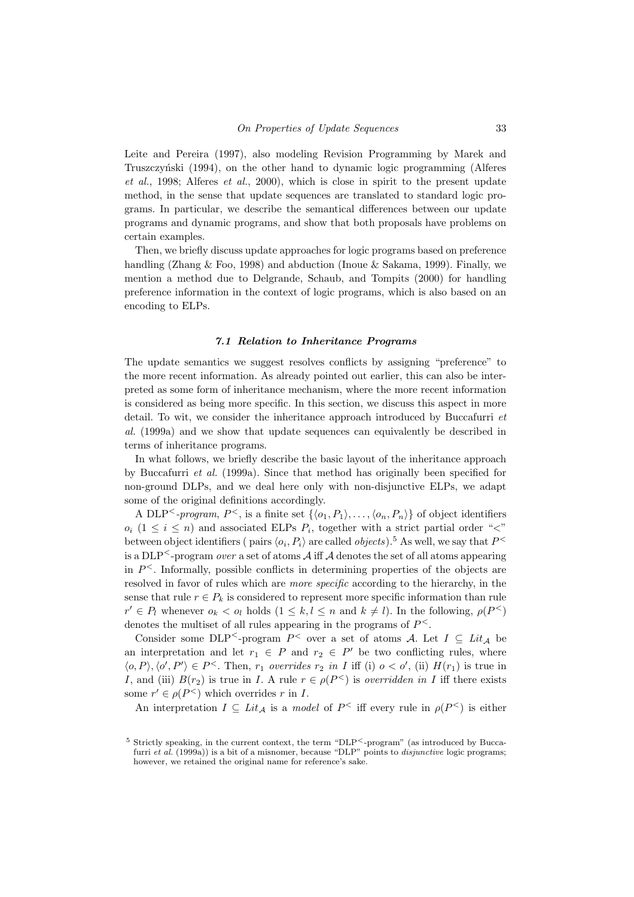Leite and Pereira (1997), also modeling Revision Programming by Marek and Truszczynski (1994), on the other hand to dynamic logic programming (Alferes et al., 1998; Alferes et al., 2000), which is close in spirit to the present update method, in the sense that update sequences are translated to standard logic programs. In particular, we describe the semantical differences between our update programs and dynamic programs, and show that both proposals have problems on certain examples.

Then, we briefly discuss update approaches for logic programs based on preference handling (Zhang & Foo, 1998) and abduction (Inoue & Sakama, 1999). Finally, we mention a method due to Delgrande, Schaub, and Tompits (2000) for handling preference information in the context of logic programs, which is also based on an encoding to ELPs.

### 7.1 Relation to Inheritance Programs

The update semantics we suggest resolves conflicts by assigning "preference" to the more recent information. As already pointed out earlier, this can also be interpreted as some form of inheritance mechanism, where the more recent information is considered as being more specific. In this section, we discuss this aspect in more detail. To wit, we consider the inheritance approach introduced by Buccafurri et al. (1999a) and we show that update sequences can equivalently be described in terms of inheritance programs.

In what follows, we briefly describe the basic layout of the inheritance approach by Buccafurri et al. (1999a). Since that method has originally been specified for non-ground DLPs, and we deal here only with non-disjunctive ELPs, we adapt some of the original definitions accordingly.

A DLP<sup><</sup>-program,  $P^{\lt}$ , is a finite set  $\{\langle o_1, P_1 \rangle, \ldots, \langle o_n, P_n \rangle\}$  of object identifiers  $o_i$  ( $1 \leq i \leq n$ ) and associated ELPs  $P_i$ , together with a strict partial order "<" between object identifiers ( pairs  $\langle o_i, P_i \rangle$  are called *objects*).<sup>5</sup> As well, we say that  $P^{\lt}$ is a DLP<sup> $\leq$ </sup>-program *over* a set of atoms A iff A denotes the set of all atoms appearing in  $P^{\lt}$ . Informally, possible conflicts in determining properties of the objects are resolved in favor of rules which are *more specific* according to the hierarchy, in the sense that rule  $r \in P_k$  is considered to represent more specific information than rule  $r' \in P_l$  whenever  $o_k < o_l$  holds  $(1 \leq k, l \leq n$  and  $k \neq l$ ). In the following,  $\rho(P^{\lt})$ denotes the multiset of all rules appearing in the programs of  $P^{\lt}$ .

Consider some DLP<sup><</sup>-program P<sup><</sup> over a set of atoms A. Let  $I \subseteq Lit_{\mathcal{A}}$  be an interpretation and let  $r_1 \in P$  and  $r_2 \in P'$  be two conflicting rules, where  $\langle o, P \rangle$ ,  $\langle o', P' \rangle \in P^{\lt}$ . Then,  $r_1$  overrides  $r_2$  in I iff (i)  $o < o'$ , (ii)  $H(r_1)$  is true in I, and (iii)  $B(r_2)$  is true in I. A rule  $r \in \rho(P^{\lt})$  is overridden in I iff there exists some  $r' \in \rho(P^{\lt})$  which overrides r in I.

An interpretation  $I \subseteq Lit_{\mathcal{A}}$  is a model of  $P^{\lt}$  iff every rule in  $\rho(P^{\lt})$  is either

 $5$  Strictly speaking, in the current context, the term "DLP<sup> $\leq$ </sup>-program" (as introduced by Buccafurri et al. (1999a)) is a bit of a misnomer, because "DLP" points to *disjunctive* logic programs; however, we retained the original name for reference's sake.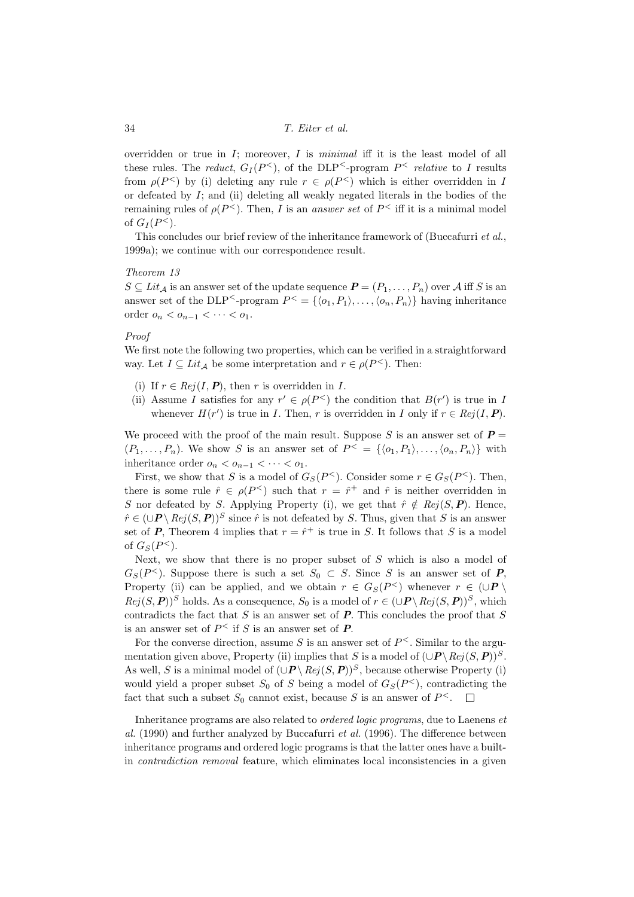overridden or true in  $I$ ; moreover,  $I$  is minimal iff it is the least model of all these rules. The *reduct*,  $G_I(P^{\lt})$ , of the DLP<sup> $\lt$ </sup>-program  $P^{\lt}$  *relative* to I results from  $\rho(P^{\lt})$  by (i) deleting any rule  $r \in \rho(P^{\lt})$  which is either overridden in I or defeated by I; and (ii) deleting all weakly negated literals in the bodies of the remaining rules of  $\rho(P^{\lt}\rangle)$ . Then, I is an answer set of  $P^{\lt}$  iff it is a minimal model of  $G_I(P^{\lt}\)$ .

This concludes our brief review of the inheritance framework of (Buccafurri et al., 1999a); we continue with our correspondence result.

### Theorem 13

 $S \subseteq Lit_{\mathcal{A}}$  is an answer set of the update sequence  $\mathbf{P} = (P_1, \ldots, P_n)$  over  $\mathcal{A}$  iff S is an answer set of the DLP<sup><</sup>-program  $P^{\lt} = \{ \langle o_1, P_1 \rangle, \ldots, \langle o_n, P_n \rangle \}$  having inheritance order  $o_n < o_{n-1} < \cdots < o_1$ .

### Proof

We first note the following two properties, which can be verified in a straightforward way. Let  $I \subseteq Lit_{\mathcal{A}}$  be some interpretation and  $r \in \rho(P^{\lt} )$ . Then:

- (i) If  $r \in Rej(I, P)$ , then r is overridden in I.
- (ii) Assume I satisfies for any  $r' \in \rho(P^{\lt})$  the condition that  $B(r')$  is true in I whenever  $H(r')$  is true in I. Then, r is overridden in I only if  $r \in Rej(I, P)$ .

We proceed with the proof of the main result. Suppose S is an answer set of  $P =$  $(P_1, \ldots, P_n)$ . We show S is an answer set of  $P^{\lt} = \{ \langle o_1, P_1 \rangle, \ldots, \langle o_n, P_n \rangle \}$  with inheritance order  $o_n < o_{n-1} < \cdots < o_1$ .

First, we show that S is a model of  $G_S(P^{\lt}\)$ . Consider some  $r \in G_S(P^{\lt}\)$ . Then, there is some rule  $\hat{r} \in \rho(P^{\lt})$  such that  $r = \hat{r}^+$  and  $\hat{r}$  is neither overridden in S nor defeated by S. Applying Property (i), we get that  $\hat{r} \notin \text{Rej}(S, \mathbf{P})$ . Hence,  $\hat{r} \in (\cup P \setminus \text{Rej}(S, P))^S$  since  $\hat{r}$  is not defeated by S. Thus, given that S is an answer set of P, Theorem 4 implies that  $r = \hat{r}^+$  is true in S. It follows that S is a model of  $G_S(P^{\lt}\)$ .

Next, we show that there is no proper subset of S which is also a model of  $G_S(P^{\lt}\)$ . Suppose there is such a set  $S_0 \subset S$ . Since S is an answer set of P, Property (ii) can be applied, and we obtain  $r \in G_S(P^{\lt})$  whenever  $r \in (\cup P \setminus \mathbb{R})$  $Rej(S, P)<sup>S</sup>$  holds. As a consequence,  $S_0$  is a model of  $r \in (\cup P \setminus Rej(S, P))^{S}$ , which contradicts the fact that S is an answer set of  $P$ . This concludes the proof that S is an answer set of  $P \leq$  if S is an answer set of P.

For the converse direction, assume S is an answer set of  $P^{\lt}$ . Similar to the argumentation given above, Property (ii) implies that S is a model of  $(\cup P \setminus \text{Rej}(S, P))^S$ . As well, S is a minimal model of  $(\bigcup P \setminus Rej(S, P))^S$ , because otherwise Property (i) would yield a proper subset  $S_0$  of S being a model of  $G_S(P<)$ , contradicting the fact that such a subset  $S_0$  cannot exist, because S is an answer of  $P^{\lt}$ .

Inheritance programs are also related to ordered logic programs, due to Laenens et al. (1990) and further analyzed by Buccafurri et al. (1996). The difference between inheritance programs and ordered logic programs is that the latter ones have a builtin contradiction removal feature, which eliminates local inconsistencies in a given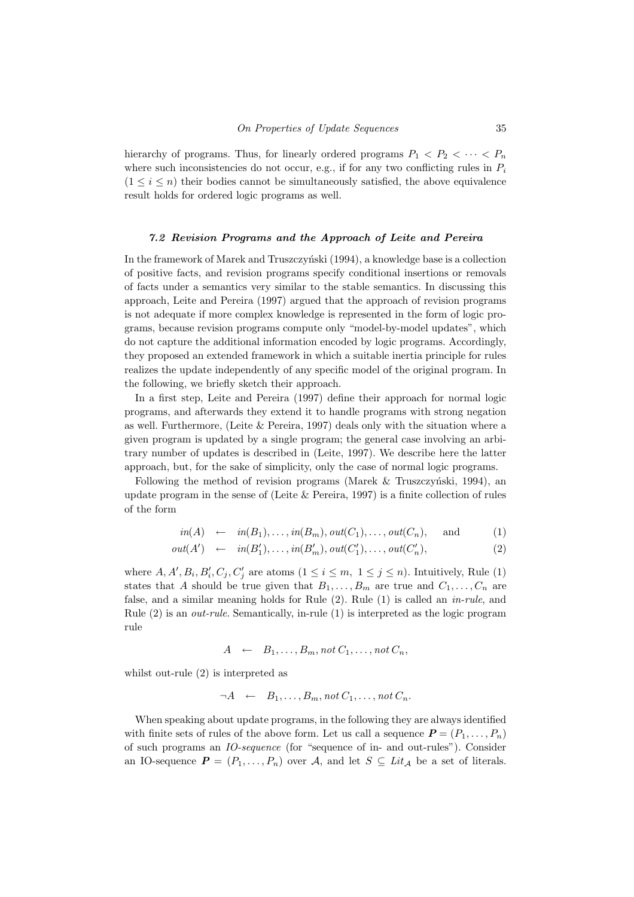hierarchy of programs. Thus, for linearly ordered programs  $P_1 \leq P_2 \leq \cdots \leq P_n$ where such inconsistencies do not occur, e.g., if for any two conflicting rules in  $P_i$  $(1 \leq i \leq n)$  their bodies cannot be simultaneously satisfied, the above equivalence result holds for ordered logic programs as well.

### 7.2 Revision Programs and the Approach of Leite and Pereira

In the framework of Marek and Truszczyński (1994), a knowledge base is a collection of positive facts, and revision programs specify conditional insertions or removals of facts under a semantics very similar to the stable semantics. In discussing this approach, Leite and Pereira (1997) argued that the approach of revision programs is not adequate if more complex knowledge is represented in the form of logic programs, because revision programs compute only "model-by-model updates", which do not capture the additional information encoded by logic programs. Accordingly, they proposed an extended framework in which a suitable inertia principle for rules realizes the update independently of any specific model of the original program. In the following, we briefly sketch their approach.

In a first step, Leite and Pereira (1997) define their approach for normal logic programs, and afterwards they extend it to handle programs with strong negation as well. Furthermore, (Leite  $&$  Pereira, 1997) deals only with the situation where a given program is updated by a single program; the general case involving an arbitrary number of updates is described in (Leite, 1997). We describe here the latter approach, but, for the sake of simplicity, only the case of normal logic programs.

Following the method of revision programs (Marek  $&$  Truszczynski, 1994), an update program in the sense of (Leite & Pereira, 1997) is a finite collection of rules of the form

$$
in(A) \leftarrow in(B_1), \dots, in(B_m), out(C_1), \dots, out(C_n), \text{ and } (1)
$$

$$
out(A') \leftarrow in(B'_1), \dots, in(B'_m), out(C'_1), \dots, out(C'_n), \tag{2}
$$

where  $A, A', B_i, B'_i, C_j, C'_j$  are atoms  $(1 \leq i \leq m, 1 \leq j \leq n)$ . Intuitively, Rule (1) states that A should be true given that  $B_1, \ldots, B_m$  are true and  $C_1, \ldots, C_n$  are false, and a similar meaning holds for Rule (2). Rule (1) is called an in-rule, and Rule (2) is an out-rule. Semantically, in-rule (1) is interpreted as the logic program rule

$$
A \leftarrow B_1, \ldots, B_m, \text{not } C_1, \ldots, \text{not } C_n,
$$

whilst out-rule (2) is interpreted as

 $\neg A \leftarrow B_1, \ldots, B_m, \text{not } C_1, \ldots, \text{not } C_n.$ 

When speaking about update programs, in the following they are always identified with finite sets of rules of the above form. Let us call a sequence  $\mathbf{P} = (P_1, \ldots, P_n)$ of such programs an IO-sequence (for "sequence of in- and out-rules"). Consider an IO-sequence  $P = (P_1, \ldots, P_n)$  over A, and let  $S \subseteq Lit_{\mathcal{A}}$  be a set of literals.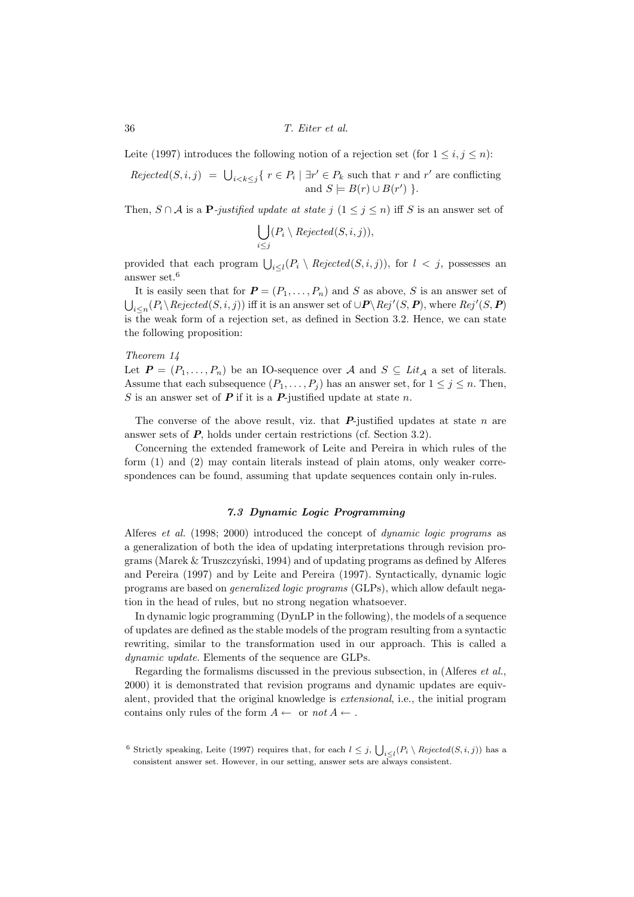Leite (1997) introduces the following notion of a rejection set (for  $1 \le i, j \le n$ ):

 $Rejected(S, i, j) = \bigcup_{i \leq k \leq j} \{ r \in P_i \mid \exists r' \in P_k \text{ such that } r \text{ and } r' \text{ are conflicting} \}$ and  $S \models B(r) \cup B(r')$  }.

Then,  $S \cap A$  is a **P**-justified update at state j  $(1 \leq j \leq n)$  iff S is an answer set of

$$
\bigcup_{i\leq j}(P_i\setminus Rejected(S,i,j)),
$$

provided that each program  $\bigcup_{i\leq l}(P_i \setminus \text{Rejected}(S,i,j)),$  for  $l \leq j$ , possesses an answer set.<sup>6</sup>

It is easily seen that for  $P = (P_1, \ldots, P_n)$  and S as above, S is an answer set of  $\bigcup_{i\leq n}(P_i\setminus Rejected(S,i,j))$  iff it is an answer set of  $\cup P\setminus Rej'(S, P)$ , where  $Rej'(S, P)$ is the weak form of a rejection set, as defined in Section 3.2. Hence, we can state the following proposition:

### Theorem 14

Let  $P = (P_1, \ldots, P_n)$  be an IO-sequence over A and  $S \subseteq Lit_{\mathcal{A}}$  a set of literals. Assume that each subsequence  $(P_1, \ldots, P_j)$  has an answer set, for  $1 \leq j \leq n$ . Then, S is an answer set of  $P$  if it is a  $P$ -justified update at state n.

The converse of the above result, viz. that  $P$ -justified updates at state n are answer sets of P, holds under certain restrictions (cf. Section 3.2).

Concerning the extended framework of Leite and Pereira in which rules of the form (1) and (2) may contain literals instead of plain atoms, only weaker correspondences can be found, assuming that update sequences contain only in-rules.

# 7.3 Dynamic Logic Programming

Alferes et al. (1998; 2000) introduced the concept of dynamic logic programs as a generalization of both the idea of updating interpretations through revision programs (Marek  $&$  Truszczynski, 1994) and of updating programs as defined by Alferes and Pereira (1997) and by Leite and Pereira (1997). Syntactically, dynamic logic programs are based on generalized logic programs (GLPs), which allow default negation in the head of rules, but no strong negation whatsoever.

In dynamic logic programming (DynLP in the following), the models of a sequence of updates are defined as the stable models of the program resulting from a syntactic rewriting, similar to the transformation used in our approach. This is called a dynamic update. Elements of the sequence are GLPs.

Regarding the formalisms discussed in the previous subsection, in (Alferes et al., 2000) it is demonstrated that revision programs and dynamic updates are equivalent, provided that the original knowledge is extensional, i.e., the initial program contains only rules of the form  $A \leftarrow \text{ or } not A \leftarrow$ .

<sup>&</sup>lt;sup>6</sup> Strictly speaking, Leite (1997) requires that, for each  $l \leq j$ ,  $\bigcup_{i \leq l} (P_i \setminus \textit{Rejected}(S, i, j))$  has a consistent answer set. However, in our setting, answer sets are always consistent.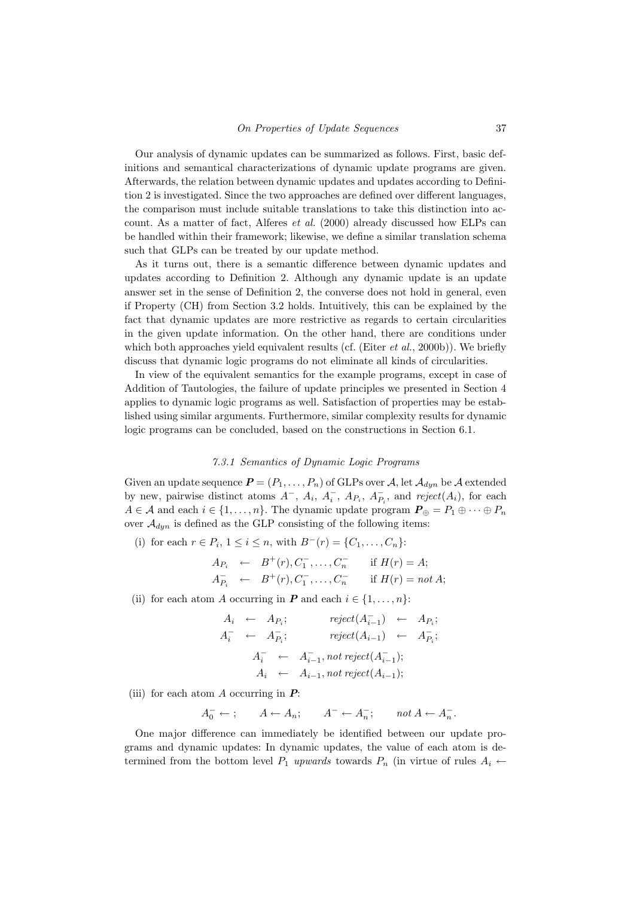Our analysis of dynamic updates can be summarized as follows. First, basic definitions and semantical characterizations of dynamic update programs are given. Afterwards, the relation between dynamic updates and updates according to Definition 2 is investigated. Since the two approaches are defined over different languages, the comparison must include suitable translations to take this distinction into account. As a matter of fact, Alferes et al. (2000) already discussed how ELPs can be handled within their framework; likewise, we define a similar translation schema such that GLPs can be treated by our update method.

As it turns out, there is a semantic difference between dynamic updates and updates according to Definition 2. Although any dynamic update is an update answer set in the sense of Definition 2, the converse does not hold in general, even if Property (CH) from Section 3.2 holds. Intuitively, this can be explained by the fact that dynamic updates are more restrictive as regards to certain circularities in the given update information. On the other hand, there are conditions under which both approaches yield equivalent results (cf. (Eiter  $et al., 2000b$ )). We briefly discuss that dynamic logic programs do not eliminate all kinds of circularities.

In view of the equivalent semantics for the example programs, except in case of Addition of Tautologies, the failure of update principles we presented in Section 4 applies to dynamic logic programs as well. Satisfaction of properties may be established using similar arguments. Furthermore, similar complexity results for dynamic logic programs can be concluded, based on the constructions in Section 6.1.

### 7.3.1 Semantics of Dynamic Logic Programs

Given an update sequence  $P = (P_1, \ldots, P_n)$  of GLPs over A, let  $\mathcal{A}_{dyn}$  be A extended by new, pairwise distinct atoms  $A^-$ ,  $A_i$ ,  $A_i^-$ ,  $A_{P_i}$ ,  $A_{P_i}^-$ , and  $reject(A_i)$ , for each  $A \in \mathcal{A}$  and each  $i \in \{1, \ldots, n\}$ . The dynamic update program  $\mathbf{P}_{\oplus} = P_1 \oplus \cdots \oplus P_n$ over  $\mathcal{A}_{dyn}$  is defined as the GLP consisting of the following items:

(i) for each  $r \in P_i$ ,  $1 \le i \le n$ , with  $B^{-}(r) = \{C_1, \ldots, C_n\}$ :

$$
A_{P_i} \leftarrow B^+(r), C_1^-, \dots, C_n^- \quad \text{if } H(r) = A;
$$
  
\n
$$
A_{P_i} \leftarrow B^+(r), C_1^-, \dots, C_n^- \quad \text{if } H(r) = not A;
$$

(ii) for each atom A occurring in **P** and each  $i \in \{1, \ldots, n\}$ :

$$
A_i \leftarrow A_{P_i}; \quad reject(A_{i-1}^-) \leftarrow A_{P_i};
$$
  
\n
$$
A_i^- \leftarrow A_{P_i}^-; \quad reject(A_{i-1}) \leftarrow A_{P_i}^-;
$$
  
\n
$$
A_i^- \leftarrow A_{i-1}^-, not \, reject(A_{i-1}^-);
$$
  
\n
$$
A_i \leftarrow A_{i-1}^-, not \, reject(A_{i-1}^-);
$$

(iii) for each atom  $A$  occurring in  $P$ :

 $A_0^- \leftarrow ; \qquad A \leftarrow A_n; \qquad A^- \leftarrow A_n^-; \qquad not A \leftarrow A_n^-$ 

One major difference can immediately be identified between our update programs and dynamic updates: In dynamic updates, the value of each atom is determined from the bottom level  $P_1$  upwards towards  $P_n$  (in virtue of rules  $A_i \leftarrow$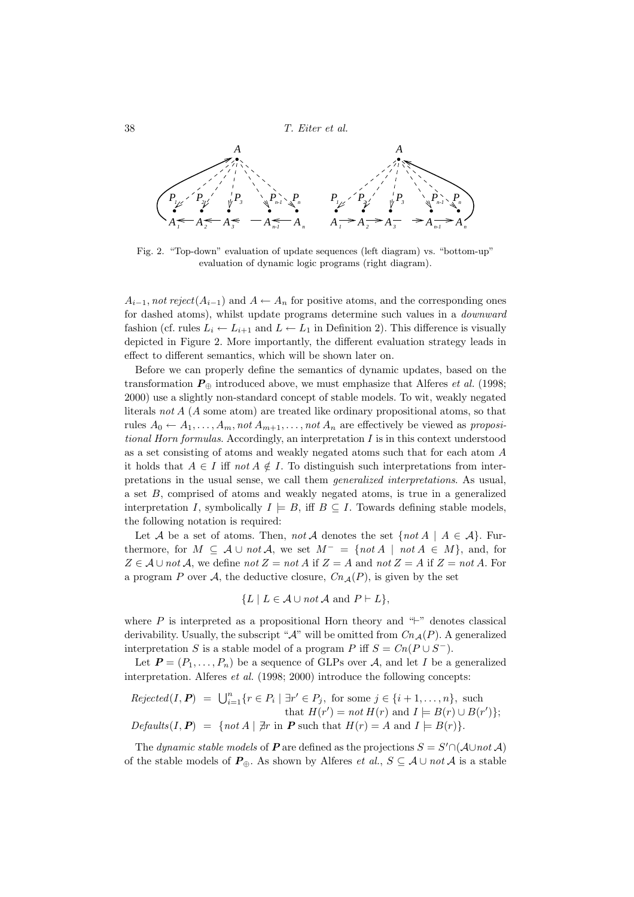

Fig. 2. "Top-down" evaluation of update sequences (left diagram) vs. "bottom-up" evaluation of dynamic logic programs (right diagram).

 $A_{i-1}$ , not reject( $A_{i-1}$ ) and  $A \leftarrow A_n$  for positive atoms, and the corresponding ones for dashed atoms), whilst update programs determine such values in a downward fashion (cf. rules  $L_i \leftarrow L_{i+1}$  and  $L \leftarrow L_1$  in Definition 2). This difference is visually depicted in Figure 2. More importantly, the different evaluation strategy leads in effect to different semantics, which will be shown later on.

Before we can properly define the semantics of dynamic updates, based on the transformation  $P_{\oplus}$  introduced above, we must emphasize that Alferes *et al.* (1998; 2000) use a slightly non-standard concept of stable models. To wit, weakly negated literals not A (A some atom) are treated like ordinary propositional atoms, so that rules  $A_0 \leftarrow A_1, \ldots, A_m$ , not  $A_{m+1}, \ldots, \text{not } A_n$  are effectively be viewed as propositional Horn formulas. Accordingly, an interpretation  $I$  is in this context understood as a set consisting of atoms and weakly negated atoms such that for each atom A it holds that  $A \in I$  iff not  $A \notin I$ . To distinguish such interpretations from interpretations in the usual sense, we call them generalized interpretations. As usual, a set B, comprised of atoms and weakly negated atoms, is true in a generalized interpretation I, symbolically  $I \models B$ , iff  $B \subseteq I$ . Towards defining stable models, the following notation is required:

Let A be a set of atoms. Then, not A denotes the set  $\{ not A \mid A \in \mathcal{A} \}$ . Furthermore, for  $M \subseteq \mathcal{A} \cup not \mathcal{A}$ , we set  $M^- = \{ not \, A \mid not \, A \in M \}$ , and, for  $Z \in \mathcal{A} \cup \text{not } \mathcal{A}$ , we define  $\text{not } Z = \text{not } A$  if  $Z = A$  and  $\text{not } Z = A$  if  $Z = \text{not } A$ . For a program P over A, the deductive closure,  $C_{n,A}(P)$ , is given by the set

$$
\{L \mid L \in \mathcal{A} \cup not \mathcal{A} \text{ and } P \vdash L\},\
$$

where  $P$  is interpreted as a propositional Horn theory and " $\vdash$ " denotes classical derivability. Usually, the subscript " $\mathcal{A}$ " will be omitted from  $C_{n,\mathcal{A}}(P)$ . A generalized interpretation S is a stable model of a program P iff  $S = Cn(P \cup S^{-})$ .

Let  $P = (P_1, \ldots, P_n)$  be a sequence of GLPs over A, and let I be a generalized interpretation. Alferes et al. (1998; 2000) introduce the following concepts:

$$
Rejected(I, P) = \bigcup_{i=1}^{n} \{r \in P_i \mid \exists r' \in P_j, \text{ for some } j \in \{i+1, ..., n\}, \text{ such that } H(r') = not H(r) \text{ and } I \models B(r) \cup B(r')\};
$$
  

$$
Defaults(I, P) = \{not A \mid \exists r \text{ in } P \text{ such that } H(r) = A \text{ and } I \models B(r)\}.
$$

The dynamic stable models of P are defined as the projections  $S = S' \cap (A \cup not A)$ of the stable models of  $P_{\oplus}$ . As shown by Alferes *et al.*,  $S \subseteq A \cup not A$  is a stable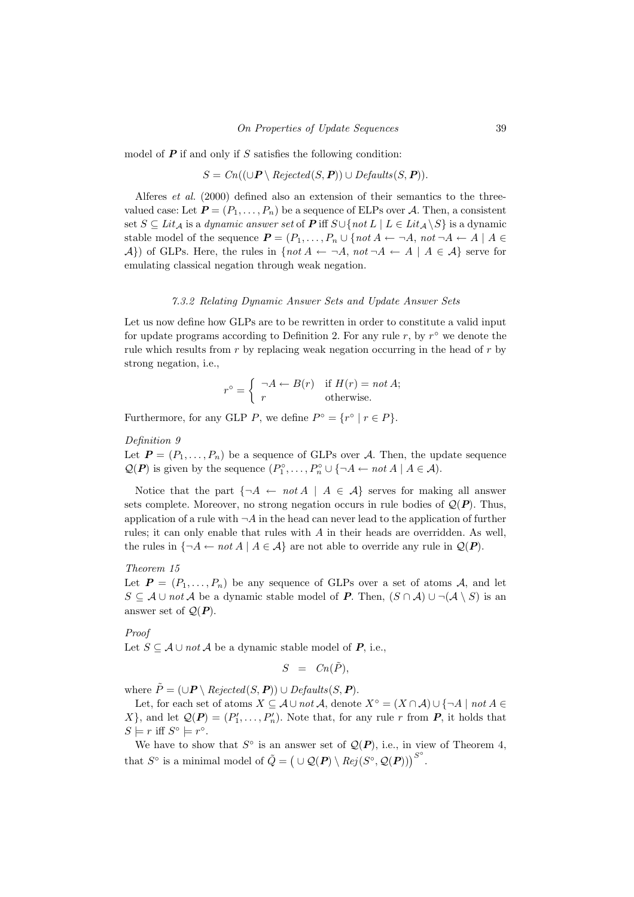model of  $P$  if and only if  $S$  satisfies the following condition:

$$
S = Cn((\cup P \setminus Rejected(S, P)) \cup Defaults(S, P)).
$$

Alferes et al. (2000) defined also an extension of their semantics to the threevalued case: Let  $P = (P_1, \ldots, P_n)$  be a sequence of ELPs over A. Then, a consistent set  $S \subseteq Lit_{\mathcal{A}}$  is a dynamic answer set of **P** iff  $S \cup \{not L | L \in Lit_{\mathcal{A}} \backslash S \}$  is a dynamic stable model of the sequence  $P = (P_1, \ldots, P_n \cup \{not \ A \leftarrow \neg A, not \neg A \leftarrow A \mid A \in$ A}) of GLPs. Here, the rules in  $\{ not A \leftarrow \neg A, not \neg A \leftarrow A \mid A \in \mathcal{A} \}$  serve for emulating classical negation through weak negation.

#### 7.3.2 Relating Dynamic Answer Sets and Update Answer Sets

Let us now define how GLPs are to be rewritten in order to constitute a valid input for update programs according to Definition 2. For any rule  $r$ , by  $r^{\circ}$  we denote the rule which results from  $r$  by replacing weak negation occurring in the head of  $r$  by strong negation, i.e.,

$$
r^{\circ} = \begin{cases} \neg A \leftarrow B(r) & \text{if } H(r) = not A; \\ r & \text{otherwise.} \end{cases}
$$

Furthermore, for any GLP P, we define  $P^{\circ} = \{r^{\circ} | r \in P\}.$ 

### Definition 9

Let  $P = (P_1, \ldots, P_n)$  be a sequence of GLPs over A. Then, the update sequence  $\mathcal{Q}(P)$  is given by the sequence  $(P_1^{\circ}, \ldots, P_n^{\circ} \cup \{\neg A \leftarrow not A \mid A \in \mathcal{A})\}.$ 

Notice that the part  $\{\neg A \leftarrow not A \mid A \in \mathcal{A}\}\)$  serves for making all answer sets complete. Moreover, no strong negation occurs in rule bodies of  $\mathcal{Q}(\mathbf{P})$ . Thus, application of a rule with  $\neg A$  in the head can never lead to the application of further rules; it can only enable that rules with  $A$  in their heads are overridden. As well, the rules in  $\{\neg A \leftarrow not A \mid A \in \mathcal{A}\}\$ are not able to override any rule in  $\mathcal{Q}(P)$ .

### Theorem 15

Let  $P = (P_1, \ldots, P_n)$  be any sequence of GLPs over a set of atoms A, and let  $S \subseteq A \cup not \ A$  be a dynamic stable model of P. Then,  $(S \cap A) \cup \neg(A \setminus S)$  is an answer set of  $\mathcal{Q}(\boldsymbol{P})$ .

Proof Let  $S \subseteq A \cup not A$  be a dynamic stable model of  $P$ , i.e.,

$$
S = Cn(\tilde{P}),
$$

where  $\tilde{P} = (\cup P \setminus \mathit{Rejected}(S, P)) \cup \mathit{Defaults}(S, P).$ 

Let, for each set of atoms  $X \subseteq A \cup not A$ , denote  $X^{\circ} = (X \cap A) \cup \{\neg A \mid not A \in A\}$ X}, and let  $\mathcal{Q}(\mathbf{P}) = (P'_1, \ldots, P'_n)$ . Note that, for any rule r from  $\mathbf{P}$ , it holds that  $S \models r \text{ iff } S^{\circ} \models r^{\circ}.$ 

We have to show that  $S^{\circ}$  is an answer set of  $\mathcal{Q}(P)$ , i.e., in view of Theorem 4, that  $S^{\circ}$  is a minimal model of  $\tilde{Q} = (\cup Q(P) \setminus Rej(S^{\circ}, Q(P)))^{S^{\circ}}$ .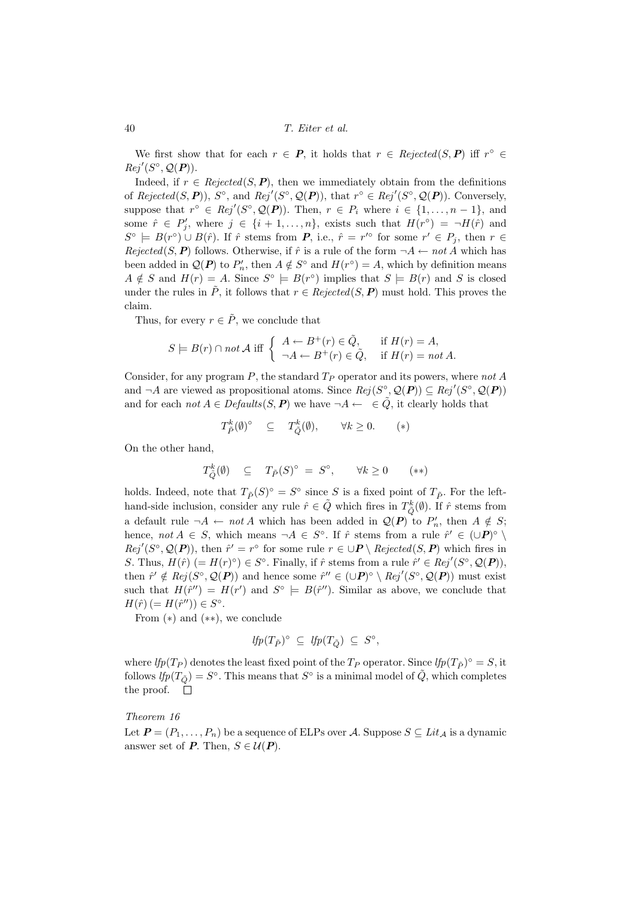We first show that for each  $r \in P$ , it holds that  $r \in \text{Rejected}(S, P)$  iff  $r^{\circ} \in$  $Rej'(S^{\circ}, \mathcal{Q}(\mathbf{P})).$ 

Indeed, if  $r \in Rejected(S, P)$ , then we immediately obtain from the definitions of Rejected(S, P)),  $S^{\circ}$ , and Rej'( $S^{\circ}$ ,  $\mathcal{Q}(P)$ ), that  $r^{\circ} \in \text{Rej}'(S^{\circ}, \mathcal{Q}(P))$ . Conversely, suppose that  $r^{\circ} \in \text{Rej}'(S^{\circ}, \mathcal{Q}(\mathbf{P}))$ . Then,  $r \in P_i$  where  $i \in \{1, ..., n-1\}$ , and some  $\hat{r} \in P'_j$ , where  $j \in \{i+1,\ldots,n\}$ , exists such that  $H(r^{\circ}) = \neg H(\hat{r})$  and  $S^{\circ} \models B(r^{\circ}) \cup B(\hat{r})$ . If  $\hat{r}$  stems from **P**, i.e.,  $\hat{r} = r'^{\circ}$  for some  $r' \in P_j$ , then  $r \in \hat{r}$ Rejected(S, P) follows. Otherwise, if  $\hat{r}$  is a rule of the form  $\neg A \leftarrow not A$  which has been added in  $\mathcal{Q}(P)$  to  $P'_n$ , then  $A \notin S^{\circ}$  and  $H(r^{\circ}) = A$ , which by definition means  $A \notin S$  and  $H(r) = A$ . Since  $S^{\circ} \models B(r^{\circ})$  implies that  $S \models B(r)$  and S is closed under the rules in  $\tilde{P}$ , it follows that  $r \in Rejected(S, P)$  must hold. This proves the claim.

Thus, for every  $r \in \tilde{P}$ , we conclude that

$$
S \models B(r) \cap not \mathcal{A} \text{ iff } \begin{cases} A \leftarrow B^+(r) \in \tilde{Q}, & \text{if } H(r) = A, \\ \neg A \leftarrow B^+(r) \in \tilde{Q}, & \text{if } H(r) = not \ A. \end{cases}
$$

Consider, for any program P, the standard  $T_P$  operator and its powers, where not A and  $\neg A$  are viewed as propositional atoms. Since  $Rej(S^{\circ}, Q(\boldsymbol{P})) \subseteq Rej'(S^{\circ}, Q(\boldsymbol{P}))$ and for each not  $A \in Defaults(S, P)$  we have  $\neg A \leftarrow \in \tilde{Q}$ , it clearly holds that

$$
T_{\tilde{P}}^k(\emptyset)^{\circ} \quad \subseteq \quad T_{\tilde{Q}}^k(\emptyset), \qquad \forall k \ge 0. \qquad (*)
$$

On the other hand,

$$
T^k_{\tilde Q}(\emptyset) \quad \subseteq \quad T_{\tilde P}(S)^\circ \;=\; S^\circ, \qquad \forall k \geq 0 \qquad (**)
$$

holds. Indeed, note that  $T_{\tilde{P}}(S)^\circ = S^\circ$  since S is a fixed point of  $T_{\tilde{P}}$ . For the lefthand-side inclusion, consider any rule  $\hat{r} \in \tilde{Q}$  which fires in  $T^k_{\tilde{Q}}(\emptyset)$ . If  $\hat{r}$  stems from a default rule  $\neg A \leftarrow not A$  which has been added in  $\mathcal{Q}(P)$  to  $P'_n$ , then  $A \notin S$ ; hence, not  $A \in S$ , which means  $\neg A \in S^{\circ}$ . If  $\hat{r}$  stems from a rule  $\hat{r}' \in (\cup P)^{\circ} \setminus$  $Rej'(S^{\circ}, \mathcal{Q}(\mathbf{P}))$ , then  $\hat{r}' = r^{\circ}$  for some rule  $r \in \bigcup \mathbf{P} \setminus Rejected(S, \mathbf{P})$  which fires in S. Thus,  $H(\hat{r})$   $(= H(r)^\circ) \in S^\circ$ . Finally, if  $\hat{r}$  stems from a rule  $\hat{r}' \in Rej'(S^\circ, \mathcal{Q}(\mathbf{P}))$ , then  $\hat{r}' \notin Rej(S^{\circ}, \mathcal{Q}(\mathbf{P}))$  and hence some  $\hat{r}'' \in (\cup \mathbf{P})^{\circ} \setminus Rej'(S^{\circ}, \mathcal{Q}(\mathbf{P}))$  must exist such that  $H(\hat{r}^{\prime\prime}) = H(r^{\prime})$  and  $S^{\circ} \models B(\hat{r}^{\prime\prime})$ . Similar as above, we conclude that  $H(\hat{r}) (= H(\hat{r}^{\prime\prime})) \in S^{\circ}.$ 

From  $(*)$  and  $(**)$ , we conclude

$$
lfp(T_{\tilde{P}})^{\circ} \ \subseteq \ lfp(T_{\tilde{Q}}) \ \subseteq \ S^{\circ},
$$

where  $lfp(T_P)$  denotes the least fixed point of the  $T_P$  operator. Since  $lfp(T_{\tilde{P}})^{\circ} = S$ , it follows  $lfp(T_{\tilde{Q}}) = S^{\circ}$ . This means that  $S^{\circ}$  is a minimal model of  $\tilde{Q}$ , which completes the proof.  $\square$ 

Theorem 16

Let  $P = (P_1, \ldots, P_n)$  be a sequence of ELPs over A. Suppose  $S \subseteq Lit_{\mathcal{A}}$  is a dynamic answer set of **P**. Then,  $S \in \mathcal{U}(\mathbf{P})$ .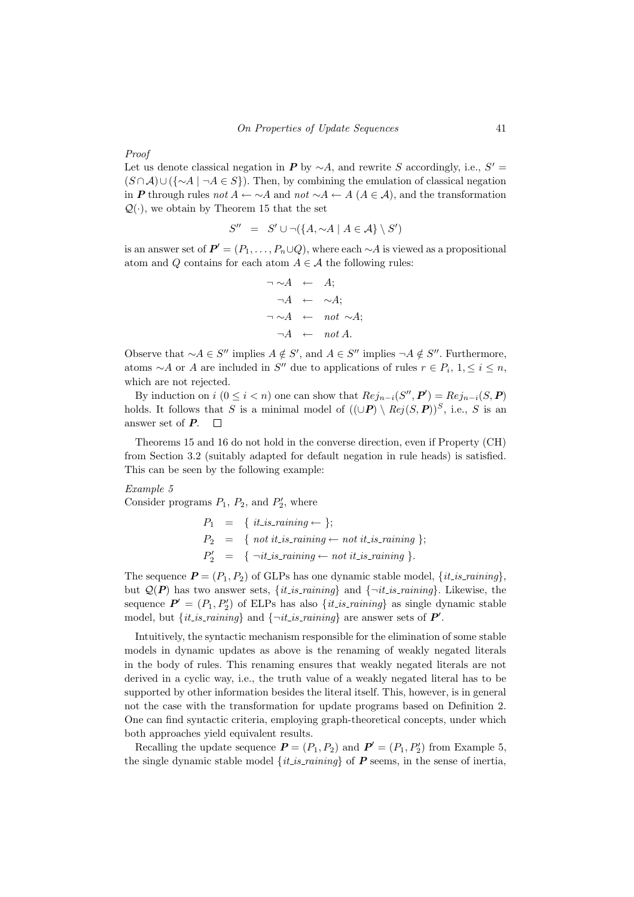#### Proof

Let us denote classical negation in P by  $\sim A$ , and rewrite S accordingly, i.e.,  $S' =$  $(S \cap A) \cup (\{\sim\} \cup \{\sim A \mid \neg A \in S\})$ . Then, by combining the emulation of classical negation in P through rules not  $A \leftarrow \sim A$  and not  $\sim A \leftarrow A$  ( $A \in A$ ), and the transformation  $\mathcal{Q}(\cdot)$ , we obtain by Theorem 15 that the set

$$
S'' = S' \cup \neg(\{A, \sim A \mid A \in \mathcal{A}\} \setminus S')
$$

is an answer set of  $\boldsymbol{P}' = (P_1, \ldots, P_n \cup Q)$ , where each  $\sim \! A$  is viewed as a propositional atom and Q contains for each atom  $A \in \mathcal{A}$  the following rules:

$$
\neg \sim A \quad \leftarrow \quad A; \n\neg A \quad \leftarrow \quad \sim A; \n\neg \sim A \quad \leftarrow \quad not \sim A; \n\neg A \quad \leftarrow \quad not \ A.
$$

Observe that  $\sim A \in S''$  implies  $A \notin S'$ , and  $A \in S''$  implies  $\neg A \notin S''$ . Furthermore, atoms ∼A or A are included in S'' due to applications of rules  $r \in P_i$ ,  $1, \leq i \leq n$ , which are not rejected.

By induction on  $i$   $(0 \leq i < n)$  one can show that  $Rej_{n-i}(S'', P') = Rej_{n-i}(S, P)$ holds. It follows that S is a minimal model of  $((\cup P) \setminus \text{Rej}(S, P))^S$ , i.e., S is an answer set of  $P$ .  $\Box$ 

Theorems 15 and 16 do not hold in the converse direction, even if Property (CH) from Section 3.2 (suitably adapted for default negation in rule heads) is satisfied. This can be seen by the following example:

### Example 5

Consider programs  $P_1$ ,  $P_2$ , and  $P'_2$ , where

$$
P_1 = \{ it\_is\_raining \leftarrow \};
$$
  
\n
$$
P_2 = \{ not it\_is\_raining \leftarrow not it\_is\_raining \};
$$
  
\n
$$
P_2' = \{ \neg it\_is\_raining \leftarrow not it\_is\_raining \}.
$$

The sequence  $\boldsymbol{P} = (P_1, P_2)$  of GLPs has one dynamic stable model,  $\{it\_is\_raining\}$ , but  $Q(P)$  has two answer sets,  $\{it \ is \ training\}$  and  $\{\neg it \ is \ training\}$ . Likewise, the sequence  $\mathbf{P}' = (P_1, P_2')$  of ELPs has also  $\{it\_is\_raining\}$  as single dynamic stable model, but  $\{it\_is\_raining\}$  and  $\{\neg it\_is\_raining\}$  are answer sets of  $P'$ .

Intuitively, the syntactic mechanism responsible for the elimination of some stable models in dynamic updates as above is the renaming of weakly negated literals in the body of rules. This renaming ensures that weakly negated literals are not derived in a cyclic way, i.e., the truth value of a weakly negated literal has to be supported by other information besides the literal itself. This, however, is in general not the case with the transformation for update programs based on Definition 2. One can find syntactic criteria, employing graph-theoretical concepts, under which both approaches yield equivalent results.

Recalling the update sequence  $\boldsymbol{P} = (P_1, P_2)$  and  $\boldsymbol{P}' = (P_1, P'_2)$  from Example 5, the single dynamic stable model  $\{it\_is\_raining\}$  of P seems, in the sense of inertia,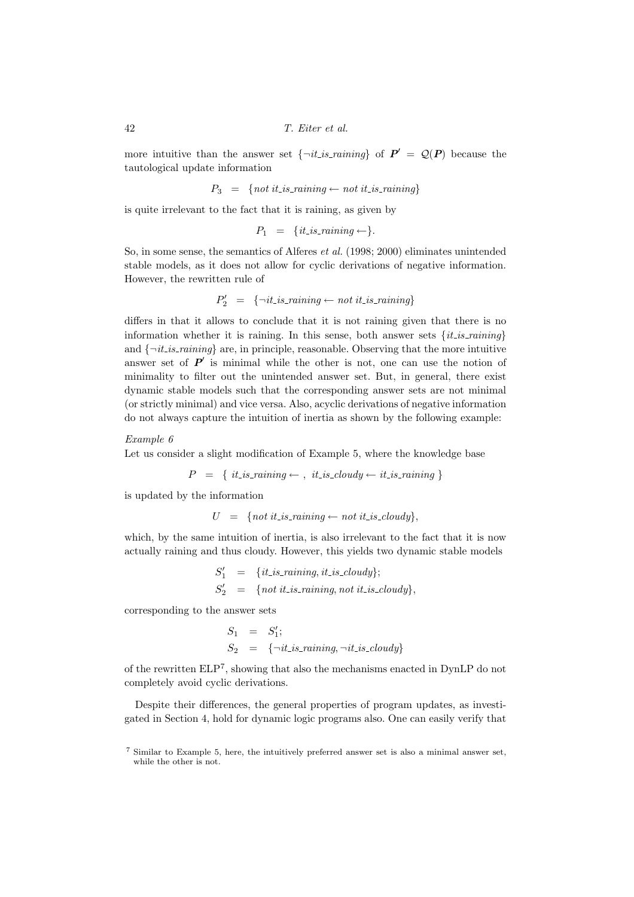more intuitive than the answer set  $\{\neg it\_is\_raining\}$  of  $P' = Q(P)$  because the tautological update information

$$
P_3 = \{ not it\_is\_raining \leftarrow not it\_is\_raining\}
$$

is quite irrelevant to the fact that it is raining, as given by

$$
P_1 = \{it\_is\_raining \leftarrow \}.
$$

So, in some sense, the semantics of Alferes et al. (1998; 2000) eliminates unintended stable models, as it does not allow for cyclic derivations of negative information. However, the rewritten rule of

$$
P_2' = \{\neg it\_is\_raining \leftarrow not \; it\_is\_raining\}
$$

differs in that it allows to conclude that it is not raining given that there is no information whether it is raining. In this sense, both answer sets  $\{it\_is\_rainina\}$ and  $\{\neg it$  is raining are, in principle, reasonable. Observing that the more intuitive answer set of  $P'$  is minimal while the other is not, one can use the notion of minimality to filter out the unintended answer set. But, in general, there exist dynamic stable models such that the corresponding answer sets are not minimal (or strictly minimal) and vice versa. Also, acyclic derivations of negative information do not always capture the intuition of inertia as shown by the following example:

### Example 6

Let us consider a slight modification of Example 5, where the knowledge base

$$
P = \{ it\_is\_raining \leftarrow, it\_is\_cloudy \leftarrow it\_is\_raining \}
$$

is updated by the information

$$
U = \{ not it\_is\_raining \leftarrow not it\_is\_cloudy\},\
$$

which, by the same intuition of inertia, is also irrelevant to the fact that it is now actually raining and thus cloudy. However, this yields two dynamic stable models

$$
S'_1 = \{it\_is\_raining, it\_is\_cloudy\};
$$
  

$$
S'_2 = \{not it\_is\_raining, not it\_is\_cloudy\},
$$

corresponding to the answer sets

$$
S_1 = S'_1;
$$
  
\n
$$
S_2 = {\neg i t\_ is\_raining, \neg i t\_ is\_cloudy}
$$

of the rewritten ELP<sup>7</sup> , showing that also the mechanisms enacted in DynLP do not completely avoid cyclic derivations.

Despite their differences, the general properties of program updates, as investigated in Section 4, hold for dynamic logic programs also. One can easily verify that

<sup>7</sup> Similar to Example 5, here, the intuitively preferred answer set is also a minimal answer set, while the other is not.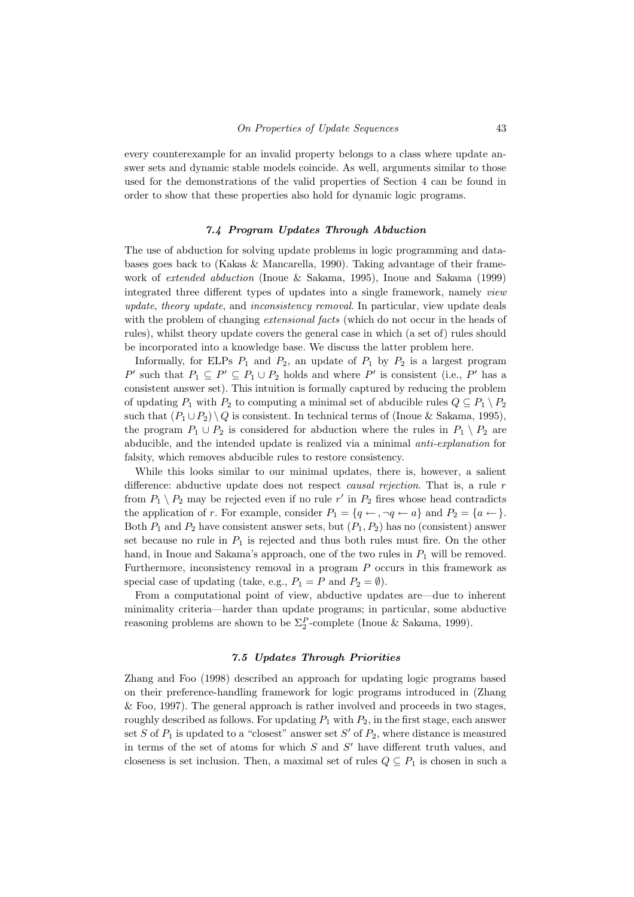every counterexample for an invalid property belongs to a class where update answer sets and dynamic stable models coincide. As well, arguments similar to those used for the demonstrations of the valid properties of Section 4 can be found in order to show that these properties also hold for dynamic logic programs.

### 7.4 Program Updates Through Abduction

The use of abduction for solving update problems in logic programming and databases goes back to (Kakas & Mancarella, 1990). Taking advantage of their framework of extended abduction (Inoue & Sakama, 1995), Inoue and Sakama (1999) integrated three different types of updates into a single framework, namely view update, theory update, and inconsistency removal. In particular, view update deals with the problem of changing *extensional facts* (which do not occur in the heads of rules), whilst theory update covers the general case in which (a set of) rules should be incorporated into a knowledge base. We discuss the latter problem here.

Informally, for ELPs  $P_1$  and  $P_2$ , an update of  $P_1$  by  $P_2$  is a largest program P' such that  $P_1 \subseteq P' \subseteq P_1 \cup P_2$  holds and where P' is consistent (i.e., P' has a consistent answer set). This intuition is formally captured by reducing the problem of updating  $P_1$  with  $P_2$  to computing a minimal set of abducible rules  $Q \subseteq P_1 \setminus P_2$ such that  $(P_1 \cup P_2) \setminus Q$  is consistent. In technical terms of (Inoue & Sakama, 1995), the program  $P_1 \cup P_2$  is considered for abduction where the rules in  $P_1 \setminus P_2$  are abducible, and the intended update is realized via a minimal anti-explanation for falsity, which removes abducible rules to restore consistency.

While this looks similar to our minimal updates, there is, however, a salient difference: abductive update does not respect causal rejection. That is, a rule r from  $P_1 \setminus P_2$  may be rejected even if no rule r' in  $P_2$  fires whose head contradicts the application of r. For example, consider  $P_1 = \{q \leftarrow, \neg q \leftarrow a\}$  and  $P_2 = \{a \leftarrow\}$ . Both  $P_1$  and  $P_2$  have consistent answer sets, but  $(P_1, P_2)$  has no (consistent) answer set because no rule in  $P_1$  is rejected and thus both rules must fire. On the other hand, in Inoue and Sakama's approach, one of the two rules in  $P_1$  will be removed. Furthermore, inconsistency removal in a program  $P$  occurs in this framework as special case of updating (take, e.g.,  $P_1 = P$  and  $P_2 = \emptyset$ ).

From a computational point of view, abductive updates are—due to inherent minimality criteria—harder than update programs; in particular, some abductive reasoning problems are shown to be  $\Sigma_2^P$ -complete (Inoue & Sakama, 1999).

## 7.5 Updates Through Priorities

Zhang and Foo (1998) described an approach for updating logic programs based on their preference-handling framework for logic programs introduced in (Zhang & Foo, 1997). The general approach is rather involved and proceeds in two stages, roughly described as follows. For updating  $P_1$  with  $P_2$ , in the first stage, each answer set S of  $P_1$  is updated to a "closest" answer set S' of  $P_2$ , where distance is measured in terms of the set of atoms for which  $S$  and  $S'$  have different truth values, and closeness is set inclusion. Then, a maximal set of rules  $Q \subseteq P_1$  is chosen in such a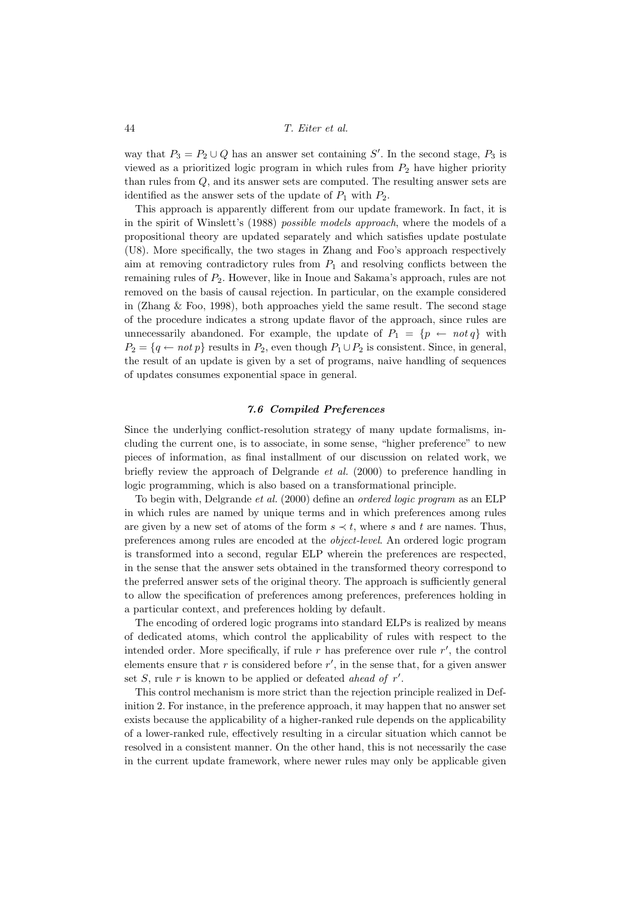way that  $P_3 = P_2 \cup Q$  has an answer set containing S'. In the second stage,  $P_3$  is viewed as a prioritized logic program in which rules from  $P_2$  have higher priority than rules from Q, and its answer sets are computed. The resulting answer sets are identified as the answer sets of the update of  $P_1$  with  $P_2$ .

This approach is apparently different from our update framework. In fact, it is in the spirit of Winslett's (1988) possible models approach, where the models of a propositional theory are updated separately and which satisfies update postulate (U8). More specifically, the two stages in Zhang and Foo's approach respectively aim at removing contradictory rules from  $P_1$  and resolving conflicts between the remaining rules of P2. However, like in Inoue and Sakama's approach, rules are not removed on the basis of causal rejection. In particular, on the example considered in (Zhang & Foo, 1998), both approaches yield the same result. The second stage of the procedure indicates a strong update flavor of the approach, since rules are unnecessarily abandoned. For example, the update of  $P_1 = \{p \leftarrow not q\}$  with  $P_2 = \{q \leftarrow not p\}$  results in  $P_2$ , even though  $P_1 \cup P_2$  is consistent. Since, in general, the result of an update is given by a set of programs, naive handling of sequences of updates consumes exponential space in general.

### 7.6 Compiled Preferences

Since the underlying conflict-resolution strategy of many update formalisms, including the current one, is to associate, in some sense, "higher preference" to new pieces of information, as final installment of our discussion on related work, we briefly review the approach of Delgrande et al. (2000) to preference handling in logic programming, which is also based on a transformational principle.

To begin with, Delgrande et al. (2000) define an ordered logic program as an ELP in which rules are named by unique terms and in which preferences among rules are given by a new set of atoms of the form  $s \prec t$ , where s and t are names. Thus, preferences among rules are encoded at the object-level. An ordered logic program is transformed into a second, regular ELP wherein the preferences are respected, in the sense that the answer sets obtained in the transformed theory correspond to the preferred answer sets of the original theory. The approach is sufficiently general to allow the specification of preferences among preferences, preferences holding in a particular context, and preferences holding by default.

The encoding of ordered logic programs into standard ELPs is realized by means of dedicated atoms, which control the applicability of rules with respect to the intended order. More specifically, if rule  $r$  has preference over rule  $r'$ , the control elements ensure that  $r$  is considered before  $r'$ , in the sense that, for a given answer set  $S$ , rule  $r$  is known to be applied or defeated ahead of  $r'$ .

This control mechanism is more strict than the rejection principle realized in Definition 2. For instance, in the preference approach, it may happen that no answer set exists because the applicability of a higher-ranked rule depends on the applicability of a lower-ranked rule, effectively resulting in a circular situation which cannot be resolved in a consistent manner. On the other hand, this is not necessarily the case in the current update framework, where newer rules may only be applicable given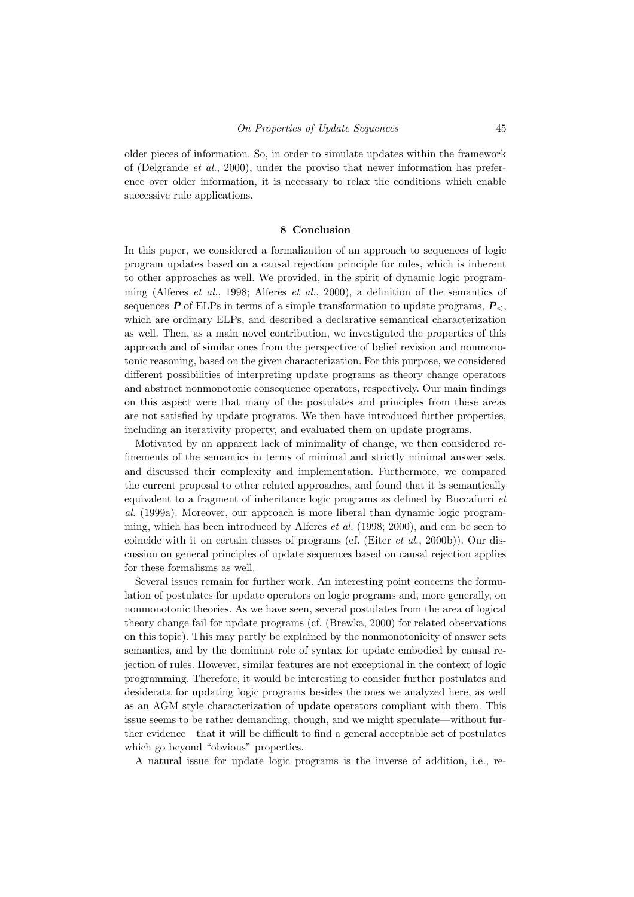older pieces of information. So, in order to simulate updates within the framework of (Delgrande et al., 2000), under the proviso that newer information has preference over older information, it is necessary to relax the conditions which enable successive rule applications.

### 8 Conclusion

In this paper, we considered a formalization of an approach to sequences of logic program updates based on a causal rejection principle for rules, which is inherent to other approaches as well. We provided, in the spirit of dynamic logic programming (Alferes et al., 1998; Alferes et al., 2000), a definition of the semantics of sequences  $P$  of ELPs in terms of a simple transformation to update programs,  $P_{\leq 1}$ , which are ordinary ELPs, and described a declarative semantical characterization as well. Then, as a main novel contribution, we investigated the properties of this approach and of similar ones from the perspective of belief revision and nonmonotonic reasoning, based on the given characterization. For this purpose, we considered different possibilities of interpreting update programs as theory change operators and abstract nonmonotonic consequence operators, respectively. Our main findings on this aspect were that many of the postulates and principles from these areas are not satisfied by update programs. We then have introduced further properties, including an iterativity property, and evaluated them on update programs.

Motivated by an apparent lack of minimality of change, we then considered refinements of the semantics in terms of minimal and strictly minimal answer sets, and discussed their complexity and implementation. Furthermore, we compared the current proposal to other related approaches, and found that it is semantically equivalent to a fragment of inheritance logic programs as defined by Buccafurri et al. (1999a). Moreover, our approach is more liberal than dynamic logic programming, which has been introduced by Alferes  $et \ al.$  (1998; 2000), and can be seen to coincide with it on certain classes of programs (cf. (Eiter  $et \ al.,\ 2000b$ )). Our discussion on general principles of update sequences based on causal rejection applies for these formalisms as well.

Several issues remain for further work. An interesting point concerns the formulation of postulates for update operators on logic programs and, more generally, on nonmonotonic theories. As we have seen, several postulates from the area of logical theory change fail for update programs (cf. (Brewka, 2000) for related observations on this topic). This may partly be explained by the nonmonotonicity of answer sets semantics, and by the dominant role of syntax for update embodied by causal rejection of rules. However, similar features are not exceptional in the context of logic programming. Therefore, it would be interesting to consider further postulates and desiderata for updating logic programs besides the ones we analyzed here, as well as an AGM style characterization of update operators compliant with them. This issue seems to be rather demanding, though, and we might speculate—without further evidence—that it will be difficult to find a general acceptable set of postulates which go beyond "obvious" properties.

A natural issue for update logic programs is the inverse of addition, i.e., re-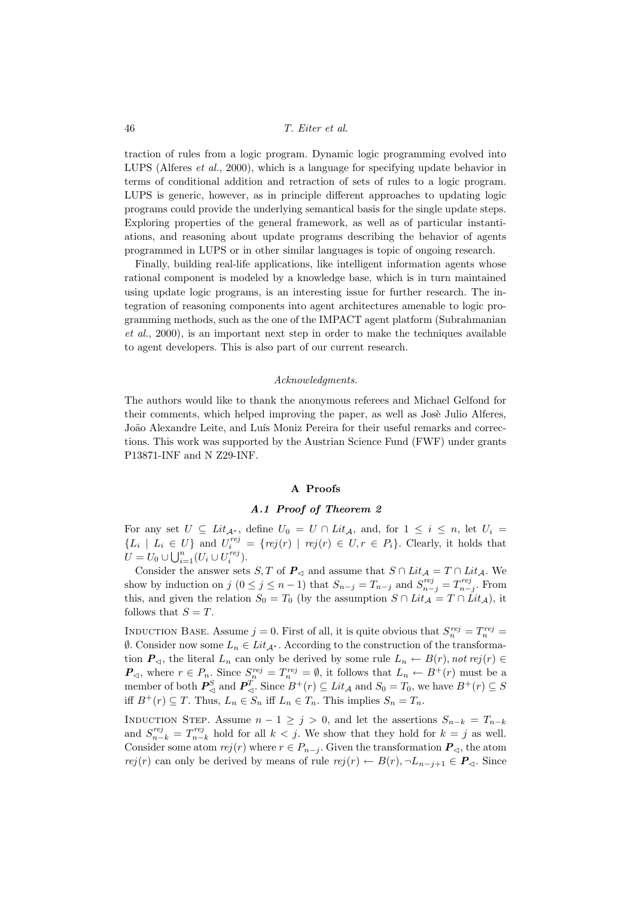traction of rules from a logic program. Dynamic logic programming evolved into LUPS (Alferes *et al.*, 2000), which is a language for specifying update behavior in terms of conditional addition and retraction of sets of rules to a logic program. LUPS is generic, however, as in principle different approaches to updating logic programs could provide the underlying semantical basis for the single update steps. Exploring properties of the general framework, as well as of particular instantiations, and reasoning about update programs describing the behavior of agents programmed in LUPS or in other similar languages is topic of ongoing research.

Finally, building real-life applications, like intelligent information agents whose rational component is modeled by a knowledge base, which is in turn maintained using update logic programs, is an interesting issue for further research. The integration of reasoning components into agent architectures amenable to logic programming methods, such as the one of the IMPACT agent platform (Subrahmanian et al., 2000), is an important next step in order to make the techniques available to agent developers. This is also part of our current research.

### Acknowledgments.

The authors would like to thank the anonymous referees and Michael Gelfond for their comments, which helped improving the paper, as well as Josè Julio Alferes, João Alexandre Leite, and Luís Moniz Pereira for their useful remarks and corrections. This work was supported by the Austrian Science Fund (FWF) under grants P13871-INF and N Z29-INF.

### A Proofs

# A.1 Proof of Theorem 2

For any set  $U \subseteq Lit_{\mathcal{A}^*}$ , define  $U_0 = U \cap Lit_{\mathcal{A}}$ , and, for  $1 \leq i \leq n$ , let  $U_i =$  $\{L_i \mid L_i \in U\}$  and  $U_i^{req} = \{rej(r) \mid rej(r) \in U, r \in P_i\}$ . Clearly, it holds that  $U = U_0 \cup \bigcup_{i=1}^n (U_i \cup U_i^{reg}).$ 

Consider the answer sets S, T of  $P_{\lhd}$  and assume that  $S \cap Lit_{\mathcal{A}} = T \cap Lit_{\mathcal{A}}$ . We show by induction on  $j$   $(0 \le j \le n-1)$  that  $S_{n-j} = T_{n-j}$  and  $S_{n-j}^{reg} = T_{n-j}^{reg}$ . From this, and given the relation  $S_0 = T_0$  (by the assumption  $S \cap Lit_{\mathcal{A}} = T \cap Lit_{\mathcal{A}}$ ), it follows that  $S = T$ .

INDUCTION BASE. Assume  $j = 0$ . First of all, it is quite obvious that  $S_n^{rej} = T_n^{rej} =$  $\emptyset$ . Consider now some  $L_n$  ∈ Lit<sub>A\*</sub>. According to the construction of the transformation  $P_{\lhd}$ , the literal  $L_n$  can only be derived by some rule  $L_n \leftarrow B(r)$ , not rej $(r) \in$  $P_{\lhd}$ , where  $r \in P_n$ . Since  $S_n^{rej} = T_n^{rej} = \emptyset$ , it follows that  $L_n \leftarrow B^+(r)$  must be a member of both  $\mathbf{P}_{\leq 1}^S$  and  $\mathbf{P}_{\leq 1}^T$ . Since  $B^+(r) \subseteq Lit_{\mathcal{A}}$  and  $S_0 = T_0$ , we have  $B^+(r) \subseteq S$ iff  $B^+(r) \subseteq T$ . Thus,  $L_n \in S_n$  iff  $L_n \in T_n$ . This implies  $S_n = T_n$ .

INDUCTION STEP. Assume  $n-1 \geq j > 0$ , and let the assertions  $S_{n-k} = T_{n-k}$ and  $S_{n-k}^{rej} = T_{n-k}^{rej}$  hold for all  $k < j$ . We show that they hold for  $k = j$  as well. Consider some atom  $rej(r)$  where  $r \in P_{n-j}$ . Given the transformation  $P_{\leq l}$ , the atom rej(r) can only be derived by means of rule  $rej(r) \leftarrow B(r), \neg L_{n-j+1} \in P_{\lhd}$ . Since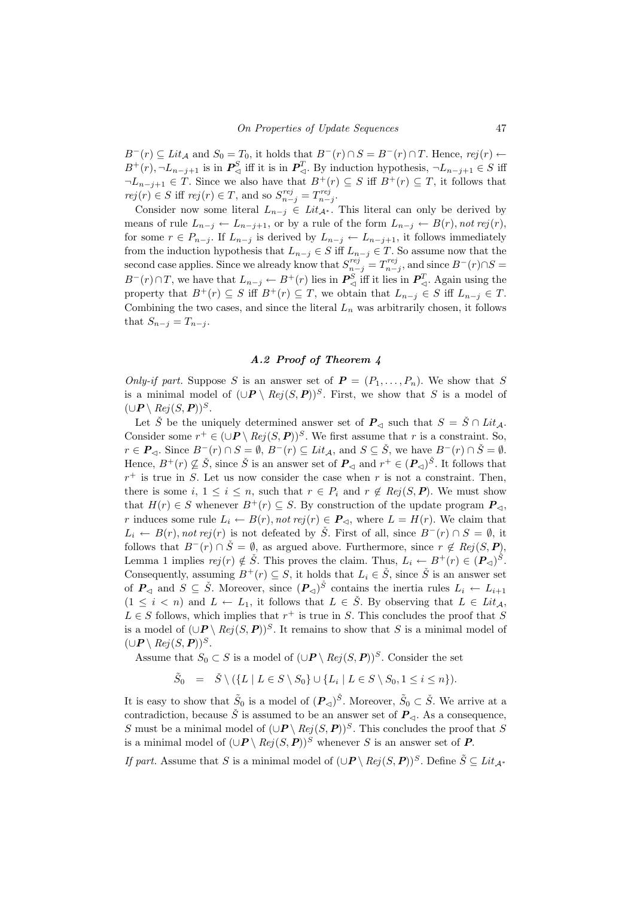$B^-(r) \subseteq Lit_{\mathcal{A}}$  and  $S_0 = T_0$ , it holds that  $B^-(r) \cap S = B^-(r) \cap T$ . Hence,  $rej(r) \leftarrow$  $B^+(r), \neg L_{n-j+1}$  is in  $P^S_{\lhd}$  iff it is in  $P^T_{\lhd}$ . By induction hypothesis,  $\neg L_{n-j+1} \in S$  iff  $\neg L_{n-j+1} \in T$ . Since we also have that  $B^+(r) \subseteq S$  iff  $B^+(r) \subseteq T$ , it follows that  $rej(r) \in S$  iff  $rej(r) \in T$ , and so  $S_{n-j}^{rej} = T_{n-j}^{rej}$ .

Consider now some literal  $L_{n-j} \in Lit_{\mathcal{A}^*}$ . This literal can only be derived by means of rule  $L_{n-j} \leftarrow L_{n-j+1}$ , or by a rule of the form  $L_{n-j} \leftarrow B(r)$ , not rej(r), for some  $r \in P_{n-j}$ . If  $L_{n-j}$  is derived by  $L_{n-j} \leftarrow L_{n-j+1}$ , it follows immediately from the induction hypothesis that  $L_{n-j} \in S$  iff  $L_{n-j} \in T$ . So assume now that the second case applies. Since we already know that  $S_{n-j}^{rej} = T_{n-j}^{rej}$ , and since  $B^-(r) \cap S =$  $B^-(r) \cap T$ , we have that  $L_{n-j} \leftarrow B^+(r)$  lies in  $\mathbf{P}_{\lhd}^S$  iff it lies in  $\mathbf{P}_{\lhd}^T$ . Again using the property that  $B^+(r) \subseteq S$  iff  $B^+(r) \subseteq T$ , we obtain that  $L_{n-j} \in S$  iff  $L_{n-j} \in T$ . Combining the two cases, and since the literal  $L_n$  was arbitrarily chosen, it follows that  $S_{n-j} = T_{n-j}$ .

### A.2 Proof of Theorem 4

Only-if part. Suppose S is an answer set of  $P = (P_1, \ldots, P_n)$ . We show that S is a minimal model of  $(\bigcup \mathbf{P} \setminus Re(i, \mathbf{P}))^S$ . First, we show that S is a model of  $(\cup P \setminus Rej(S, P))^S$ .

Let  $\check{S}$  be the uniquely determined answer set of  $P_{\lhd}$  such that  $S = \check{S} \cap Lit_{\mathcal{A}}$ . Consider some  $r^+ \in (\cup P \setminus Rej(S, P))^S$ . We first assume that r is a constraint. So,  $r \in \mathbf{P}_{\leq 1}$ . Since  $B^-(r) \cap S = \emptyset$ ,  $B^-(r) \subseteq Lit_{\mathcal{A}}$ , and  $S \subseteq \check{S}$ , we have  $B^-(r) \cap \check{S} = \emptyset$ . Hence,  $B^+(r) \nsubseteq \check{S}$ , since  $\check{S}$  is an answer set of  $P_{\lhd}$  and  $r^+ \in (P_{\lhd})^{\check{S}}$ . It follows that  $r^+$  is true in S. Let us now consider the case when r is not a constraint. Then, there is some i,  $1 \leq i \leq n$ , such that  $r \in P_i$  and  $r \notin Rej(S, P)$ . We must show that  $H(r) \in S$  whenever  $B^+(r) \subseteq S$ . By construction of the update program  $P_{\leq S}$ , r induces some rule  $L_i \leftarrow B(r)$ , not rej $(r) \in P_{\leq l}$ , where  $L = H(r)$ . We claim that  $L_i \leftarrow B(r)$ , not rej(r) is not defeated by  $\check{S}$ . First of all, since  $B^-(r) \cap S = \emptyset$ , it follows that  $B^{-}(r) \cap \check{S} = \emptyset$ , as argued above. Furthermore, since  $r \notin Rej(S, P)$ , Lemma 1 implies  $rej(r) \notin \check{S}$ . This proves the claim. Thus,  $L_i \leftarrow B^+(r) \in (\mathbf{P}_{\leq})^{\check{S}}$ . Consequently, assuming  $B^+(r) \subseteq S$ , it holds that  $L_i \in \check{S}$ , since  $\check{S}$  is an answer set of  $P_{\lhd}$  and  $S \subseteq \check{S}$ . Moreover, since  $(P_{\lhd})^{\check{S}}$  contains the inertia rules  $L_i \leftarrow L_{i+1}$  $(1 \leq i < n)$  and  $L \leftarrow L_1$ , it follows that  $L \in \check{S}$ . By observing that  $L \in Lit_{\mathcal{A}}$ ,  $L \in S$  follows, which implies that  $r^+$  is true in S. This concludes the proof that S is a model of  $(\bigcup P \setminus Rej(S, P))^S$ . It remains to show that S is a minimal model of  $(\cup P \setminus Rej(S, P))^S$ .

Assume that  $S_0 \subset S$  is a model of  $(\cup P \setminus Rej(S, P))^S$ . Consider the set

$$
\tilde{S}_0 = \check{S} \setminus (\{L \mid L \in S \setminus S_0\} \cup \{L_i \mid L \in S \setminus S_0, 1 \leq i \leq n\}).
$$

It is easy to show that  $\tilde{S}_0$  is a model of  $(P_{\lhd})^{\check{S}}$ . Moreover,  $\tilde{S}_0 \subset \check{S}$ . We arrive at a contradiction, because  $\check{S}$  is assumed to be an answer set of  $P_{\leq}$ . As a consequence, S must be a minimal model of  $(\bigcup P \setminus Rej(S, P))^S$ . This concludes the proof that S is a minimal model of  $(\bigcup P \setminus Rej(S, P))^S$  whenever S is an answer set of P.

If part. Assume that S is a minimal model of  $(\cup P \setminus Rej(S, P))^S$ . Define  $\tilde{S} \subseteq Lit_{\mathcal{A}^*}$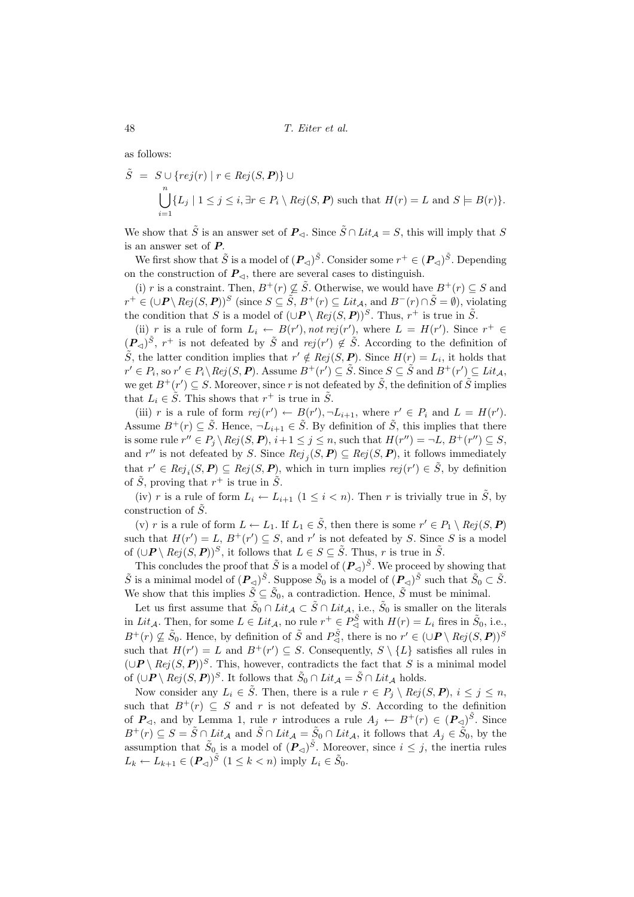as follows:

$$
\tilde{S} = S \cup \{rej(r) \mid r \in Rej(S, \mathbf{P})\} \cup
$$
\n
$$
\bigcup_{i=1}^{n} \{L_j \mid 1 \leq j \leq i, \exists r \in P_i \setminus Rej(S, \mathbf{P}) \text{ such that } H(r) = L \text{ and } S \models B(r)\}.
$$

We show that  $\tilde{S}$  is an answer set of  $P_{\leq l}$ . Since  $\tilde{S} \cap Lit_A = S$ , this will imply that S is an answer set of P.

We first show that  $\tilde{S}$  is a model of  $(P_{\lhd})^{\tilde{S}}$ . Consider some  $r^+ \in (P_{\lhd})^{\tilde{S}}$ . Depending on the construction of  $P_{\leq 1}$ , there are several cases to distinguish.

(i) r is a constraint. Then,  $B^+(r) \nsubseteq \tilde{S}$ . Otherwise, we would have  $B^+(r) \subseteq S$  and  $r^+ \in (\cup \mathbf{P} \setminus Rej(S, \mathbf{P}))^S$  (since  $S \subseteq \tilde{S}$ ,  $B^+(r) \subseteq Lit_{\mathcal{A}}$ , and  $B^-(r) \cap \tilde{S} = \emptyset$ ), violating the condition that S is a model of  $(\cup P \setminus \text{Rej}(S, P))^S$ . Thus, r<sup>+</sup> is true in  $\tilde{S}$ .

(ii) r is a rule of form  $L_i \leftarrow B(r')$ , not rej(r'), where  $L = H(r')$ . Since  $r^+ \in$  $(P_{\leq})^{\tilde{S}}$ ,  $r^+$  is not defeated by  $\tilde{S}$  and  $rej(r') \notin \tilde{S}$ . According to the definition of  $\tilde{S}$ , the latter condition implies that  $r' \notin Rej(S, P)$ . Since  $H(r) = L_i$ , it holds that  $r' \in P_i$ , so  $r' \in P_i \setminus Rej(S, P)$ . Assume  $B^+(r') \subseteq \tilde{S}$ . Since  $S \subseteq \tilde{S}$  and  $B^+(r') \subseteq Lit_{\mathcal{A}},$ we get  $B^+(r') \subseteq S$ . Moreover, since r is not defeated by  $\tilde{S}$ , the definition of  $\tilde{S}$  implies that  $L_i \in \tilde{S}$ . This shows that  $r^+$  is true in  $\tilde{S}$ .

(iii) r is a rule of form  $rej(r') \leftarrow B(r'), \neg L_{i+1}$ , where  $r' \in P_i$  and  $L = H(r')$ . Assume  $B^+(r) \subseteq \tilde{S}$ . Hence,  $\neg L_{i+1} \in \tilde{S}$ . By definition of  $\tilde{S}$ , this implies that there is some rule  $r'' \in P_j \setminus Rej(S, P), i+1 \leq j \leq n$ , such that  $H(r'') = \neg L, B^+(r'') \subseteq S$ , and r'' is not defeated by S. Since  $Rej_j(S, P) \subseteq Rej(S, P)$ , it follows immediately that  $r' \in \text{Re}j_i(S, P) \subseteq \text{Re}j(S, P)$ , which in turn implies  $\text{re}j(r') \in \tilde{S}$ , by definition of  $\tilde{S}$ , proving that  $r^+$  is true in  $\tilde{S}$ .

(iv) r is a rule of form  $L_i \leftarrow L_{i+1}$   $(1 \leq i \leq n)$ . Then r is trivially true in  $\tilde{S}$ , by construction of  $\tilde{S}$ .

(v) r is a rule of form  $L \leftarrow L_1$ . If  $L_1 \in \tilde{S}$ , then there is some  $r' \in P_1 \setminus Rej(S, P)$ such that  $H(r') = L, B^+(r') \subseteq S$ , and r' is not defeated by S. Since S is a model of  $(\cup P \setminus Rej(S, P))^S$ , it follows that  $L \in S \subseteq \tilde{S}$ . Thus, r is true in  $\tilde{S}$ .

This concludes the proof that  $\tilde{S}$  is a model of  $(P_{\leq})^{\tilde{S}}$ . We proceed by showing that  $\tilde{S}$  is a minimal model of  $(P_{\lhd})^{\tilde{S}}$ . Suppose  $\tilde{S}_0$  is a model of  $(P_{\lhd})^{\tilde{S}}$  such that  $\tilde{S}_0 \subset \tilde{S}$ . We show that this implies  $\tilde{S} \subseteq \tilde{S}_0$ , a contradiction. Hence,  $\tilde{S}$  must be minimal.

Let us first assume that  $\tilde{S}_0 \cap Lit_{\mathcal{A}} \subset \tilde{S} \cap Lit_{\mathcal{A}}$ , i.e.,  $\tilde{S}_0$  is smaller on the literals in  $Lit_{\mathcal{A}}$ . Then, for some  $L \in Lit_{\mathcal{A}}$ , no rule  $r^+ \in P_{\preceq}^{\tilde{S}}$  with  $H(r) = L_i$  fires in  $\tilde{S}_0$ , i.e.,  $B^+(r) \nsubseteq \tilde{S}_0$ . Hence, by definition of  $\tilde{S}$  and  $P_{\leq 1}^{\tilde{S}}$ , there is no  $r' \in (\cup P \setminus Rej(S, P))^S$ such that  $H(r') = L$  and  $B^+(r') \subseteq S$ . Consequently,  $S \setminus \{L\}$  satisfies all rules in  $(\cup P \setminus \text{Rej}(S, P))^S$ . This, however, contradicts the fact that S is a minimal model of  $(\cup P \setminus \text{Rej}(S, P))^S$ . It follows that  $\tilde{S}_0 \cap \text{Lit}_{\mathcal{A}} = \tilde{S} \cap \text{Lit}_{\mathcal{A}}$  holds.

Now consider any  $L_i \in \tilde{S}$ . Then, there is a rule  $r \in P_i \setminus Rej(S, P)$ ,  $i \leq j \leq n$ , such that  $B^+(r) \subseteq S$  and r is not defeated by S. According to the definition of  $P_{\leq}$ , and by Lemma 1, rule r introduces a rule  $A_j \leftarrow B^+(r) \in (P_{\leq})^{\tilde{S}}$ . Since  $B^+(r) \subseteq S = \tilde{S} \cap Lit_{\mathcal{A}}$  and  $\tilde{S} \cap Lit_{\mathcal{A}} = \tilde{S}_0 \cap Lit_{\mathcal{A}}$ , it follows that  $A_j \in \tilde{S}_0$ , by the assumption that  $\tilde{S}_0$  is a model of  $(P_{\lhd})^{\tilde{S}}$ . Moreover, since  $i \leq j$ , the inertia rules  $L_k \leftarrow L_{k+1} \in (\boldsymbol{P}_{\lhd})^{\tilde{S}} \ (1 \leq k < n) \text{ imply } L_i \in \tilde{S}_0.$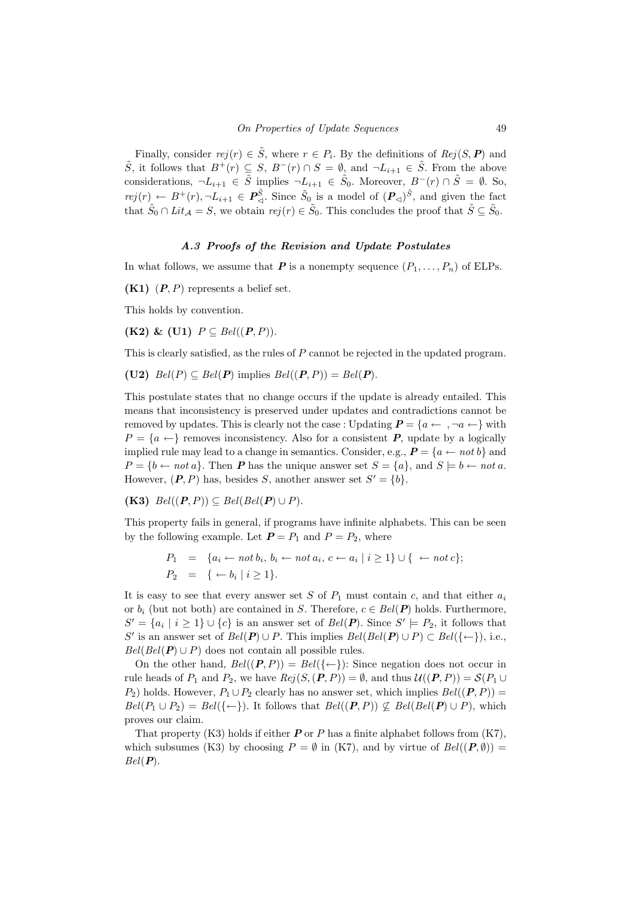Finally, consider  $rej(r) \in \tilde{S}$ , where  $r \in P_i$ . By the definitions of  $Rej(S, P)$  and  $\tilde{S}$ , it follows that  $B^+(r) \subseteq S$ ,  $B^-(r) \cap S = \emptyset$ , and  $\neg L_{i+1} \in \tilde{S}$ . From the above considerations,  $\neg L_{i+1} \in \tilde{S}$  implies  $\neg L_{i+1} \in \tilde{S}_0$ . Moreover,  $B^-(r) \cap \tilde{S} = \emptyset$ . So,  $rej(r) \leftarrow B^+(r), \neg L_{i+1} \in \mathbf{P}_{\leq}^{\tilde{S}}$ . Since  $\tilde{S}_0$  is a model of  $(\mathbf{P}_{\leq})^{\tilde{S}}$ , and given the fact that  $\tilde{S}_0 \cap Lit_{\mathcal{A}} = S$ , we obtain  $rej(r) \in \tilde{S}_0$ . This concludes the proof that  $\tilde{S} \subseteq \tilde{S}_0$ .

### A.3 Proofs of the Revision and Update Postulates

In what follows, we assume that **P** is a nonempty sequence  $(P_1, \ldots, P_n)$  of ELPs.

 $(K1)$   $(P, P)$  represents a belief set.

This holds by convention.

(K2) & (U1)  $P \subseteq Bel((P, P)).$ 

This is clearly satisfied, as the rules of P cannot be rejected in the updated program.

(U2)  $Bel(P) \subseteq Bel(P)$  implies  $Bel((P, P)) = Bel(P)$ .

This postulate states that no change occurs if the update is already entailed. This means that inconsistency is preserved under updates and contradictions cannot be removed by updates. This is clearly not the case : Updating  $P = \{a \leftarrow , \neg a \leftarrow \}$  with  $P = \{a \leftarrow\}$  removes inconsistency. Also for a consistent P, update by a logically implied rule may lead to a change in semantics. Consider, e.g.,  $P = \{a \leftarrow not b\}$  and  $P = \{b \leftarrow not \ a\}.$  Then P has the unique answer set  $S = \{a\},$  and  $S \models b \leftarrow not \ a$ . However,  $(P, P)$  has, besides S, another answer set  $S' = \{b\}.$ 

(K3)  $Bel((P, P)) \subseteq Bel(Bel(P) \cup P).$ 

This property fails in general, if programs have infinite alphabets. This can be seen by the following example. Let  $P = P_1$  and  $P = P_2$ , where

$$
P_1 = \{a_i \leftarrow not \ b_i, \ b_i \leftarrow not \ a_i, \ c \leftarrow a_i \mid i \geq 1\} \cup \{\leftarrow not \ c\};
$$
  

$$
P_2 = \{\leftarrow b_i \mid i \geq 1\}.
$$

It is easy to see that every answer set S of  $P_1$  must contain c, and that either  $a_i$ or  $b_i$  (but not both) are contained in S. Therefore,  $c \in Bel(P)$  holds. Furthermore,  $S' = \{a_i \mid i \geq 1\} \cup \{c\}$  is an answer set of  $Bel(P)$ . Since  $S' \models P_2$ , it follows that S' is an answer set of  $Bel(P) \cup P$ . This implies  $Bel(Bel(P) \cup P) \subset Bel({\{\leftarrow\}}),$  i.e.,  $Bel(Bel(P) \cup P)$  does not contain all possible rules.

On the other hand,  $Bel((P, P)) = Bel({\{\leftarrow\}})$ : Since negation does not occur in rule heads of  $P_1$  and  $P_2$ , we have  $Re_j(S, (P, P)) = \emptyset$ , and thus  $\mathcal{U}((P, P)) = \mathcal{S}(P_1 \cup P_2)$  $P_2$ ) holds. However,  $P_1 \cup P_2$  clearly has no answer set, which implies  $Bel((P, P)) =$  $Bel(P_1 \cup P_2) = Bel({\{\leftarrow\}}).$  It follows that  $Bel((P, P)) \nsubseteq Bel(Bel(P) \cup P)$ , which proves our claim.

That property (K3) holds if either  $P$  or  $P$  has a finite alphabet follows from (K7), which subsumes (K3) by choosing  $P = \emptyset$  in (K7), and by virtue of  $Bel((P, \emptyset)) =$  $Bel(\boldsymbol{P}).$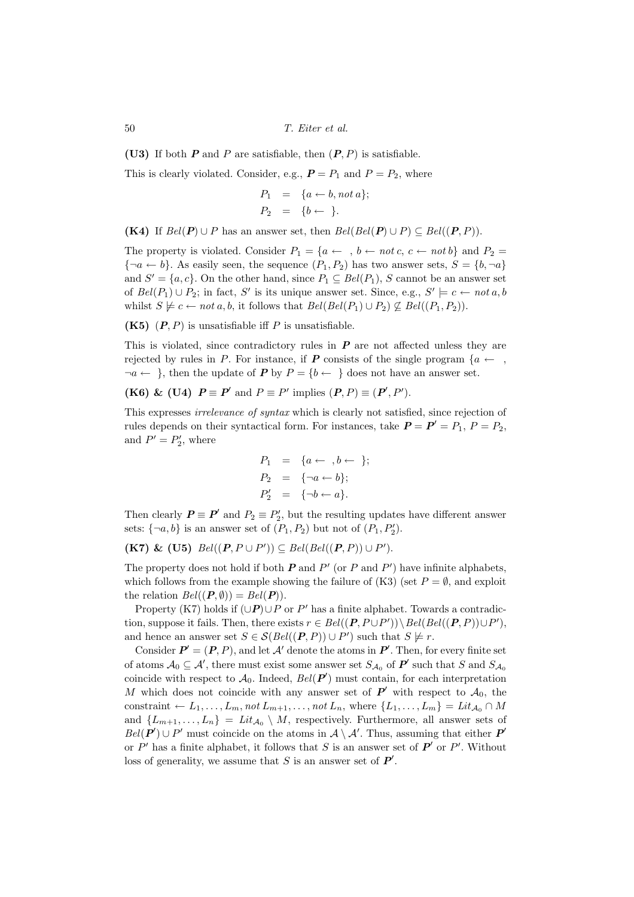(U3) If both  $P$  and  $P$  are satisfiable, then  $(P, P)$  is satisfiable.

This is clearly violated. Consider, e.g.,  $P = P_1$  and  $P = P_2$ , where

$$
P_1 = \{a \leftarrow b, not a\};
$$
  

$$
P_2 = \{b \leftarrow \}.
$$

(K4) If  $Bel(P) \cup P$  has an answer set, then  $Bel(Bel(P) \cup P) \subseteq Bel((P, P)).$ 

The property is violated. Consider  $P_1 = \{a \leftarrow , b \leftarrow not \, c, c \leftarrow not \, b\}$  and  $P_2 =$  ${\neg a \leftarrow b}$ . As easily seen, the sequence  $(P_1, P_2)$  has two answer sets,  $S = \{b, \neg a\}$ and  $S' = \{a, c\}$ . On the other hand, since  $P_1 \subseteq Bel(P_1)$ , S cannot be an answer set of  $Bel(P_1) \cup P_2$ ; in fact, S' is its unique answer set. Since, e.g.,  $S' \models c \leftarrow not \, a, b$ whilst  $S \not\models c \leftarrow not \, a, b$ , it follows that  $Bel(Bel(P_1) \cup P_2) \not\subseteq Bel((P_1, P_2)).$ 

(K5)  $(P, P)$  is unsatisfiable if P is unsatisfiable.

This is violated, since contradictory rules in  $P$  are not affected unless they are rejected by rules in P. For instance, if P consists of the single program  $\{a \leftarrow \}$ ,  $\neg a \leftarrow \}$ , then the update of **P** by  $P = \{b \leftarrow \}$  does not have an answer set.

(K6) & (U4)  $P \equiv P'$  and  $P \equiv P'$  implies  $(P, P) \equiv (P', P')$ .

This expresses irrelevance of syntax which is clearly not satisfied, since rejection of rules depends on their syntactical form. For instances, take  $P = P' = P_1, P = P_2$ , and  $P' = P'_2$ , where

$$
P_1 = \{a \leftarrow , b \leftarrow \};
$$
  
\n
$$
P_2 = \{\neg a \leftarrow b\};
$$
  
\n
$$
P_2' = \{\neg b \leftarrow a\}.
$$

Then clearly  $P \equiv P'$  and  $P_2 \equiv P'_2$ , but the resulting updates have different answer sets:  $\{\neg a, b\}$  is an answer set of  $(P_1, P_2)$  but not of  $(P_1, P'_2)$ .

 $(K7) \& (U5) \; Bel((P, P \cup P')) \subseteq Bel(Bel((P, P)) \cup P').$ 

The property does not hold if both  $P$  and  $P'$  (or  $P$  and  $P'$ ) have infinite alphabets, which follows from the example showing the failure of (K3) (set  $P = \emptyset$ , and exploit the relation  $Bel((P, \emptyset)) = Bel(P)$ .

Property (K7) holds if  $(\cup P) \cup P$  or P' has a finite alphabet. Towards a contradiction, suppose it fails. Then, there exists  $r \in Bel((P, P \cup P')) \setminus Bel(Bel((P, P)) \cup P')$ , and hence an answer set  $S \in \mathcal{S}(Bel((P, P)) \cup P')$  such that  $S \not\models r$ .

Consider  $P' = (P, P)$ , and let A' denote the atoms in P'. Then, for every finite set of atoms  $A_0 \subseteq A'$ , there must exist some answer set  $S_{A_0}$  of  $P'$  such that S and  $S_{A_0}$ coincide with respect to  $\mathcal{A}_0$ . Indeed,  $Bel(P')$  must contain, for each interpretation M which does not coincide with any answer set of  $P'$  with respect to  $\mathcal{A}_0$ , the constraint  $\leftarrow L_1, \ldots, L_m$ , not  $L_{m+1}, \ldots, \text{not } L_n$ , where  $\{L_1, \ldots, L_m\} = Lit_{\mathcal{A}_0} \cap M$ and  $\{L_{m+1},\ldots,L_n\} = Lit_{\mathcal{A}_0} \setminus M$ , respectively. Furthermore, all answer sets of  $Bel(P') \cup P'$  must coincide on the atoms in  $\mathcal{A} \setminus \mathcal{A}'$ . Thus, assuming that either  $P'$ or  $P'$  has a finite alphabet, it follows that S is an answer set of  $P'$  or  $P'$ . Without loss of generality, we assume that S is an answer set of  $P'$ .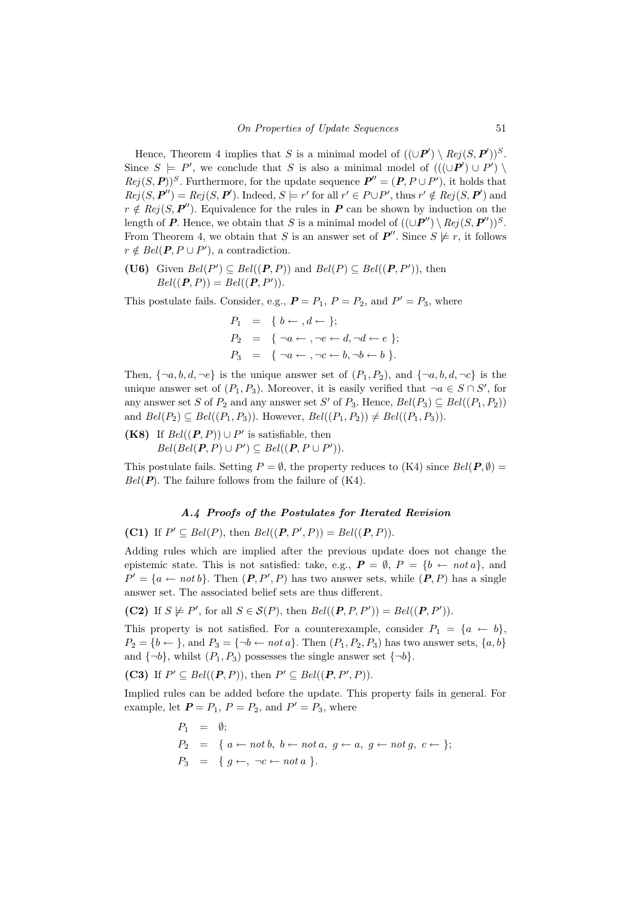Hence, Theorem 4 implies that S is a minimal model of  $((\cup P') \setminus \text{Rej}(S, P'))^S$ . Since  $S \models P'$ , we conclude that S is also a minimal model of  $((\cup P') \cup P')$  $Rej(S, P))^S$ . Furthermore, for the update sequence  $P'' = (P, P \cup P')$ , it holds that  $Rej(S, P'') = Rej(S, P')$ . Indeed,  $S \models r'$  for all  $r' \in P \cup P'$ , thus  $r' \notin Rej(S, P')$  and  $r \notin Rej(S, P'')$ . Equivalence for the rules in P can be shown by induction on the length of P. Hence, we obtain that S is a minimal model of  $((\cup P'') \setminus \text{Rej}(S, P''))^S$ . From Theorem 4, we obtain that S is an answer set of  $P''$ . Since  $S \not\models r$ , it follows  $r \notin Bel(P, P \cup P')$ , a contradiction.

(U6) Given  $Bel(P') \subseteq Bel((P, P))$  and  $Bel(P) \subseteq Bel((P, P'))$ , then  $Bel((P, P)) = Bel((P, P')).$ 

This postulate fails. Consider, e.g.,  $P = P_1$ ,  $P = P_2$ , and  $P' = P_3$ , where

$$
P_1 = \{ b \leftarrow, d \leftarrow \};
$$
  
\n
$$
P_2 = \{ \neg a \leftarrow, \neg e \leftarrow d, \neg d \leftarrow e \};
$$
  
\n
$$
P_3 = \{ \neg a \leftarrow, \neg c \leftarrow b, \neg b \leftarrow b \}.
$$

Then,  $\{\neg a, b, d, \neg e\}$  is the unique answer set of  $(P_1, P_2)$ , and  $\{\neg a, b, d, \neg c\}$  is the unique answer set of  $(P_1, P_3)$ . Moreover, it is easily verified that  $\neg a \in S \cap S'$ , for any answer set S of  $P_2$  and any answer set S' of  $P_3$ . Hence,  $Bel(P_3) \subseteq Bel((P_1, P_2))$ and  $Bel(P_2) \subseteq Bel((P_1, P_3))$ . However,  $Bel((P_1, P_2)) \neq Bel((P_1, P_3))$ .

(K8) If  $Bel((P, P)) \cup P'$  is satisfiable, then  $Bel(Bel(P, P) \cup P') \subseteq Bel((P, P \cup P')).$ 

This postulate fails. Setting  $P = \emptyset$ , the property reduces to (K4) since  $Bel(P, \emptyset) =$  $Bel(P)$ . The failure follows from the failure of  $(K4)$ .

# A.4 Proofs of the Postulates for Iterated Revision

(C1) If  $P' \subseteq Bel(P)$ , then  $Bel((P, P', P)) = Bel((P, P))$ .

Adding rules which are implied after the previous update does not change the epistemic state. This is not satisfied: take, e.g.,  $P = \emptyset$ ,  $P = \{b \leftarrow \text{not } a\}$ , and  $P' = \{a \leftarrow not b\}$ . Then  $(P, P', P)$  has two answer sets, while  $(P, P)$  has a single answer set. The associated belief sets are thus different.

(C2) If  $S \not\models P'$ , for all  $S \in \mathcal{S}(P)$ , then  $Bel((P, P, P')) = Bel((P, P'))$ .

This property is not satisfied. For a counterexample, consider  $P_1 = \{a \leftarrow b\}$ ,  $P_2 = \{b \leftarrow \}$ , and  $P_3 = \{\neg b \leftarrow \text{not } a\}$ . Then  $(P_1, P_2, P_3)$  has two answer sets,  $\{a, b\}$ and  $\{\neg b\}$ , whilst  $(P_1, P_3)$  possesses the single answer set  $\{\neg b\}$ .

(C3) If  $P' \subseteq Bel((P, P)),$  then  $P' \subseteq Bel((P, P', P)).$ 

Implied rules can be added before the update. This property fails in general. For example, let  $P = P_1$ ,  $P = P_2$ , and  $P' = P_3$ , where

> $P_1 = \emptyset;$  $P_2 = \{ a \leftarrow not b, b \leftarrow not a, g \leftarrow a, g \leftarrow not g, c \leftarrow \};$  $P_3 = \{ g \leftarrow, \neg c \leftarrow \text{not } a \}.$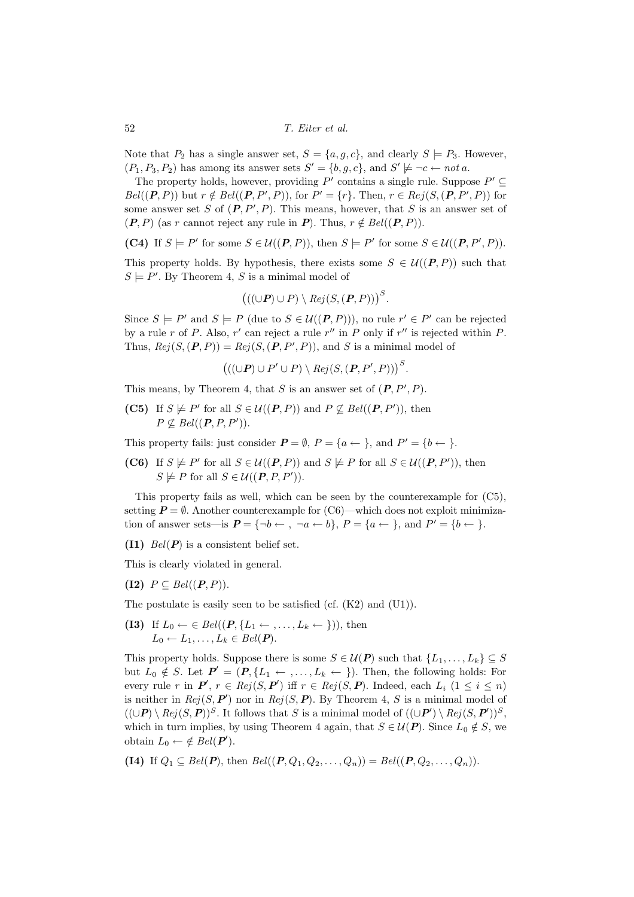Note that  $P_2$  has a single answer set,  $S = \{a, g, c\}$ , and clearly  $S \models P_3$ . However,  $(P_1, P_3, P_2)$  has among its answer sets  $S' = \{b, g, c\}$ , and  $S' \not\models \neg c \leftarrow not \, a$ .

The property holds, however, providing  $P'$  contains a single rule. Suppose  $P' \subseteq$  $Bel((P, P))$  but  $r \notin Bel((P, P', P)),$  for  $P' = \{r\}$ . Then,  $r \in Rej(S, (P, P', P))$  for some answer set S of  $(P, P', P)$ . This means, however, that S is an answer set of  $(P, P)$  (as r cannot reject any rule in P). Thus,  $r \notin Bel((P, P))$ .

(C4) If  $S \models P'$  for some  $S \in \mathcal{U}((P, P)),$  then  $S \models P'$  for some  $S \in \mathcal{U}((P, P', P)).$ 

This property holds. By hypothesis, there exists some  $S \in \mathcal{U}((P, P))$  such that  $S \models P'$ . By Theorem 4, S is a minimal model of

$$
((\cup P) \cup P) \setminus \mathit{Rej}(S, (P, P)))^{S}.
$$

Since  $S \models P'$  and  $S \models P$  (due to  $S \in \mathcal{U}((P, P))$ ), no rule  $r' \in P'$  can be rejected by a rule r of P. Also, r' can reject a rule  $r''$  in P only if  $r''$  is rejected within P. Thus,  $Rej(S, (P, P)) = Rej(S, (P, P', P))$ , and S is a minimal model of

$$
((\cup P) \cup P' \cup P) \setminus \mathit{Rej}(S, (P, P', P)))^{S}.
$$

This means, by Theorem 4, that S is an answer set of  $(P, P', P)$ .

(C5) If  $S \not\models P'$  for all  $S \in \mathcal{U}((P, P))$  and  $P \not\subseteq Bel((P, P'))$ , then  $P \nsubseteq Bel((P, P, P')).$ 

This property fails: just consider  $P = \emptyset$ ,  $P = \{a \leftarrow \}$ , and  $P' = \{b \leftarrow \}$ .

(C6) If  $S \not\models P'$  for all  $S \in \mathcal{U}((P, P))$  and  $S \not\models P$  for all  $S \in \mathcal{U}((P, P'))$ , then  $S \not\models P$  for all  $S \in \mathcal{U}((P, P, P')).$ 

This property fails as well, which can be seen by the counterexample for (C5), setting  $P = \emptyset$ . Another counterexample for (C6)—which does not exploit minimization of answer sets—is  $P = \{\neg b \leftarrow, \neg a \leftarrow b\}, P = \{a \leftarrow \}, \text{and } P' = \{b \leftarrow \}.$ 

(I1)  $Bel(P)$  is a consistent belief set.

This is clearly violated in general.

(I2)  $P \subseteq Bel((P, P)).$ 

The postulate is easily seen to be satisfied (cf.  $(K2)$ ) and  $(U1)$ ).

(I3) If  $L_0 \leftarrow \in Bel((P, \{L_1 \leftarrow \ldots, L_k \leftarrow \})),$  then  $L_0 \leftarrow L_1, \ldots, L_k \in Bel(\boldsymbol{P}).$ 

This property holds. Suppose there is some  $S \in \mathcal{U}(P)$  such that  $\{L_1, \ldots, L_k\} \subseteq S$ but  $L_0 \notin S$ . Let  $P' = (P, \{L_1 \leftarrow \ldots, L_k \leftarrow \})$ . Then, the following holds: For every rule r in  $P'$ ,  $r \in \text{Rej}(S, P')$  iff  $r \in \text{Rej}(S, P)$ . Indeed, each  $L_i$   $(1 \leq i \leq n)$ is neither in  $Rej(S, P)$  nor in  $Rej(S, P)$ . By Theorem 4, S is a minimal model of  $((\cup P) \setminus \text{Re}j(S, P))^S$ . It follows that S is a minimal model of  $((\cup P') \setminus \text{Re}j(S, P'))^S$ , which in turn implies, by using Theorem 4 again, that  $S \in \mathcal{U}(P)$ . Since  $L_0 \notin S$ , we obtain  $L_0 \leftarrow \notin Bel(P')$ .

(I4) If  $Q_1 \subseteq Bel(P)$ , then  $Bel((P, Q_1, Q_2, \ldots, Q_n)) = Bel((P, Q_2, \ldots, Q_n)).$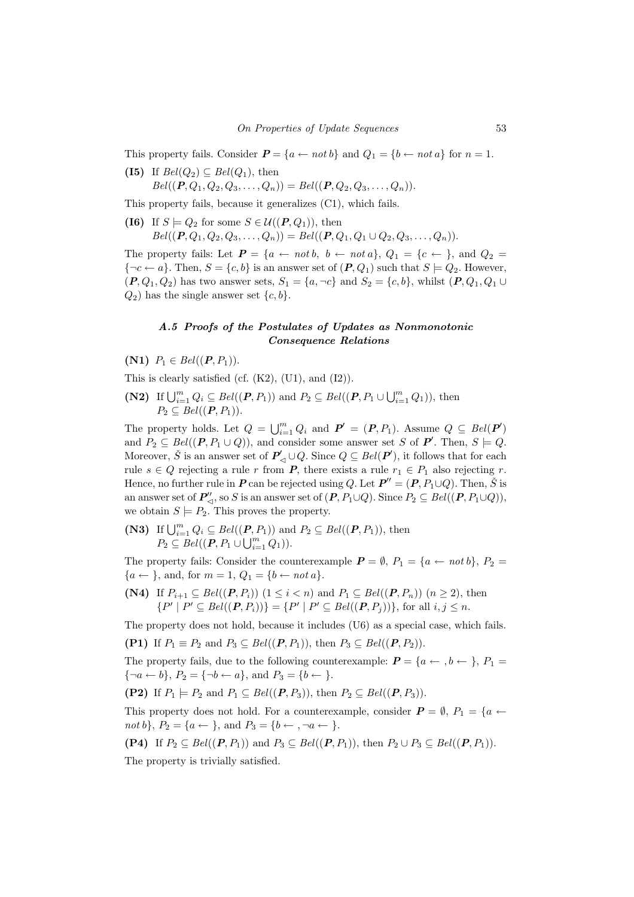This property fails. Consider  $P = \{a \leftarrow not b\}$  and  $Q_1 = \{b \leftarrow not a\}$  for  $n = 1$ .

(I5) If  $Bel(Q_2) \subseteq Bel(Q_1)$ , then

$$
Bel((P, Q_1, Q_2, Q_3, \ldots, Q_n)) = Bel((P, Q_2, Q_3, \ldots, Q_n)).
$$

This property fails, because it generalizes (C1), which fails.

(I6) If  $S \models Q_2$  for some  $S \in \mathcal{U}((P,Q_1))$ , then  $Bel((P, Q_1, Q_2, Q_3, \ldots, Q_n)) = Bel((P, Q_1, Q_1 \cup Q_2, Q_3, \ldots, Q_n)).$ 

The property fails: Let  $P = \{a \leftarrow not\ b, b \leftarrow not\ a\}, Q_1 = \{c \leftarrow \}$ , and  $Q_2 =$  ${\neg c \leftarrow a}$ . Then,  $S = {c, b}$  is an answer set of  $(P, Q_1)$  such that  $S \models Q_2$ . However,  $(P, Q_1, Q_2)$  has two answer sets,  $S_1 = \{a, \neg c\}$  and  $S_2 = \{c, b\}$ , whilst  $(P, Q_1, Q_1 \cup$  $Q_2$ ) has the single answer set  $\{c, b\}.$ 

### A.5 Proofs of the Postulates of Updates as Nonmonotonic Consequence Relations

(N1)  $P_1 \in Bel((P, P_1)).$ 

This is clearly satisfied (cf.  $(K2)$ ,  $(U1)$ , and  $(I2)$ ).

(N2) If  $\bigcup_{i=1}^{m} Q_i \subseteq Bel((P, P_1))$  and  $P_2 \subseteq Bel((P, P_1 \cup \bigcup_{i=1}^{m} Q_1)),$  then  $P_2 \subset Bel((P, P_1)).$ 

The property holds. Let  $Q = \bigcup_{i=1}^{m} Q_i$  and  $P' = (P, P_1)$ . Assume  $Q \subseteq Bel(P')$ and  $P_2 \subseteq Bel((P, P_1 \cup Q))$ , and consider some answer set S of  $P'$ . Then,  $S \models Q$ . Moreover,  $\check{S}$  is an answer set of  $P'_{\lhd} \cup Q$ . Since  $Q \subseteq Bel(P')$ , it follows that for each rule  $s \in Q$  rejecting a rule r from **P**, there exists a rule  $r_1 \in P_1$  also rejecting r. Hence, no further rule in  $P$  can be rejected using Q. Let  $P'' = (P, P_1 \cup Q)$ . Then,  $\check{S}$  is an answer set of  $P''_{\leq 0}$ , so S is an answer set of  $(P, P_1 \cup Q)$ . Since  $P_2 \subseteq Bel((P, P_1 \cup Q))$ , we obtain  $S \models P_2$ . This proves the property.

(N3) If  $\bigcup_{i=1}^{m} Q_i \subseteq Bel((P, P_1))$  and  $P_2 \subseteq Bel((P, P_1))$ , then  $P_2 \subseteq Bel((P, P_1 \cup \bigcup_{i=1}^{m} Q_1)).$ 

The property fails: Consider the counterexample  $P = \emptyset$ ,  $P_1 = \{a \leftarrow not b\}$ ,  $P_2 =$  ${a \leftarrow \}$ , and, for  $m = 1$ ,  $Q_1 = {b \leftarrow not a}$ .

(N4) If  $P_{i+1} \subseteq Bel((P, P_i))$   $(1 \leq i < n)$  and  $P_1 \subseteq Bel((P, P_n))$   $(n \geq 2)$ , then  $\{P' \mid P' \subseteq Bel((P, P_i))\} = \{P' \mid P' \subseteq Bel((P, P_j))\},\$ for all  $i, j \leq n$ .

The property does not hold, because it includes (U6) as a special case, which fails.

(P1) If  $P_1 \equiv P_2$  and  $P_3 \subseteq Bel((P, P_1))$ , then  $P_3 \subseteq Bel((P, P_2))$ .

The property fails, due to the following counterexample:  $P = \{a \leftarrow b \leftarrow \}$ ,  $P_1 =$  ${\neg a \leftarrow b}, P_2 = {\neg b \leftarrow a}, \text{ and } P_3 = {\{b \leftarrow \}}.$ 

(P2) If  $P_1 \models P_2$  and  $P_1 \subseteq Bel((P, P_3))$ , then  $P_2 \subseteq Bel((P, P_3))$ .

This property does not hold. For a counterexample, consider  $P = \emptyset$ ,  $P_1 = \{a \leftarrow$ not b},  $P_2 = \{a \leftarrow \}$ , and  $P_3 = \{b \leftarrow \}$ ,  $\neg a \leftarrow \}$ .

(P4) If  $P_2 \subseteq Bel((P, P_1))$  and  $P_3 \subseteq Bel((P, P_1))$ , then  $P_2 \cup P_3 \subseteq Bel((P, P_1))$ .

The property is trivially satisfied.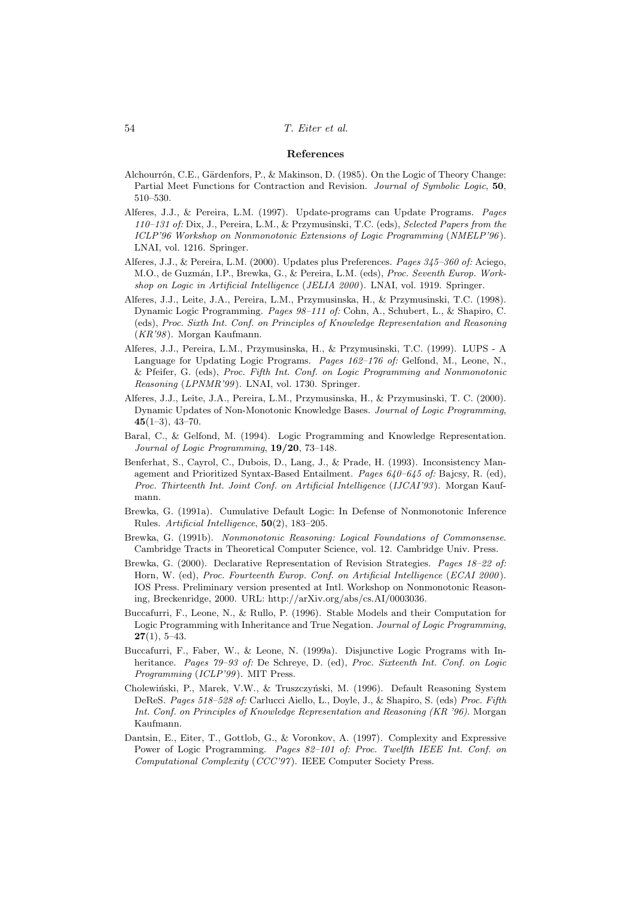#### References

- Alchourrón, C.E., Gärdenfors, P., & Makinson, D. (1985). On the Logic of Theory Change: Partial Meet Functions for Contraction and Revision. Journal of Symbolic Logic, 50, 510–530.
- Alferes, J.J., & Pereira, L.M. (1997). Update-programs can Update Programs. Pages 110–131 of: Dix, J., Pereira, L.M., & Przymusinski, T.C. (eds), Selected Papers from the ICLP'96 Workshop on Nonmonotonic Extensions of Logic Programming (NMELP'96 ). LNAI, vol. 1216. Springer.
- Alferes, J.J., & Pereira, L.M. (2000). Updates plus Preferences. Pages 345–360 of: Aciego, M.O., de Guzm´an, I.P., Brewka, G., & Pereira, L.M. (eds), Proc. Seventh Europ. Workshop on Logic in Artificial Intelligence (JELIA 2000 ). LNAI, vol. 1919. Springer.
- Alferes, J.J., Leite, J.A., Pereira, L.M., Przymusinska, H., & Przymusinski, T.C. (1998). Dynamic Logic Programming. Pages 98–111 of: Cohn, A., Schubert, L., & Shapiro, C. (eds), Proc. Sixth Int. Conf. on Principles of Knowledge Representation and Reasoning  $(KR'98)$ . Morgan Kaufmann.
- Alferes, J.J., Pereira, L.M., Przymusinska, H., & Przymusinski, T.C. (1999). LUPS A Language for Updating Logic Programs. Pages 162–176 of: Gelfond, M., Leone, N., & Pfeifer, G. (eds), Proc. Fifth Int. Conf. on Logic Programming and Nonmonotonic Reasoning (LPNMR'99). LNAI, vol. 1730. Springer.
- Alferes, J.J., Leite, J.A., Pereira, L.M., Przymusinska, H., & Przymusinski, T. C. (2000). Dynamic Updates of Non-Monotonic Knowledge Bases. Journal of Logic Programming,  $45(1-3), 43-70.$
- Baral, C., & Gelfond, M. (1994). Logic Programming and Knowledge Representation. Journal of Logic Programming, **19/20**, 73-148.
- Benferhat, S., Cayrol, C., Dubois, D., Lang, J., & Prade, H. (1993). Inconsistency Management and Prioritized Syntax-Based Entailment. Pages 640–645 of: Bajcsy, R. (ed), Proc. Thirteenth Int. Joint Conf. on Artificial Intelligence (IJCAI'93). Morgan Kaufmann.
- Brewka, G. (1991a). Cumulative Default Logic: In Defense of Nonmonotonic Inference Rules. Artificial Intelligence, 50(2), 183–205.
- Brewka, G. (1991b). Nonmonotonic Reasoning: Logical Foundations of Commonsense. Cambridge Tracts in Theoretical Computer Science, vol. 12. Cambridge Univ. Press.
- Brewka, G. (2000). Declarative Representation of Revision Strategies. Pages 18–22 of: Horn, W. (ed), Proc. Fourteenth Europ. Conf. on Artificial Intelligence (ECAI 2000). IOS Press. Preliminary version presented at Intl. Workshop on Nonmonotonic Reasoning, Breckenridge, 2000. URL: http://arXiv.org/abs/cs.AI/0003036.
- Buccafurri, F., Leone, N., & Rullo, P. (1996). Stable Models and their Computation for Logic Programming with Inheritance and True Negation. Journal of Logic Programming,  $27(1), 5-43.$
- Buccafurri, F., Faber, W., & Leone, N. (1999a). Disjunctive Logic Programs with Inheritance. Pages 79–93 of: De Schreye, D. (ed), Proc. Sixteenth Int. Conf. on Logic Programming (ICLP'99). MIT Press.
- Cholewiński, P., Marek, V.W., & Truszczyński, M. (1996). Default Reasoning System DeReS. Pages 518–528 of: Carlucci Aiello, L., Doyle, J., & Shapiro, S. (eds) Proc. Fifth Int. Conf. on Principles of Knowledge Representation and Reasoning (KR '96). Morgan Kaufmann.
- Dantsin, E., Eiter, T., Gottlob, G., & Voronkov, A. (1997). Complexity and Expressive Power of Logic Programming. Pages 82-101 of: Proc. Twelfth IEEE Int. Conf. on Computational Complexity (CCC'97 ). IEEE Computer Society Press.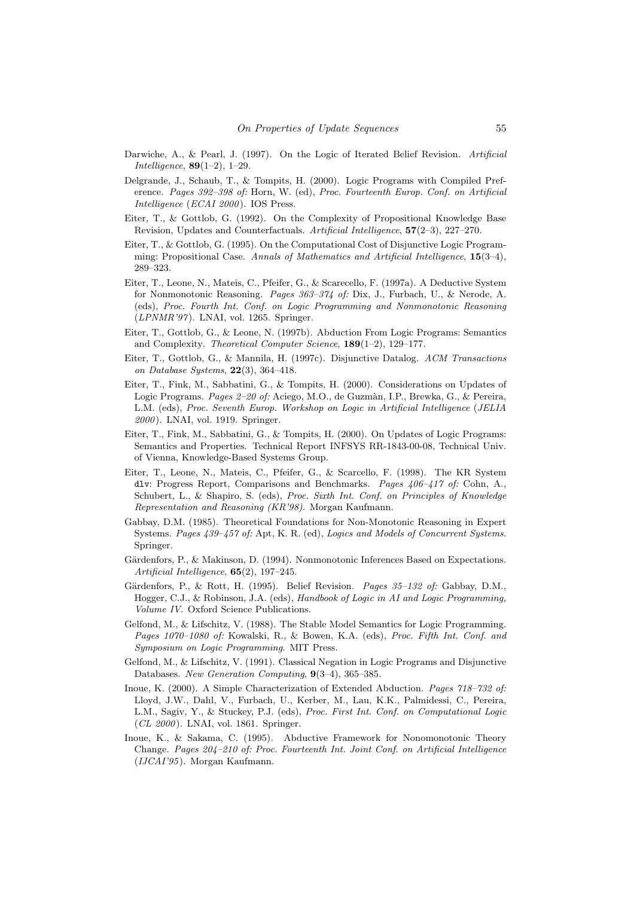- Darwiche, A., & Pearl, J. (1997). On the Logic of Iterated Belief Revision. Artificial *Intelligence*,  $89(1-2)$ , 1-29.
- Delgrande, J., Schaub, T., & Tompits, H. (2000). Logic Programs with Compiled Preference. Pages 392–398 of: Horn, W. (ed), Proc. Fourteenth Europ. Conf. on Artificial Intelligence (ECAI 2000). IOS Press.
- Eiter, T., & Gottlob, G. (1992). On the Complexity of Propositional Knowledge Base Revision, Updates and Counterfactuals. Artificial Intelligence, 57(2–3), 227–270.
- Eiter, T., & Gottlob, G. (1995). On the Computational Cost of Disjunctive Logic Programming: Propositional Case. Annals of Mathematics and Artificial Intelligence, 15(3–4), 289–323.
- Eiter, T., Leone, N., Mateis, C., Pfeifer, G., & Scarecello, F. (1997a). A Deductive System for Nonmonotonic Reasoning. Pages 363–374 of: Dix, J., Furbach, U., & Nerode, A. (eds), Proc. Fourth Int. Conf. on Logic Programming and Nonmonotonic Reasoning (LPNMR'97). LNAI, vol. 1265. Springer.
- Eiter, T., Gottlob, G., & Leone, N. (1997b). Abduction From Logic Programs: Semantics and Complexity. Theoretical Computer Science, 189(1–2), 129–177.
- Eiter, T., Gottlob, G., & Mannila, H. (1997c). Disjunctive Datalog. ACM Transactions on Database Systems, 22(3), 364–418.
- Eiter, T., Fink, M., Sabbatini, G., & Tompits, H. (2000). Considerations on Updates of Logic Programs. Pages 2–20 of: Aciego, M.O., de Guzmàn, I.P., Brewka, G., & Pereira, L.M. (eds), Proc. Seventh Europ. Workshop on Logic in Artificial Intelligence (JELIA 2000). LNAI, vol. 1919. Springer.
- Eiter, T., Fink, M., Sabbatini, G., & Tompits, H. (2000). On Updates of Logic Programs: Semantics and Properties. Technical Report INFSYS RR-1843-00-08, Technical Univ. of Vienna, Knowledge-Based Systems Group.
- Eiter, T., Leone, N., Mateis, C., Pfeifer, G., & Scarcello, F. (1998). The KR System dlv: Progress Report, Comparisons and Benchmarks. Pages 406–417 of: Cohn, A., Schubert, L., & Shapiro, S. (eds), Proc. Sixth Int. Conf. on Principles of Knowledge Representation and Reasoning (KR'98). Morgan Kaufmann.
- Gabbay, D.M. (1985). Theoretical Foundations for Non-Monotonic Reasoning in Expert Systems. Pages 439–457 of: Apt, K. R. (ed), Logics and Models of Concurrent Systems. Springer.
- Gärdenfors, P., & Makinson, D. (1994). Nonmonotonic Inferences Based on Expectations. Artificial Intelligence, 65(2), 197–245.
- Gärdenfors, P., & Rott, H. (1995). Belief Revision. Pages 35-132 of: Gabbay, D.M., Hogger, C.J., & Robinson, J.A. (eds), Handbook of Logic in AI and Logic Programming, Volume IV. Oxford Science Publications.
- Gelfond, M., & Lifschitz, V. (1988). The Stable Model Semantics for Logic Programming. Pages 1070-1080 of: Kowalski, R., & Bowen, K.A. (eds), Proc. Fifth Int. Conf. and Symposium on Logic Programming. MIT Press.
- Gelfond, M., & Lifschitz, V. (1991). Classical Negation in Logic Programs and Disjunctive Databases. New Generation Computing, 9(3–4), 365–385.
- Inoue, K. (2000). A Simple Characterization of Extended Abduction. Pages 718–732 of: Lloyd, J.W., Dahl, V., Furbach, U., Kerber, M., Lau, K.K., Palmidessi, C., Pereira, L.M., Sagiv, Y., & Stuckey, P.J. (eds), Proc. First Int. Conf. on Computational Logic (CL 2000). LNAI, vol. 1861. Springer.
- Inoue, K., & Sakama, C. (1995). Abductive Framework for Nonomonotonic Theory Change. Pages 204–210 of: Proc. Fourteenth Int. Joint Conf. on Artificial Intelligence  $(IJCAI'95)$ . Morgan Kaufmann.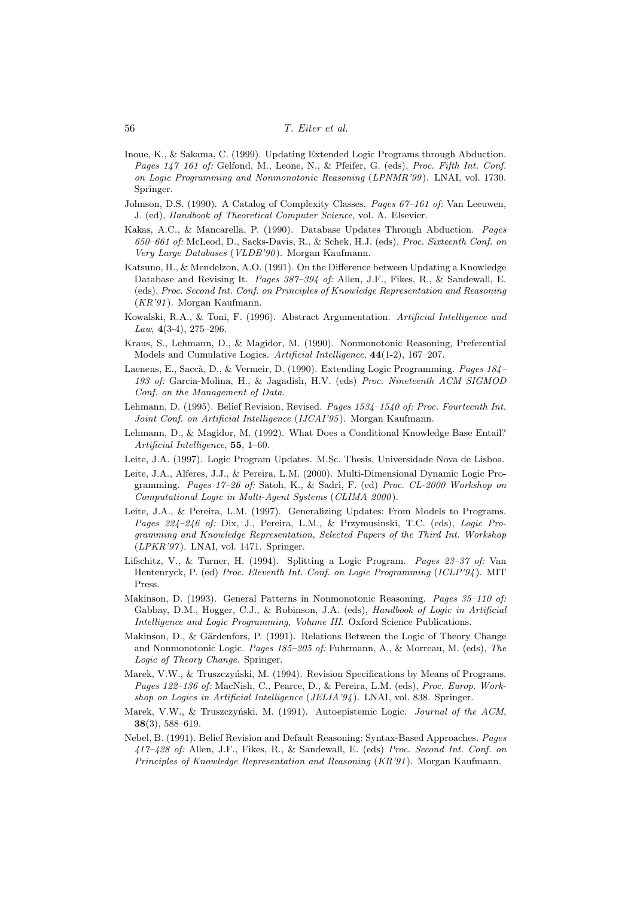- Inoue, K., & Sakama, C. (1999). Updating Extended Logic Programs through Abduction. Pages 147–161 of: Gelfond, M., Leone, N., & Pfeifer, G. (eds), Proc. Fifth Int. Conf. on Logic Programming and Nonmonotonic Reasoning (LPNMR'99 ). LNAI, vol. 1730. Springer.
- Johnson, D.S. (1990). A Catalog of Complexity Classes. Pages 67–161 of: Van Leeuwen, J. (ed), Handbook of Theoretical Computer Science, vol. A. Elsevier.
- Kakas, A.C., & Mancarella, P. (1990). Database Updates Through Abduction. Pages 650–661 of: McLeod, D., Sacks-Davis, R., & Schek, H.J. (eds), Proc. Sixteenth Conf. on Very Large Databases (VLDB'90 ). Morgan Kaufmann.
- Katsuno, H., & Mendelzon, A.O. (1991). On the Difference between Updating a Knowledge Database and Revising It. Pages 387–394 of: Allen, J.F., Fikes, R., & Sandewall, E. (eds), Proc. Second Int. Conf. on Principles of Knowledge Representation and Reasoning (KR'91 ). Morgan Kaufmann.
- Kowalski, R.A., & Toni, F. (1996). Abstract Argumentation. Artificial Intelligence and Law,  $4(3-4)$ ,  $275-296$ .
- Kraus, S., Lehmann, D., & Magidor, M. (1990). Nonmonotonic Reasoning, Preferential Models and Cumulative Logics. Artificial Intelligence, 44(1-2), 167–207.
- Laenens, E., Saccà, D., & Vermeir, D. (1990). Extending Logic Programming. Pages 184– 193 of: Garcia-Molina, H., & Jagadish, H.V. (eds) Proc. Nineteenth ACM SIGMOD Conf. on the Management of Data.
- Lehmann, D. (1995). Belief Revision, Revised. Pages 1534–1540 of: Proc. Fourteenth Int. Joint Conf. on Artificial Intelligence (IJCAI'95). Morgan Kaufmann.
- Lehmann, D., & Magidor, M. (1992). What Does a Conditional Knowledge Base Entail? Artificial Intelligence, 55, 1–60.
- Leite, J.A. (1997). Logic Program Updates. M.Sc. Thesis, Universidade Nova de Lisboa.
- Leite, J.A., Alferes, J.J., & Pereira, L.M. (2000). Multi-Dimensional Dynamic Logic Programming. Pages 17–26 of: Satoh, K., & Sadri, F. (ed) Proc. CL-2000 Workshop on Computational Logic in Multi-Agent Systems (CLIMA 2000 ).
- Leite, J.A., & Pereira, L.M. (1997). Generalizing Updates: From Models to Programs. Pages 224–246 of: Dix, J., Pereira, L.M., & Przymusinski, T.C. (eds), Logic Programming and Knowledge Representation, Selected Papers of the Third Int. Workshop (LPKR'97). LNAI, vol. 1471. Springer.
- Lifschitz, V., & Turner, H. (1994). Splitting a Logic Program. Pages 23–37 of: Van Hentenryck, P. (ed) *Proc. Eleventh Int. Conf. on Logic Programming (ICLP'94)*. MIT Press.
- Makinson, D. (1993). General Patterns in Nonmonotonic Reasoning. Pages 35–110 of: Gabbay, D.M., Hogger, C.J., & Robinson, J.A. (eds), Handbook of Logic in Artificial Intelligence and Logic Programming, Volume III. Oxford Science Publications.
- Makinson, D.,  $\&$  Gärdenfors, P. (1991). Relations Between the Logic of Theory Change and Nonmonotonic Logic. Pages 185–205 of: Fuhrmann, A., & Morreau, M. (eds), The Logic of Theory Change. Springer.
- Marek, V.W., & Truszczyński, M. (1994). Revision Specifications by Means of Programs. Pages 122–136 of: MacNish, C., Pearce, D., & Pereira, L.M. (eds), Proc. Europ. Workshop on Logics in Artificial Intelligence (JELIA'94). LNAI, vol. 838. Springer.
- Marek, V.W., & Truszczyński, M. (1991). Autoepistemic Logic. Journal of the ACM, 38(3), 588–619.
- Nebel, B. (1991). Belief Revision and Default Reasoning: Syntax-Based Approaches. Pages 417–428 of: Allen, J.F., Fikes, R., & Sandewall, E. (eds) Proc. Second Int. Conf. on Principles of Knowledge Representation and Reasoning (KR'91 ). Morgan Kaufmann.